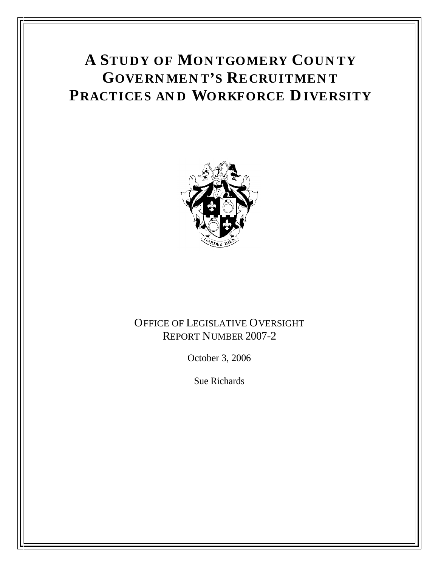# **A STUDY OF MON TGOMERY COUN TY GOVERN MEN T S RECRUITMEN T PRACTICES AN D WORKFORCE DIVERSITY**



# OFFICE OF LEGISLATIVE OVERSIGHT REPORT NUMBER 2007-2

October 3, 2006

Sue Richards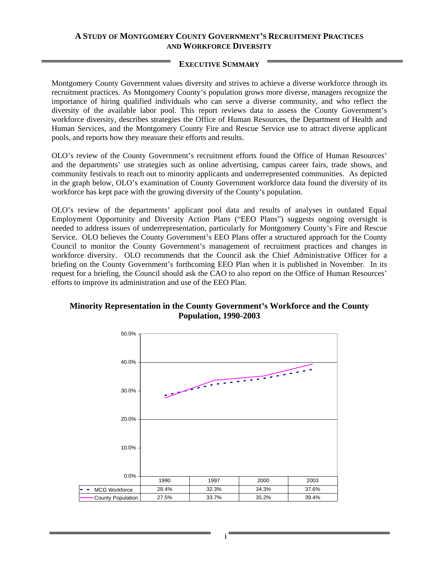#### **A STUDY OF MONTGOMERY COUNTY GOVERNMENT S RECRUITMENT PRACTICES AND WORKFORCE DIVERSITY**

#### **EXECUTIVE SUMMARY**

Montgomery County Government values diversity and strives to achieve a diverse workforce through its recruitment practices. As Montgomery County's population grows more diverse, managers recognize the importance of hiring qualified individuals who can serve a diverse community, and who reflect the diversity of the available labor pool. This report reviews data to assess the County Government's workforce diversity, describes strategies the Office of Human Resources, the Department of Health and Human Services, and the Montgomery County Fire and Rescue Service use to attract diverse applicant pools, and reports how they measure their efforts and results.

OLO's review of the County Government's recruitment efforts found the Office of Human Resources' and the departments' use strategies such as online advertising, campus career fairs, trade shows, and community festivals to reach out to minority applicants and underrepresented communities. As depicted in the graph below, OLO's examination of County Government workforce data found the diversity of its workforce has kept pace with the growing diversity of the County's population.

OLO's review of the departments' applicant pool data and results of analyses in outdated Equal Employment Opportunity and Diversity Action Plans ("EEO Plans") suggests ongoing oversight is needed to address issues of underrepresentation, particularly for Montgomery County's Fire and Rescue Service. OLO believes the County Government's EEO Plans offer a structured approach for the County Council to monitor the County Government's management of recruitment practices and changes in workforce diversity. OLO recommends that the Council ask the Chief Administrative Officer for a briefing on the County Government's forthcoming EEO Plan when it is published in November. In its request for a briefing, the Council should ask the CAO to also report on the Office of Human Resources efforts to improve its administration and use of the EEO Plan.



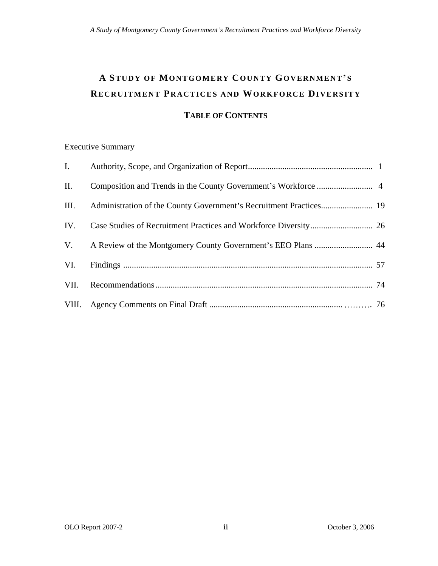# **A STUDY OF MONTGOMERY COUNTY GOVERNMENT S RECRUITMENT PRACTICES AND WORKFORCE DIVERSITY**

# **TABLE OF CONTENTS**

| <b>Executive Summary</b>                                                 |
|--------------------------------------------------------------------------|
| Authority, Scope, and Organization of Report                             |
| II. Composition and Trends in the County Government's Workforce          |
| III. Administration of the County Government's Recruitment Practices 19  |
| IV. Case Studies of Recruitment Practices and Workforce Diversity<br>-26 |
| V. A Review of the Montgomery County Government's EEO Plans<br>44        |
| VI. Findings                                                             |
| VII. Recommendations                                                     |
| VIII. Agency Comments on Final Draft                                     |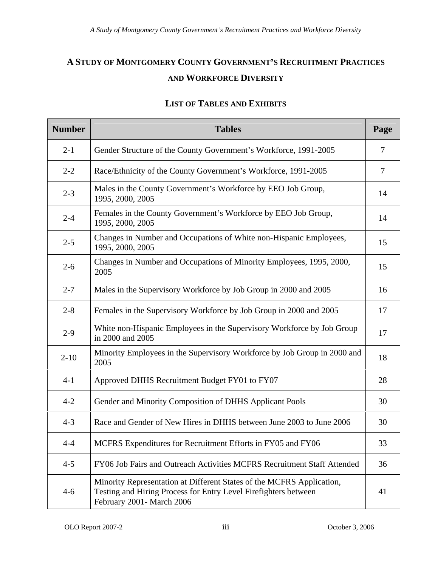# **A STUDY OF MONTGOMERY COUNTY GOVERNMENT S RECRUITMENT PRACTICES AND WORKFORCE DIVERSITY**

| <b>Number</b> | <b>Tables</b>                                                                                                                                                          | Page            |
|---------------|------------------------------------------------------------------------------------------------------------------------------------------------------------------------|-----------------|
| $2-1$         | Gender Structure of the County Government's Workforce, 1991-2005                                                                                                       |                 |
| $2 - 2$       | Race/Ethnicity of the County Government's Workforce, 1991-2005                                                                                                         |                 |
| $2 - 3$       | Males in the County Government's Workforce by EEO Job Group,<br>1995, 2000, 2005                                                                                       | 14              |
| $2 - 4$       | Females in the County Government's Workforce by EEO Job Group,<br>1995, 2000, 2005                                                                                     | 14              |
| $2 - 5$       | Changes in Number and Occupations of White non-Hispanic Employees,<br>1995, 2000, 2005                                                                                 | 15              |
| $2 - 6$       | Changes in Number and Occupations of Minority Employees, 1995, 2000,<br>2005                                                                                           | 15              |
| $2 - 7$       | Males in the Supervisory Workforce by Job Group in 2000 and 2005                                                                                                       | 16              |
| $2 - 8$       | Females in the Supervisory Workforce by Job Group in 2000 and 2005                                                                                                     | 17 <sup>2</sup> |
| $2-9$         | White non-Hispanic Employees in the Supervisory Workforce by Job Group<br>in 2000 and 2005                                                                             | 17              |
| $2 - 10$      | Minority Employees in the Supervisory Workforce by Job Group in 2000 and  <br>2005                                                                                     | 18              |
| $4-1$         | Approved DHHS Recruitment Budget FY01 to FY07                                                                                                                          | 28              |
| $4 - 2$       | Gender and Minority Composition of DHHS Applicant Pools                                                                                                                | 30              |
| $4 - 3$       | Race and Gender of New Hires in DHHS between June 2003 to June 2006                                                                                                    | 30              |
| $4 - 4$       | MCFRS Expenditures for Recruitment Efforts in FY05 and FY06                                                                                                            | 33              |
| $4 - 5$       | FY06 Job Fairs and Outreach Activities MCFRS Recruitment Staff Attended                                                                                                | 36              |
| $4-6$         | Minority Representation at Different States of the MCFRS Application,<br>Testing and Hiring Process for Entry Level Firefighters between<br>February 2001 - March 2006 | 41              |

#### **LIST OF TABLES AND EXHIBITS**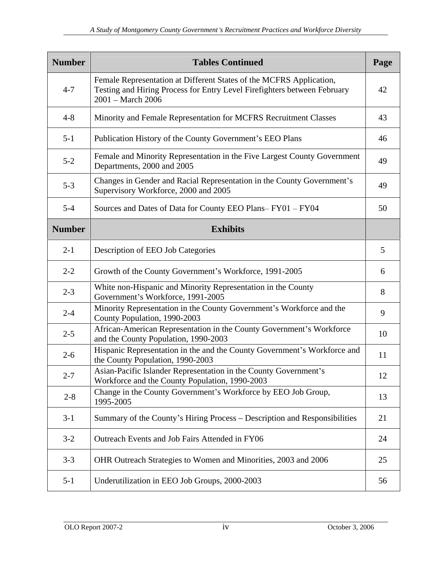| <b>Number</b> | <b>Tables Continued</b>                                                                                                                                                 | Page            |
|---------------|-------------------------------------------------------------------------------------------------------------------------------------------------------------------------|-----------------|
| $4 - 7$       | Female Representation at Different States of the MCFRS Application,<br>Testing and Hiring Process for Entry Level Firefighters between February<br>$2001 - March\ 2006$ | 42              |
| $4 - 8$       | Minority and Female Representation for MCFRS Recruitment Classes                                                                                                        | 43              |
| $5 - 1$       | Publication History of the County Government's EEO Plans                                                                                                                | 46              |
| $5 - 2$       | Female and Minority Representation in the Five Largest County Government<br>Departments, 2000 and 2005                                                                  | 49              |
| $5 - 3$       | Changes in Gender and Racial Representation in the County Government's<br>Supervisory Workforce, 2000 and 2005                                                          | 49              |
| $5-4$         | Sources and Dates of Data for County EEO Plans-FY01 - FY04                                                                                                              | 50              |
| <b>Number</b> | <b>Exhibits</b>                                                                                                                                                         |                 |
| $2 - 1$       | <b>Description of EEO Job Categories</b>                                                                                                                                |                 |
| $2 - 2$       | Growth of the County Government's Workforce, 1991-2005                                                                                                                  |                 |
| $2 - 3$       | White non-Hispanic and Minority Representation in the County<br>Government's Workforce, 1991-2005                                                                       |                 |
| $2 - 4$       | Minority Representation in the County Government's Workforce and the<br>County Population, 1990-2003                                                                    |                 |
| $2 - 5$       | African-American Representation in the County Government's Workforce<br>and the County Population, 1990-2003                                                            | 10 <sup>1</sup> |
| $2 - 6$       | Hispanic Representation in the and the County Government's Workforce and<br>the County Population, 1990-2003                                                            | -11             |
| $2 - 7$       | Asian-Pacific Islander Representation in the County Government's<br>Workforce and the County Population, 1990-2003                                                      | 12              |
| $2 - 8$       | Change in the County Government's Workforce by EEO Job Group,<br>1995-2005                                                                                              | 13              |
| $3-1$         | Summary of the County's Hiring Process - Description and Responsibilities                                                                                               | 21              |
| $3 - 2$       | Outreach Events and Job Fairs Attended in FY06                                                                                                                          | 24              |
| $3 - 3$       | OHR Outreach Strategies to Women and Minorities, 2003 and 2006                                                                                                          | 25              |
| $5-1$         | Underutilization in EEO Job Groups, 2000-2003                                                                                                                           | 56              |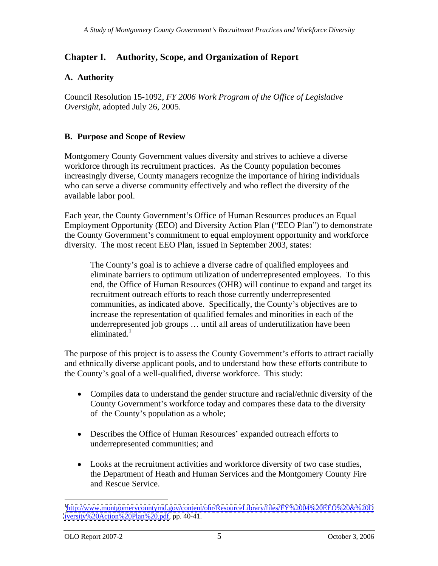# **A. Authority**

Council Resolution 15-1092, *FY 2006 Work Program of the Office of Legislative Oversight*, adopted July 26, 2005.

# **B. Purpose and Scope of Review**

Montgomery County Government values diversity and strives to achieve a diverse workforce through its recruitment practices. As the County population becomes increasingly diverse, County managers recognize the importance of hiring individuals who can serve a diverse community effectively and who reflect the diversity of the available labor pool.

Each year, the County Government's Office of Human Resources produces an Equal Employment Opportunity (EEO) and Diversity Action Plan ("EEO Plan") to demonstrate the County Government's commitment to equal employment opportunity and workforce diversity. The most recent EEO Plan, issued in September 2003, states:

**Chapter L. Authority, Scope, and Organization of Report<br>
A. Authority<br>
A. Authority concell its column 15 1092, FY 2006** *Work Program of the Office of Legislation***<br>
Conneil Resolution 15 1092, FY 2006** *Work Program of th* The County's goal is to achieve a diverse cadre of qualified employees and eliminate barriers to optimum utilization of underrepresented employees. To this end, the Office of Human Resources (OHR) will continue to expand and target its recruitment outreach efforts to reach those currently underrepresented communities, as indicated above. Specifically, the County's objectives are to increase the representation of qualified females and minorities in each of the underrepresented job groups ... until all areas of underutilization have been  $\mathbf{eliminated.}^1$ 

The purpose of this project is to assess the County Government's efforts to attract racially and ethnically diverse applicant pools, and to understand how these efforts contribute to the County's goal of a well-qualified, diverse workforce. This study:

- Compiles data to understand the gender structure and racial/ethnic diversity of the County Government's workforce today and compares these data to the diversity of the County's population as a whole;
- Describes the Office of Human Resources' expanded outreach efforts to underrepresented communities; and
- Looks at the recruitment activities and workforce diversity of two case studies, the Department of Heath and Human Services and the Montgomery County Fire and Rescue Service.

 <sup>1</sup> <http://www.montgomerycountymd.gov/content/ohr/ResourceLibrary/files/FY%2004%20EEO%20&%20D> [iversity%20Action%20Plan%20.pdf,](iversity%20Action%20Plan%20.pdf) pp. 40-41.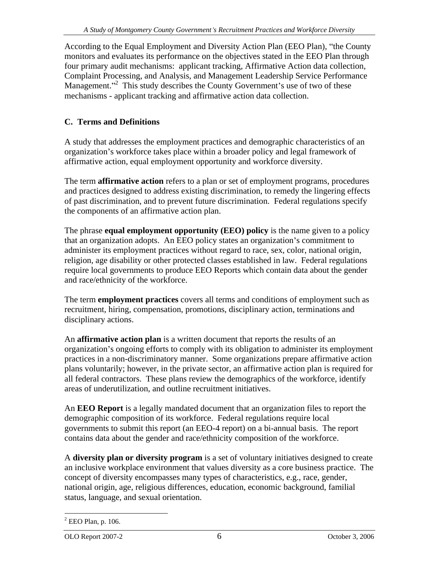monitors and evaluates its performance on the objectives stated in the EEO Plan through four primary audit mechanisms: applicant tracking, Affirmative Action data collection, Complaint Processing, and Analysis, and Management Leadership Service Performance Management."<sup>2</sup> This study describes the County Government's use of two of these mechanisms - applicant tracking and affirmative action data collection.

# **C. Terms and Definitions**

A study that addresses the employment practices and demographic characteristics of an organization's workforce takes place within a broader policy and legal framework of affirmative action, equal employment opportunity and workforce diversity.

The term **affirmative action** refers to a plan or set of employment programs, procedures and practices designed to address existing discrimination, to remedy the lingering effects of past discrimination, and to prevent future discrimination. Federal regulations specify the components of an affirmative action plan.

The phrase **equal employment opportunity (EEO) policy** is the name given to a policy that an organization adopts. An EEO policy states an organization's commitment to administer its employment practices without regard to race, sex, color, national origin, religion, age disability or other protected classes established in law. Federal regulations require local governments to produce EEO Reports which contain data about the gender and race/ethnicity of the workforce.

The term **employment practices** covers all terms and conditions of employment such as recruitment, hiring, compensation, promotions, disciplinary action, terminations and

According to the Equal Employation and Diversity Action Plan (EEO Plan), "the County<br>Contribution and Control and Control and Diversity pyles and Mongentent realising to the County Control and Control and Control and Contr disciplinary actions.<br>An **affirmative action plan** is a written document that reports the results of an organization's ongoing efforts to comply with its obligation to administer its employment practices in a non-discriminatory manner. Some organizations prepare affirmative action plans voluntarily; however, in the private sector, an affirmative action plan is required for all federal contractors. These plans review the demographics of the workforce, identify areas of underutilization, and outline recruitment initiatives.

An **EEO Report** is a legally mandated document that an organization files to report the demographic composition of its workforce. Federal regulations require local governments to submit this report (an EEO-4 report) on a bi-annual basis. The report contains data about the gender and race/ethnicity composition of the workforce.

A **diversity plan or diversity program** is a set of voluntary initiatives designed to create an inclusive workplace environment that values diversity as a core business practice. The concept of diversity encompasses many types of characteristics, e.g., race, gender, national origin, age, religious differences, education, economic background, familial status, language, and sexual orientation.

 $\frac{2}{2}$  EEO Plan, n 106  $2$  EEO Plan, p. 106.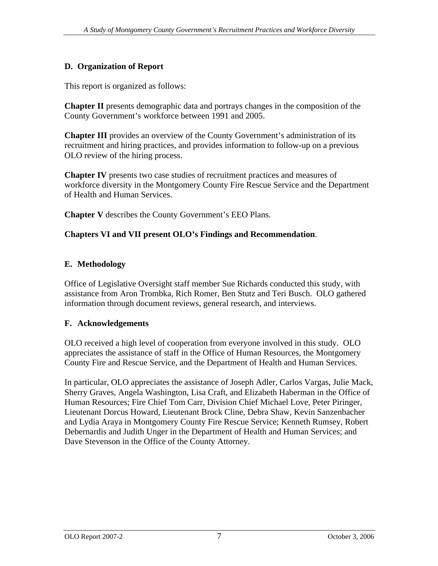This report is organized as follows:

**Chapter II** presents demographic data and portrays changes in the composition of the County Government's workforce between 1991 and 2005.

**Chapter III** provides an overview of the County Government's administration of its recruitment and hiring practices, and provides information to follow-up on a previous OLO review of the hiring process.

**Chapter IV** presents two case studies of recruitment practices and measures of workforce diversity in the Montgomery County Fire Rescue Service and the Department of Health and Human Services.

**Chapter V** describes the County Government's EEO Plans.

# **Chapters VI and VII present OLO s Findings and Recommendation**.

# **E. Methodology**

Office of Legislative Oversight staff member Sue Richards conducted this study, with assistance from Aron Trombka, Rich Romer, Ben Stutz and Teri Busch. OLO gathered information through document reviews, general research, and interviews.

# **F. Acknowledgements**

OLO received a high level of cooperation from everyone involved in this study. OLO appreciates the assistance of staff in the Office of Human Resources, the Montgomery County Fire and Rescue Service, and the Department of Health and Human Services.

**D.** Organization of Report<br>
This report is expansived as follows:<br>
This report is expansived as follows:<br>
Chapter III prosesses and pointing stanges in the comparision of the<br>
Chapter III provides an overview of the Count In particular, OLO appreciates the assistance of Joseph Adler, Carlos Vargas, Julie Mack, Sherry Graves, Angela Washington, Lisa Craft, and Elizabeth Haberman in the Office of Human Resources; Fire Chief Tom Carr, Division Chief Michael Love, Peter Piringer, Lieutenant Dorcus Howard, Lieutenant Brock Cline, Debra Shaw, Kevin Sanzenbacher and Lydia Araya in Montgomery County Fire Rescue Service; Kenneth Rumsey, Robert Debernardis and Judith Unger in the Department of Health and Human Services; and Dave Stevenson in the Office of the County Attorney.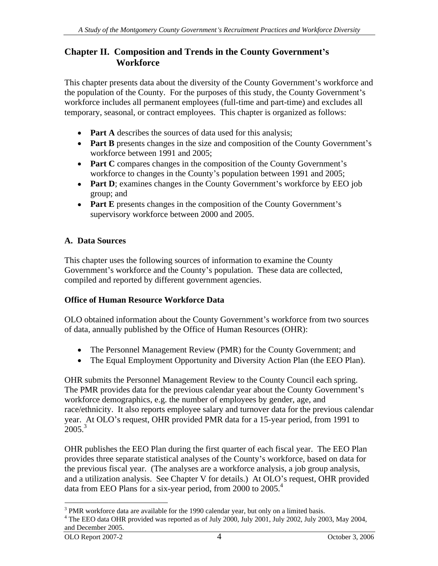# **Chapter II. Composition and Trends in the County Government s Workforce**

This chapter presents data about the diversity of the County Government's workforce and the population of the County. For the purposes of this study, the County Government's workforce includes all permanent employees (full-time and part-time) and excludes all temporary, seasonal, or contract employees. This chapter is organized as follows:

- **Part A** describes the sources of data used for this analysis;
- Part B presents changes in the size and composition of the County Government's workforce between 1991 and 2005;
- Part C compares changes in the composition of the County Government's workforce to changes in the County's population between 1991 and 2005;
- Part D; examines changes in the County Government's workforce by EEO job group; and
- Part E presents changes in the composition of the County Government's supervisory workforce between 2000 and 2005.

#### **A. Data Sources**

This chapter uses the following sources of information to examine the County Government's workforce and the County's population. These data are collected, compiled and reported by different government agencies.

#### **Office of Human Resource Workforce Data**

OLO obtained information about the County Government's workforce from two sources of data, annually published by the Office of Human Resources (OHR):

- The Personnel Management Review (PMR) for the County Government; and
- The Equal Employment Opportunity and Diversity Action Plan (the EEO Plan).  $\bullet$

OHR submits the Personnel Management Review to the County Council each spring. The PMR provides data for the previous calendar year about the County Government's workforce demographics, e.g. the number of employees by gender, age, and race/ethnicity. It also reports employee salary and turnover data for the previous calendar year. At OLO's request, OHR provided PMR data for a 15-year period, from 1991 to  $2005<sup>3</sup>$ 

OHR publishes the EEO Plan during the first quarter of each fiscal year. The EEO Plan provides three separate statistical analyses of the County's workforce, based on data for the previous fiscal year. (The analyses are a workforce analysis, a job group analysis, and a utilization analysis. See Chapter V for details.) At OLO's request, OHR provided data from EEO Plans for a six-year period, from 2000 to 2005.<sup>4</sup>

 $\frac{3}{3}$  PMP workforce data are available for the 1000 calendar vear, but only on a limited basis <sup>3</sup> PMR workforce data are available for the 1990 calendar year, but only on a limited basis.<br><sup>4</sup> The EEO data OHP provided was reported as of July 2000, July 2001, July 2002, July 2003, May 2004

The EEO data OHR provided was reported as of July 2000, July 2001, July 2002, July 2003, May 2004, and December 2005.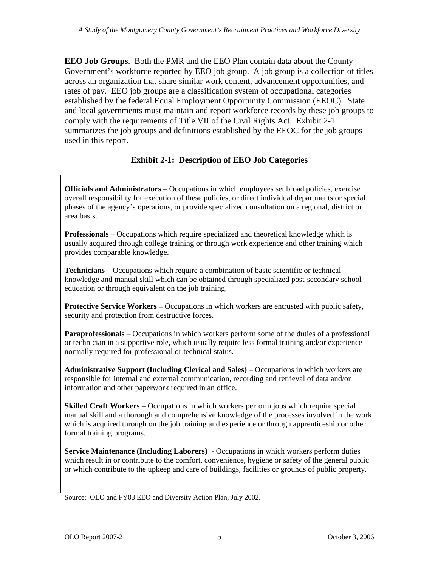**EEO Job Groups**. Both the PMR and the EEO Plan contain data about the County Government's workforce reported by EEO job group. A job group is a collection of titles across an organization that share similar work content, advancement opportunities, and rates of pay. EEO job groups are a classification system of occupational categories established by the federal Equal Employment Opportunity Commission (EEOC). State and local governments must maintain and report workforce records by these job groups to comply with the requirements of Title VII of the Civil Rights Act. Exhibit 2-1 summarizes the job groups and definitions established by the EEOC for the job groups used in this report.

# **Exhibit 2-1: Description of EEO Job Categories**

**Officials and Administrators** – Occupations in which employees set broad policies, exercise overall responsibility for execution of these policies, or direct individual departments or special phases of the agency s operations, or provide specialized consultation on a regional, district or area basis.

**Professionals** – Occupations which require specialized and theoretical knowledge which is usually acquired through college training or through work experience and other training which provides comparable knowledge.

**Technicians** – Occupations which require a combination of basic scientific or technical knowledge and manual skill which can be obtained through specialized post-secondary school education or through equivalent on the job training.

**Protective Service Workers** – Occupations in which workers are entrusted with public safety, security and protection from destructive forces.

**Paraprofessionals** – Occupations in which workers perform some of the duties of a professional or technician in a supportive role, which usually require less formal training and/or experience normally required for professional or technical status.

**Administrative Support (Including Clerical and Sales) – Occupations in which workers are** responsible for internal and external communication, recording and retrieval of data and/or information and other paperwork required in an office.

**Skilled Craft Workers** – Occupations in which workers perform jobs which require special manual skill and a thorough and comprehensive knowledge of the processes involved in the work which is acquired through on the job training and experience or through apprenticeship or other formal training programs.

**Service Maintenance (Including Laborers)** - Occupations in which workers perform duties which result in or contribute to the comfort, convenience, hygiene or safety of the general public or which contribute to the upkeep and care of buildings, facilities or grounds of public property.

Source: OLO and FY03 EEO and Diversity Action Plan, July 2002.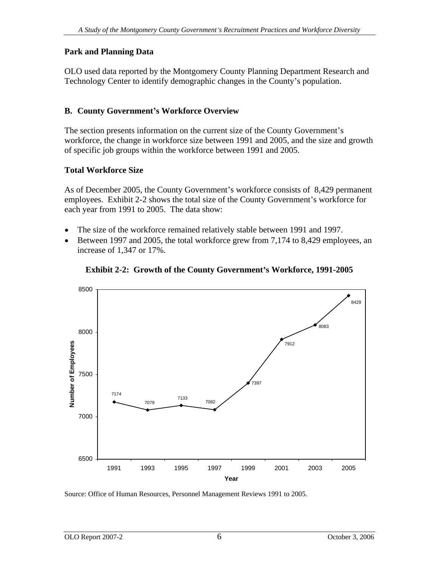# **Park and Planning Data**

OLO used data reported by the Montgomery County Planning Department Research and Technology Center to identify demographic changes in the County's population.

# **B. County Government s Workforce Overview**

The section presents information on the current size of the County Government's workforce, the change in workforce size between 1991 and 2005, and the size and growth of specific job groups within the workforce between 1991 and 2005.

# **Total Workforce Size**

As of December 2005, the County Government's workforce consists of 8,429 permanent employees. Exhibit 2-2 shows the total size of the County Government's workforce for each year from 1991 to 2005. The data show:

- The size of the workforce remained relatively stable between 1991 and 1997.  $\bullet$
- Between 1997 and 2005, the total workforce grew from 7,174 to 8,429 employees, an increase of 1,347 or 17%.





Source: Office of Human Resources, Personnel Management Reviews 1991 to 2005.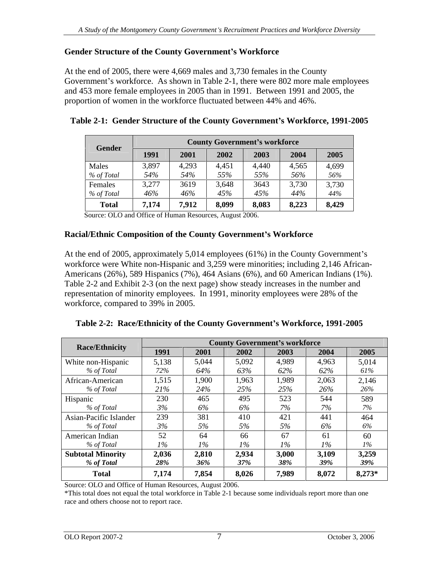# **Gender Structure of the County Government s Workforce**

At the end of 2005, there were 4,669 males and 3,730 females in the County Government's workforce. As shown in Table 2-1, there were 802 more male employees and 453 more female employees in 2005 than in 1991. Between 1991 and 2005, the proportion of women in the workforce fluctuated between 44% and 46%.

| Gender       |       |       | <b>County Government's workforce</b> |           |       |              |
|--------------|-------|-------|--------------------------------------|-----------|-------|--------------|
|              | 1991  | 2001  | 2002                                 | 2003 2004 |       | $\vert$ 2005 |
| Males        | 3,897 | 4,293 | 4,451                                | 4.440     | 4,565 | 4,699        |
| % of Total   | 54%   | 54%   |                                      | 55%       | 560/  |              |
| Females      | 3,277 | 3619  | 3 648                                | 3643      | 2720  | 3,730        |
| % of Total   | 46%   | 46%   |                                      | 45%       | 44%   | 44%          |
| <b>Total</b> | 7,174 | 7,912 | 8,099                                | 8.083     | 8,223 | 8,429        |

| Table 2-1: Gender Structure of the County Government's Workforce, 1991-2005 |  |
|-----------------------------------------------------------------------------|--|
|                                                                             |  |

Source: OLO and Office of Human Resources, August 2006.

#### **Racial/Ethnic Composition of the County Government s Workforce**

At the end of 2005, approximately 5,014 employees (61%) in the County Government's workforce were White non-Hispanic and 3,259 were minorities; including 2,146 African- Americans (26%), 589 Hispanics (7%), 464 Asians (6%), and 60 American Indians (1%). Table 2-2 and Exhibit 2-3 (on the next page) show steady increases in the number and representation of minority employees. In 1991, minority employees were 28% of the workforce, compared to 39% in 2005.

| Table 2-2: Race/Ethnicity of the County Government's Workforce, 1991-2005 |  |
|---------------------------------------------------------------------------|--|
|                                                                           |  |

| <b>Race/Ethnicity</b>    |                        |             |       | <b>County Government's workforce</b> |            |                     |
|--------------------------|------------------------|-------------|-------|--------------------------------------|------------|---------------------|
|                          | 1991                   | 2001        | 2002  | 2003                                 | 2004       | 2005                |
| White non-Hispanic       | 5,138                  | 5,044       | 5,092 | 4,989                                | 4,963      | 5,014               |
| % of Total               | 720<br>1270            | 64%         | 63%   |                                      |            | $01\%$              |
| African-American         | 1,515                  | 1,900       | 1,963 | ,989                                 | 2,063      | 2,146               |
| % of Total               | 210/                   | $A0 \angle$ | 750,  | 250<br>$\overline{\phantom{a}}$      | 26%        | 26%                 |
| Hispanio                 | 230                    | 465         | 495   | 500<br><u>JZJ</u>                    | 544        | 589                 |
| % of Total               | .5%                    | 6%          | 6%    | 170                                  | <i>170</i> | $1\%$               |
| Asian-Pacific Islander   | 239                    | 381         | 410   | 421                                  | 44 I       | 464                 |
| % of Total               |                        | 5%          | 5%    |                                      | 6%         | 6%                  |
| American Indian          | 50 <sub>1</sub><br>ے ب | 64          | 66    |                                      | 61         | $\sim$ $\sim$<br>hl |
| % of Total               | $1\%$                  | $1\%$       | $1\%$ | $1\%$                                | $1\%$      | $\frac{1}{2}$       |
| <b>Subtotal Minority</b> | 2,036                  | 2,810       | 2,934 | 3,000                                | 3,109      | 3,259               |
| % of Total               | 28%                    |             |       |                                      | 39%        | 39%                 |
| <b>Total</b>             | 7,174                  | 7,854       | 8,026 | 7,989                                | 8,072      | $8,273*$            |

Source: OLO and Office of Human Resources, August 2006.

\*This total does not equal the total workforce in Table 2-1 because some individuals report more than one race and others choose not to report race.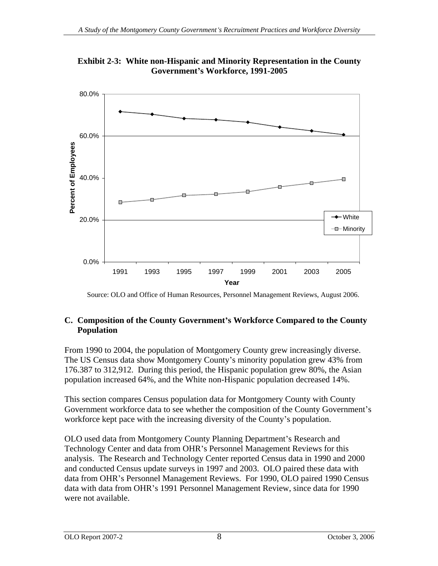

**Exhibit 2-3: White non-Hispanic and Minority Representation in the County Government s Workforce, 1991-2005**

Source: OLO and Office of Human Resources, Personnel Management Reviews, August 2006.

# **C. Composition of the County Government s Workforce Compared to the County Population**

From 1990 to 2004, the population of Montgomery County grew increasingly diverse. The US Census data show Montgomery County's minority population grew 43% from 176.387 to 312,912. During this period, the Hispanic population grew 80%, the Asian population increased 64%, and the White non-Hispanic population decreased 14%.

This section compares Census population data for Montgomery County with County Government workforce data to see whether the composition of the County Government's workforce kept pace with the increasing diversity of the County's population.

OLO used data from Montgomery County Planning Department's Research and Technology Center and data from OHR's Personnel Management Reviews for this analysis. The Research and Technology Center reported Census data in 1990 and 2000 and conducted Census update surveys in 1997 and 2003. OLO paired these data with data from OHR's Personnel Management Reviews. For 1990, OLO paired 1990 Census data with data from OHR's 1991 Personnel Management Review, since data for 1990 were not available.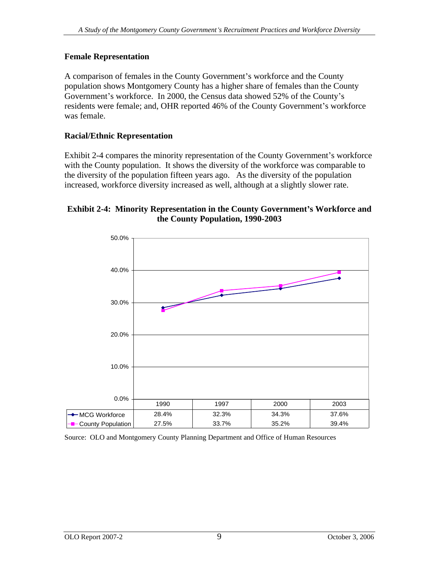# **Female Representation**

A comparison of females in the County Government's workforce and the County population shows Montgomery County has a higher share of females than the County Government's workforce. In 2000, the Census data showed 52% of the County's residents were female; and, OHR reported 46% of the County Government's workforce was female.

### **Racial/Ethnic Representation**

Exhibit 2-4 compares the minority representation of the County Government's workforce with the County population. It shows the diversity of the workforce was comparable to the diversity of the population fifteen years ago. As the diversity of the population increased, workforce diversity increased as well, although at a slightly slower rate.

#### **Exhibit 2-4: Minority Representation in the County Government s Workforce and the County Population, 1990-2003**



Source: OLO and Montgomery County Planning Department and Office of Human Resources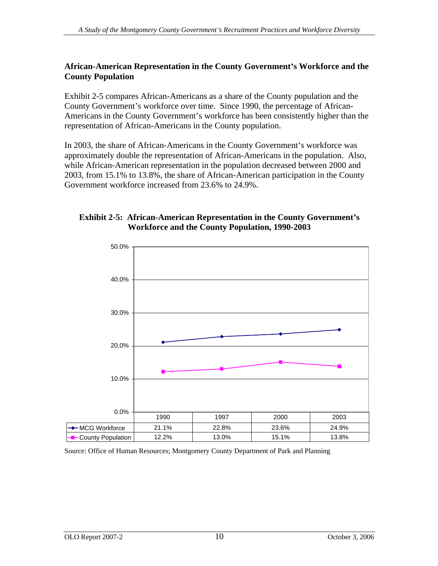#### **African-American Representation in the County Government s Workforce and the County Population**

Exhibit 2-5 compares African-Americans as a share of the County population and the County Government's workforce over time. Since 1990, the percentage of African-Americans in the County Government's workforce has been consistently higher than the representation of African-Americans in the County population.

In 2003, the share of African-Americans in the County Government's workforce was approximately double the representation of African-Americans in the population. Also, while African-American representation in the population decreased between 2000 and 2003, from 15.1% to 13.8%, the share of African-American participation in the County Government workforce increased from 23.6% to 24.9%.

### **Exhibit 2-5: African-American Representation in the County Government s Workforce and the County Population, 1990-2003**



Source: Office of Human Resources; Montgomery County Department of Park and Planning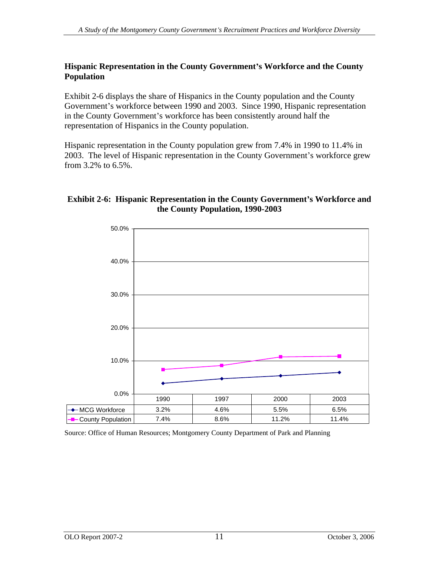#### **Hispanic Representation in the County Government s Workforce and the County Population**

Exhibit 2-6 displays the share of Hispanics in the County population and the County Government's workforce between 1990 and 2003. Since 1990, Hispanic representation in the County Government's workforce has been consistently around half the representation of Hispanics in the County population.

Hispanic representation in the County population grew from 7.4% in 1990 to 11.4% in 2003. The level of Hispanic representation in the County Government's workforce grew from 3.2% to 6.5%.

#### **Exhibit 2-6: Hispanic Representation in the County Government s Workforce and the County Population, 1990-2003**



Source: Office of Human Resources; Montgomery County Department of Park and Planning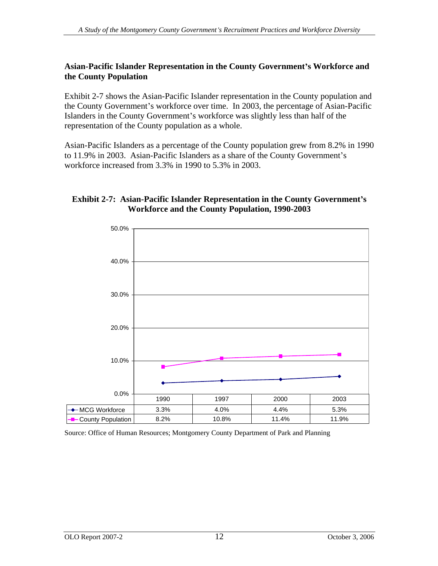#### **Asian-Pacific Islander Representation in the County Government s Workforce and the County Population**

Exhibit 2-7 shows the Asian-Pacific Islander representation in the County population and the County Government's workforce over time. In 2003, the percentage of Asian-Pacific Islanders in the County Government's workforce was slightly less than half of the representation of the County population as a whole.

Asian-Pacific Islanders as a percentage of the County population grew from 8.2% in 1990 to 11.9% in 2003. Asian-Pacific Islanders as a share of the County Government's workforce increased from 3.3% in 1990 to 5.3% in 2003.

#### **Exhibit 2-7: Asian-Pacific Islander Representation in the County Government s Workforce and the County Population, 1990-2003**



Source: Office of Human Resources; Montgomery County Department of Park and Planning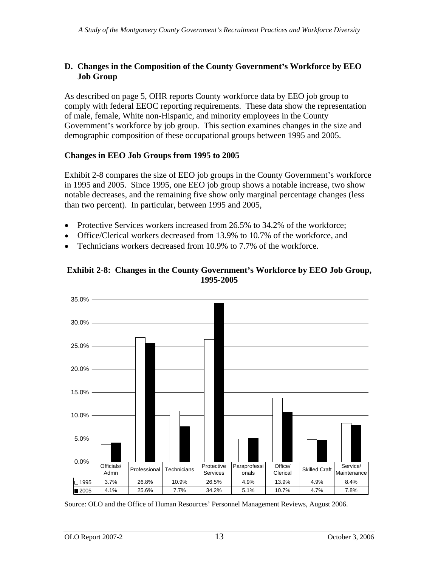#### **D. Changes in the Composition of the County Government s Workforce by EEO Job Group**

As described on page 5, OHR reports County workforce data by EEO job group to comply with federal EEOC reporting requirements. These data show the representation of male, female, White non-Hispanic, and minority employees in the County Government's workforce by job group. This section examines changes in the size and demographic composition of these occupational groups between 1995 and 2005.

#### **Changes in EEO Job Groups from 1995 to 2005**

Exhibit 2-8 compares the size of EEO job groups in the County Government's workforce in 1995 and 2005. Since 1995, one EEO job group shows a notable increase, two show notable decreases, and the remaining five show only marginal percentage changes (less than two percent). In particular, between 1995 and 2005,

- Protective Services workers increased from 26.5% to 34.2% of the workforce;
- Office/Clerical workers decreased from 13.9% to 10.7% of the workforce, and
- Technicians workers decreased from 10.9% to 7.7% of the workforce.





Source: OLO and the Office of Human Resources Personnel Management Reviews, August 2006.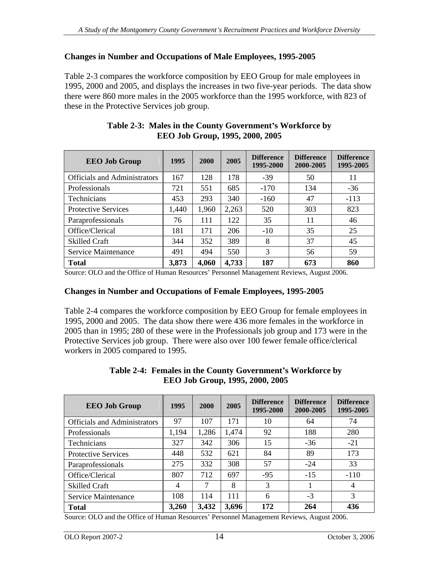#### **Changes in Number and Occupations of Male Employees, 1995-2005**

Table 2-3 compares the workforce composition by EEO Group for male employees in 1995, 2000 and 2005, and displays the increases in two five-year periods. The data show there were 860 more males in the 2005 workforce than the 1995 workforce, with 823 of these in the Protective Services job group.

| <b>EEO Job Group</b>         | 1995  | 2000        | 2005  | <b>Difference</b><br>1995-2000 | 2000-2005 | Difference   Difference<br>1995-2005 |
|------------------------------|-------|-------------|-------|--------------------------------|-----------|--------------------------------------|
| Officials and Administrators | 167   | 128         | 178   | $-39$                          | 50        | 11 -                                 |
| Professionals                | 721   | 551         | 685   | $-170$                         | 134       | $-36$                                |
| Technicians                  | 453   | 293         | 340   | $-160$                         |           | $-113$                               |
| Protective Services          | 1,440 | 1,960       | 2,263 | 520                            | 303       | 823                                  |
| Paraprofessionals            | 76    | 111         | 122   |                                |           | -46                                  |
| Office/Clerical              | 181   | 1/1         | 206   | $-10$                          |           | 25<br>ت                              |
| <b>Skilled Craft</b>         | 344   | 352         | 389   |                                |           | 45                                   |
| Service Maintenance          | 491   | 494         | 550   |                                |           | 50                                   |
| <b>Total</b>                 | 3,873 | 4,060 4,733 |       | 187                            | 673       | 860                                  |

#### **Table 2-3: Males in the County Government s Workforce by EEO Job Group, 1995, 2000, 2005**

Source: OLO and the Office of Human Resources Personnel Management Reviews, August 2006.

#### **Changes in Number and Occupations of Female Employees, 1995-2005**

Table 2-4 compares the workforce composition by EEO Group for female employees in 1995, 2000 and 2005. The data show there were 436 more females in the workforce in 2005 than in 1995; 280 of these were in the Professionals job group and 173 were in the Protective Services job group. There were also over 100 fewer female office/clerical workers in 2005 compared to 1995.

| <b>EEO Job Group</b>         | 1995     | $2000$ 2005   |       | 1995-2000 | Difference   Difference   Difference<br>$\vert$ 2000-2005 | 1995-2005 |
|------------------------------|----------|---------------|-------|-----------|-----------------------------------------------------------|-----------|
| Officials and Administrators | $\Omega$ | 107           | 171   | 10        |                                                           | 71        |
| Professionals                | 1,194    | 1,286         | 1,474 |           | 188                                                       | 280       |
| Technicians                  | 327      | 342           | 306   |           | $-36$                                                     | $-21$     |
| Protective Services          | 448      | 532           | 621   | 84        | 89                                                        | 173       |
| Paraprofessionals            | 275      | 332           | 308   |           | $-24$                                                     | 33        |
| Office/Clerical              | 807      | 712           | 697   | $-95$     | $-15$                                                     | $-110$    |
| <b>Skilled Craft</b>         |          |               |       |           |                                                           |           |
| <b>Service Maintenance</b>   | 108      | 114           | 111   |           |                                                           |           |
| <b>Total</b>                 | 3,260    | $3,432$ 3,696 |       | 172       | 264                                                       | 436       |

#### **Table 2-4: Females in the County Government s Workforce by EEO Job Group, 1995, 2000, 2005**

Source: OLO and the Office of Human Resources' Personnel Management Reviews, August 2006.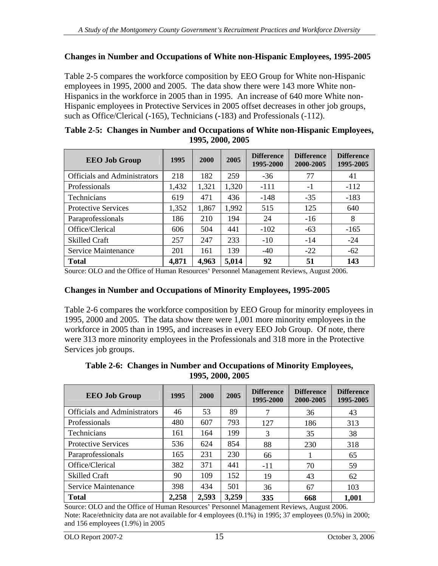#### **Changes in Number and Occupations of White non-Hispanic Employees, 1995-2005**

Table 2-5 compares the workforce composition by EEO Group for White non-Hispanic employees in 1995, 2000 and 2005. The data show there were 143 more White non- Hispanics in the workforce in 2005 than in 1995. An increase of 640 more White non- Hispanic employees in Protective Services in 2005 offset decreases in other job groups, such as Office/Clerical (-165), Technicians (-183) and Professionals (-112).

| Table 2-5: Changes in Number and Occupations of White non-Hispanic Employees, |
|-------------------------------------------------------------------------------|
| 1995, 2000, 2005                                                              |

| <b>EEO Job Group</b>         | 1995  | 2000        | 2005  | <b>Difference</b><br>1995-2000 | <b>Difference</b><br>2000-2005 | <b>Difference</b><br>1995-2005 |
|------------------------------|-------|-------------|-------|--------------------------------|--------------------------------|--------------------------------|
| Officials and Administrators | 218   | 182         | 259   | $-36$                          |                                |                                |
| Professionals                | 1,432 | 1,321       | 1,320 | $-111$                         |                                | $-112$                         |
| Technicians                  | 619   | 471         | 436   | $-148$                         | $-35$                          | $-183$                         |
| Protective Services          | 1,352 | 1,867       | 1,992 | 515                            | 125                            | 640                            |
| Paraprofessionals            | 186   | 210         | 194   | 24                             | $-16$                          |                                |
| Office/Clerical              | 606   | 504         | 441   | $-102$                         | $-63$                          | $-165$                         |
| <b>Skilled Craft</b>         | 257   | 247         | 233   | $-10$                          | -14                            | -24                            |
| Service Maintenance          | 201   | 161         | 139   | $-40$                          | $-22$                          | $-62$                          |
| <b>Total</b>                 | 4,871 | 4,963 5,014 |       | 92                             |                                | 143                            |

Source: OLO and the Office of Human Resources Personnel Management Reviews, August 2006.

#### **Changes in Number and Occupations of Minority Employees, 1995-2005**

Table 2-6 compares the workforce composition by EEO Group for minority employees in 1995, 2000 and 2005. The data show there were 1,001 more minority employees in the workforce in 2005 than in 1995, and increases in every EEO Job Group. Of note, there were 313 more minority employees in the Professionals and 318 more in the Protective Services job groups.

| <b>EEO Job Group</b>                | 1995                  |     | $2000$   2005  | <b>Difference</b><br>1995-2000 | Difference<br>  $2000 - 2005$ | <b>Difference</b><br>1995-2005 |
|-------------------------------------|-----------------------|-----|----------------|--------------------------------|-------------------------------|--------------------------------|
| <b>Officials and Administrators</b> | $\Lambda$             | 53  | $\overline{R}$ |                                |                               | 43                             |
| Professionals                       | 480                   | 607 | 793            | 127                            | 186                           | 313                            |
| Technicians                         | 101                   | 164 | 199            |                                |                               | 38                             |
| Protective Services                 | 536                   | 624 | 854            | 88                             | 230                           | 318                            |
| Paraprofessionals                   | 165                   | 231 | 230            | 66                             |                               | 65                             |
| Office/Clerical                     | 382                   | 371 | 441            | $-11$                          |                               | 59                             |
| <b>Skilled Craft</b>                | 90                    | 109 | 152            |                                | -43                           | 62                             |
| Service Maintenance                 | 398                   | 434 | 501            | 36                             |                               | 103                            |
| <b>Total</b>                        | 2,258   2,593   3,259 |     |                | 335                            | 668                           | 1,001                          |

**Table 2-6: Changes in Number and Occupations of Minority Employees, 1995, 2000, 2005**

Source: OLO and the Office of Human Resources' Personnel Management Reviews, August 2006. Note: Race/ethnicity data are not available for 4 employees (0.1%) in 1995; 37 employees (0.5%) in 2000; and 156 employees (1.9%) in 2005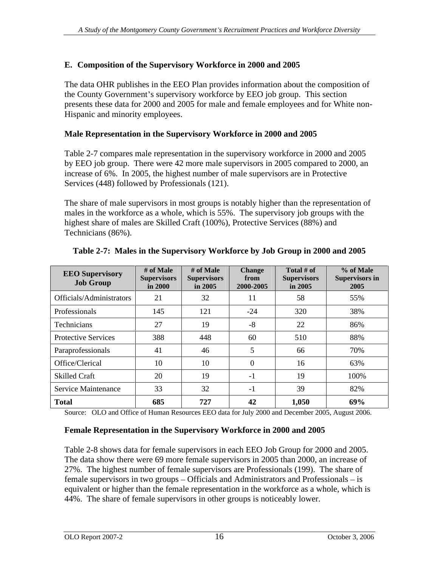### **E. Composition of the Supervisory Workforce in 2000 and 2005**

The data OHR publishes in the EEO Plan provides information about the composition of the County Government's supervisory workforce by EEO job group. This section presents these data for 2000 and 2005 for male and female employees and for White non- Hispanic and minority employees.

### **Male Representation in the Supervisory Workforce in 2000 and 2005**

Table 2-7 compares male representation in the supervisory workforce in 2000 and 2005 by EEO job group. There were 42 more male supervisors in 2005 compared to 2000, an increase of 6%. In 2005, the highest number of male supervisors are in Protective Services (448) followed by Professionals (121).

The share of male supervisors in most groups is notably higher than the representation of males in the workforce as a whole, which is 55%. The supervisory job groups with the highest share of males are Skilled Craft (100%), Protective Services (88%) and Technicians (86%).

|                                     | # of Male             | # of Male   | <b>Change</b>                                             | Total # of         | % of Male      |
|-------------------------------------|-----------------------|-------------|-----------------------------------------------------------|--------------------|----------------|
| <b>EEO Supervisory</b><br>Job Group | Supervisor<br>in 2000 | Supervisors | $\begin{array}{c}\n\text{from} \\ 2000-2005\n\end{array}$ | <b>Supervisors</b> | Supervisors in |
|                                     |                       | $\sin 2005$ |                                                           | $\sin 2005$        | 2005           |
| Officials/Administrators            |                       | ے ر         | $-11$                                                     |                    | 55%            |
| Professionals                       | 145                   | 121         | $-24$                                                     | 320                | 38%            |
| Technicians                         |                       |             |                                                           | 22                 | 86%            |
| Protective Services                 | 388                   | 448         | 60                                                        | 510                | 88%            |
| Paraprofessionals                   |                       | 40          |                                                           | - 66               | 70%            |
| Office/Clerical                     | 10                    |             |                                                           |                    | 63%            |
| <b>Skilled Craft</b>                | ാറ                    | - 19        |                                                           | - 19               | 100%           |
| Service Maintenance                 | 33 <sub>o</sub>       |             |                                                           | - 39               | 82%            |
| <b>Total</b>                        | 685                   | 727         | 42                                                        | 1,050              | 69%            |

# **Table 2-7: Males in the Supervisory Workforce by Job Group in 2000 and 2005**

Source: OLO and Office of Human Resources EEO data for July 2000 and December 2005, August 2006.

#### **Female Representation in the Supervisory Workforce in 2000 and 2005**

Table 2-8 shows data for female supervisors in each EEO Job Group for 2000 and 2005. The data show there were 69 more female supervisors in 2005 than 2000, an increase of 27%. The highest number of female supervisors are Professionals (199). The share of female supervisors in two groups  $-$  Officials and Administrators and Professionals  $-$  is equivalent or higher than the female representation in the workforce as a whole, which is 44%. The share of female supervisors in other groups is noticeably lower.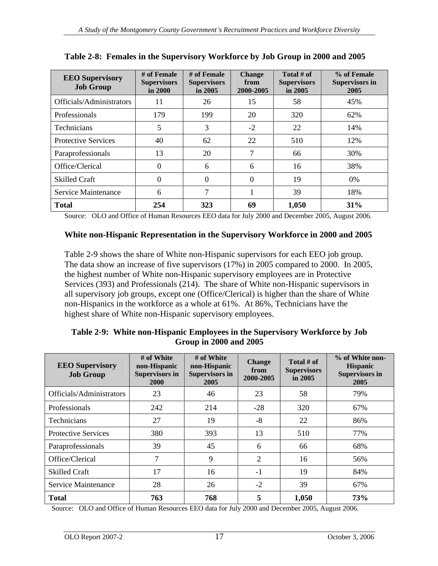| <b>EEO Supervisory</b><br>Job Group | # of Female # of Female   Change<br><b>Supervisol</b> |                        |                                                                                       | Total # of             | % of Female<br><b>Supervisors in</b> |
|-------------------------------------|-------------------------------------------------------|------------------------|---------------------------------------------------------------------------------------|------------------------|--------------------------------------|
|                                     | $\sin 2000$                                           | Supervisors<br>in 2005 | $\begin{array}{ c c c }\n\hline\n\text{from} & \text{2000-2005}\n\hline\n\end{array}$ | Supervisors<br>in 2005 | 2005                                 |
| Officials/Administrators            | <sup>11</sup>                                         |                        | 15                                                                                    |                        | 45%                                  |
| Professionals                       | 179                                                   | 199                    | $\angle U$                                                                            | 320                    | 62%                                  |
| Technicians                         |                                                       |                        |                                                                                       |                        | 14%                                  |
| <b>Protective Services</b>          | 40                                                    | 62                     | 22                                                                                    | 510                    | 12%                                  |
| Paraprofessionals                   | $\mathsf{L}$                                          | $\sim$                 |                                                                                       | 66                     | 30%                                  |
| Office/Clerical                     |                                                       |                        |                                                                                       |                        | 38%                                  |
| Skilled Craft                       |                                                       |                        |                                                                                       | 19                     | 0%                                   |
| Service Maintenance                 |                                                       |                        |                                                                                       |                        | 18%                                  |
| <b>Total</b>                        | 254                                                   | 323                    | 69                                                                                    | 1,050                  | 31%                                  |

**Table 2-8: Females in the Supervisory Workforce by Job Group in 2000 and 2005**

Source: OLO and Office of Human Resources EEO data for July 2000 and December 2005, August 2006.

# **White non-Hispanic Representation in the Supervisory Workforce in 2000 and 2005**

Table 2-9 shows the share of White non-Hispanic supervisors for each EEO job group. The data show an increase of five supervisors (17%) in 2005 compared to 2000. In 2005, the highest number of White non-Hispanic supervisory employees are in Protective Services (393) and Professionals (214). The share of White non-Hispanic supervisors in all supervisory job groups, except one (Office/Clerical) is higher than the share of White non-Hispanics in the workforce as a whole at 61%. At 86%, Technicians have the highest share of White non-Hispanic supervisory employees.

#### **Table 2-9: White non-Hispanic Employees in the Supervisory Workforce by Job Group in 2000 and 2005**

| <b>EEO Supervisory</b><br><b>Job Group</b> | # of White<br>non-H<br>upervis<br>2000 | # of White<br>2005 | <b>Change</b><br>from<br>2000-2005 | Total # of<br>Sunerviso<br>$\ln 2005$ | % of White non-<br><b>Hispan</b><br>Supervisors in |
|--------------------------------------------|----------------------------------------|--------------------|------------------------------------|---------------------------------------|----------------------------------------------------|
| Officials/Administrators                   | $\Omega$                               |                    | 22                                 | $\epsilon$ o                          | 79%                                                |
| Professionals                              | 242<br>242                             | 214                | -∠o                                | 320                                   | 67%                                                |
| Technicians                                | $\mathcal{L}$                          |                    |                                    | 22                                    | 86%                                                |
| Protective Services                        | 380                                    | 393                | 13                                 | 510                                   | 77%                                                |
| Paraprofessionals                          |                                        |                    |                                    | 66                                    | 68%                                                |
| Office/Clerical                            |                                        |                    |                                    | 16                                    | 56%                                                |
| <b>Skilled Craft</b>                       | 17                                     | 16                 |                                    |                                       | 84%                                                |
| Service Maintenance                        |                                        |                    |                                    |                                       |                                                    |
| <b>Total</b>                               | 763<br>7 U.J                           | 768                |                                    | 1,050                                 | 73%                                                |

Source: OLO and Office of Human Resources EEO data for July 2000 and December 2005, August 2006.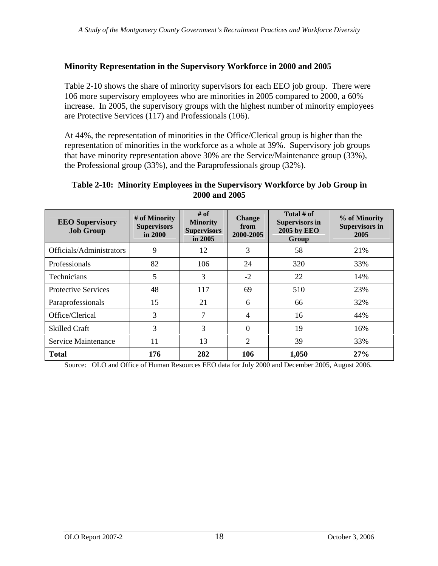### **Minority Representation in the Supervisory Workforce in 2000 and 2005**

Table 2-10 shows the share of minority supervisors for each EEO job group. There were 106 more supervisory employees who are minorities in 2005 compared to 2000, a 60% increase. In 2005, the supervisory groups with the highest number of minority employees are Protective Services (117) and Professionals (106).

At 44%, the representation of minorities in the Office/Clerical group is higher than the representation of minorities in the workforce as a whole at 39%. Supervisory job groups that have minority representation above 30% are the Service/Maintenance group (33%), the Professional group (33%), and the Paraprofessionals group (32%).

#### **Table 2-10: Minority Employees in the Supervisory Workforce by Job Group in 2000 and 2005**

| <b>EEO</b> Supervisory<br><b>Job Group</b>                                                     | # of Minority<br>Supervisors<br>in 2000 | # of<br>Minoriv.<br>Supervisors<br>in 2005 | Chang<br>$\begin{array}{ c c }\n\hline\n\text{from} \\ \text{2000-2005}\n\end{array}$ | Total # of<br>Supervisors i<br>2005 by EEO | % of Minority<br>Supervisors in<br>2005 |
|------------------------------------------------------------------------------------------------|-----------------------------------------|--------------------------------------------|---------------------------------------------------------------------------------------|--------------------------------------------|-----------------------------------------|
| Officials/Administrators                                                                       |                                         |                                            |                                                                                       | Grou                                       | 21%                                     |
| Professionals                                                                                  |                                         | 106                                        |                                                                                       | 320                                        | 33%                                     |
| the contract of the contract of the contract of the contract of the contract of<br>Technicians |                                         |                                            |                                                                                       |                                            | 14%                                     |
| Protective Services                                                                            |                                         | 111                                        | 69                                                                                    | 510                                        | 23%                                     |
| Paraprofessionals                                                                              |                                         |                                            |                                                                                       | 66                                         | 32%                                     |
| Office/Clerical                                                                                |                                         |                                            |                                                                                       |                                            | 44%                                     |
| Skilled Craft                                                                                  |                                         |                                            |                                                                                       |                                            | 16%                                     |
| Service Maintenance                                                                            |                                         |                                            |                                                                                       |                                            | 33%                                     |
| <b>Total</b>                                                                                   | 176                                     | 282                                        | 106                                                                                   | 1,050                                      | 27%                                     |

Source: OLO and Office of Human Resources EEO data for July 2000 and December 2005, August 2006.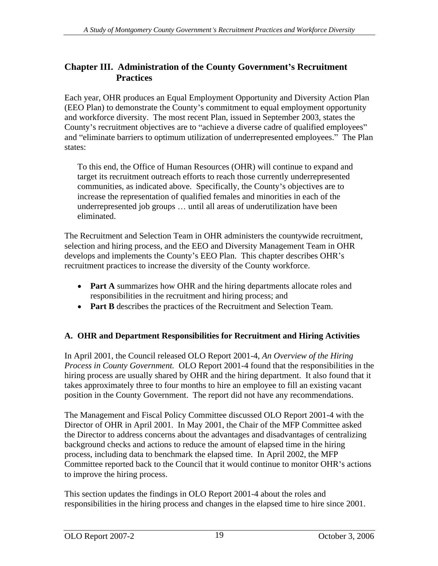# **Chapter III. Administration of the County Government s Recruitment Practices**

Each year, OHR produces an Equal Employment Opportunity and Diversity Action Plan (EEO Plan) to demonstrate the County's commitment to equal employment opportunity and workforce diversity. The most recent Plan, issued in September 2003, states the County's recruitment objectives are to "achieve a diverse cadre of qualified employees" and "eliminate barriers to optimum utilization of underrepresented employees." The Plan states:

To this end, the Office of Human Resources (OHR) will continue to expand and target its recruitment outreach efforts to reach those currently underrepresented communities, as indicated above. Specifically, the County's objectives are to increase the representation of qualified females and minorities in each of the underrepresented job groups ... until all areas of underutilization have been eliminated.

The Recruitment and Selection Team in OHR administers the countywide recruitment, selection and hiring process, and the EEO and Diversity Management Team in OHR develops and implements the County's EEO Plan. This chapter describes OHR's recruitment practices to increase the diversity of the County workforce.

- **Part A** summarizes how OHR and the hiring departments allocate roles and responsibilities in the recruitment and hiring process; and
- **Part B** describes the practices of the Recruitment and Selection Team.

# **A. OHR and Department Responsibilities for Recruitment and Hiring Activities**

In April 2001, the Council released OLO Report 2001-4, *An Overview of the Hiring Process in County Government.* OLO Report 2001-4 found that the responsibilities in the hiring process are usually shared by OHR and the hiring department. It also found that it takes approximately three to four months to hire an employee to fill an existing vacant position in the County Government. The report did not have any recommendations.

The Management and Fiscal Policy Committee discussed OLO Report 2001-4 with the Director of OHR in April 2001. In May 2001, the Chair of the MFP Committee asked the Director to address concerns about the advantages and disadvantages of centralizing background checks and actions to reduce the amount of elapsed time in the hiring process, including data to benchmark the elapsed time. In April 2002, the MFP Committee reported back to the Council that it would continue to monitor OHR's actions to improve the hiring process.

This section updates the findings in OLO Report 2001-4 about the roles and responsibilities in the hiring process and changes in the elapsed time to hire since 2001.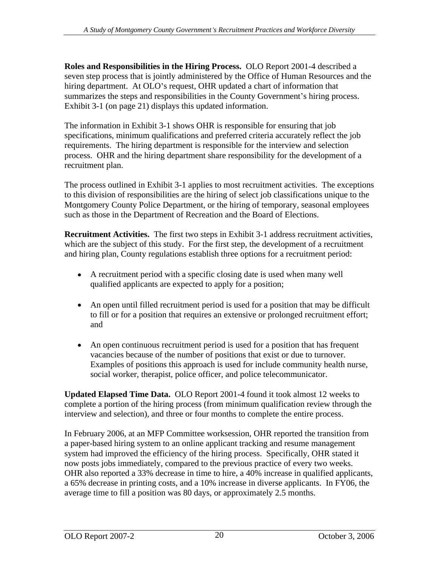**Roles and Responsibilities in the Hiring Process.** OLO Report 2001-4 described a seven step process that is jointly administered by the Office of Human Resources and the hiring department. At OLO's request, OHR updated a chart of information that summarizes the steps and responsibilities in the County Government's hiring process. Exhibit 3-1 (on page 21) displays this updated information.

The information in Exhibit 3-1 shows OHR is responsible for ensuring that job specifications, minimum qualifications and preferred criteria accurately reflect the job requirements. The hiring department is responsible for the interview and selection process. OHR and the hiring department share responsibility for the development of a recruitment plan.

The process outlined in Exhibit 3-1 applies to most recruitment activities. The exceptions to this division of responsibilities are the hiring of select job classifications unique to the Montgomery County Police Department, or the hiring of temporary, seasonal employees such as those in the Department of Recreation and the Board of Elections.

**Recruitment Activities.** The first two steps in Exhibit 3-1 address recruitment activities, which are the subject of this study. For the first step, the development of a recruitment and hiring plan, County regulations establish three options for a recruitment period:

- A recruitment period with a specific closing date is used when many well qualified applicants are expected to apply for a position;
- An open until filled recruitment period is used for a position that may be difficult to fill or for a position that requires an extensive or prolonged recruitment effort; and
- An open continuous recruitment period is used for a position that has frequent vacancies because of the number of positions that exist or due to turnover. Examples of positions this approach is used for include community health nurse, social worker, therapist, police officer, and police telecommunicator.

**Updated Elapsed Time Data.** OLO Report 2001-4 found it took almost 12 weeks to complete a portion of the hiring process (from minimum qualification review through the interview and selection), and three or four months to complete the entire process.

In February 2006, at an MFP Committee worksession, OHR reported the transition from a paper-based hiring system to an online applicant tracking and resume management system had improved the efficiency of the hiring process. Specifically, OHR stated it now posts jobs immediately, compared to the previous practice of every two weeks. OHR also reported a 33% decrease in time to hire, a 40% increase in qualified applicants, a 65% decrease in printing costs, and a 10% increase in diverse applicants. In FY06, the average time to fill a position was 80 days, or approximately 2.5 months.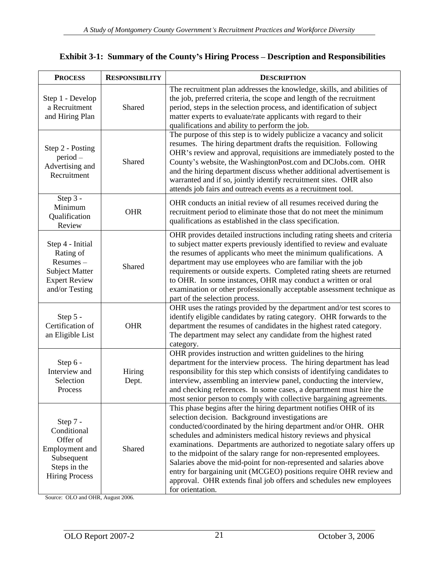| <b>PROCESS</b>                                                                                                | <b>RESPONSIBILITY</b> | <b>DESCRIPTION</b>                                                                                                                                                                                                                                                                                                                                                                                                                                                                                                                                                                                                                                |
|---------------------------------------------------------------------------------------------------------------|-----------------------|---------------------------------------------------------------------------------------------------------------------------------------------------------------------------------------------------------------------------------------------------------------------------------------------------------------------------------------------------------------------------------------------------------------------------------------------------------------------------------------------------------------------------------------------------------------------------------------------------------------------------------------------------|
| Step 1 - Develop<br>a Recruitment<br>and Hiring Plan                                                          | Shared                | The recruitment plan addresses the knowledge, skills, and abilities of<br>the job, preferred criteria, the scope and length of the recruitment<br>period, steps in the selection process, and identification of subject<br>matter experts to evaluate/rate applicants with regard to their<br>qualifications and ability to perform the job.                                                                                                                                                                                                                                                                                                      |
| Step 2 - Posting<br>period –<br>Advertising and<br>Recruitment                                                | Shared                | The purpose of this step is to widely publicize a vacancy and solicit<br>resumes. The hiring department drafts the requisition. Following<br>OHR's review and approval, requisitions are immediately posted to the<br>County's website, the WashingtonPost.com and DCJobs.com. OHR<br>and the hiring department discuss whether additional advertisement is<br>warranted and if so, jointly identify recruitment sites. OHR also<br>attends job fairs and outreach events as a recruitment tool.                                                                                                                                                  |
| Step $3 -$<br>Minimum<br>Qualification<br>Review                                                              | <b>OHR</b>            | OHR conducts an initial review of all resumes received during the<br>recruitment period to eliminate those that do not meet the minimum<br>qualifications as established in the class specification.                                                                                                                                                                                                                                                                                                                                                                                                                                              |
| Step 4 - Initial<br>Rating of<br>Resumes –<br><b>Subject Matter</b><br><b>Expert Review</b><br>and/or Testing | Shared                | OHR provides detailed instructions including rating sheets and criteria<br>to subject matter experts previously identified to review and evaluate<br>the resumes of applicants who meet the minimum qualifications. A<br>department may use employees who are familiar with the job<br>requirements or outside experts. Completed rating sheets are returned<br>to OHR. In some instances, OHR may conduct a written or oral<br>examination or other professionally acceptable assessment technique as<br>part of the selection process.                                                                                                          |
| Step $5 -$<br>Certification of<br>an Eligible List                                                            | OHR                   | OHR uses the ratings provided by the department and/or test scores to<br>identify eligible candidates by rating category. OHR forwards to the<br>department the resumes of candidates in the highest rated category.<br>The department may select any candidate from the highest rated<br>category.                                                                                                                                                                                                                                                                                                                                               |
| Step $6-$<br>Interview and<br>Selection<br><b>Process</b>                                                     | Hiring<br>Dept.       | OHR provides instruction and written guidelines to the hiring<br>department for the interview process. The hiring department has lead<br>responsibility for this step which consists of identifying candidates to<br>interview, assembling an interview panel, conducting the interview,<br>and checking references. In some cases, a department must hire the<br>most senior person to comply with collective bargaining agreements.                                                                                                                                                                                                             |
| Step 7 -<br>Conditional<br>Offer of<br>Employment and<br>Subsequent<br>Steps in the<br><b>Hiring Process</b>  | Shared                | This phase begins after the hiring department notifies OHR of its<br>selection decision. Background investigations are<br>conducted/coordinated by the hiring department and/or OHR. OHR<br>schedules and administers medical history reviews and physical<br>examinations. Departments are authorized to negotiate salary offers up<br>to the midpoint of the salary range for non-represented employees.<br>Salaries above the mid-point for non-represented and salaries above<br>entry for bargaining unit (MCGEO) positions require OHR review and<br>approval. OHR extends final job offers and schedules new employees<br>for orientation. |

#### **Exhibit 3-1: Summary of the County s Hiring Process Description and Responsibilities**

Source: OLO and OHR, August 2006.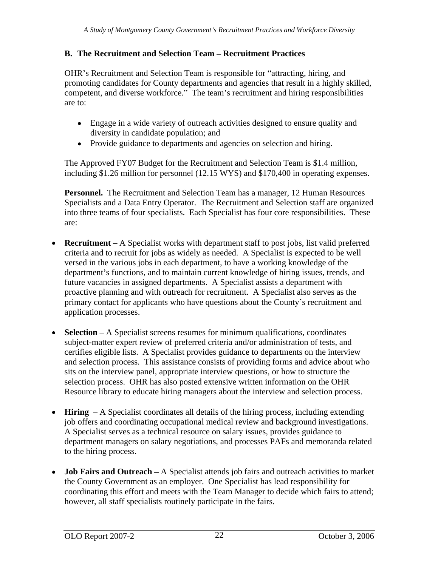# **B.** The Recruitment and Selection Team – Recruitment Practices

OHR's Recruitment and Selection Team is responsible for "attracting, hiring, and promoting candidates for County departments and agencies that result in a highly skilled, competent, and diverse workforce." The team's recruitment and hiring responsibilities are to:

- Engage in a wide variety of outreach activities designed to ensure quality and diversity in candidate population; and
- Provide guidance to departments and agencies on selection and hiring.

The Approved FY07 Budget for the Recruitment and Selection Team is \$1.4 million, including \$1.26 million for personnel (12.15 WYS) and \$170,400 in operating expenses.

**Personnel.** The Recruitment and Selection Team has a manager, 12 Human Resources Specialists and a Data Entry Operator. The Recruitment and Selection staff are organized into three teams of four specialists. Each Specialist has four core responsibilities. These are:

- **Recruitment** A Specialist works with department staff to post jobs, list valid preferred criteria and to recruit for jobs as widely as needed. A Specialist is expected to be well versed in the various jobs in each department, to have a working knowledge of the department's functions, and to maintain current knowledge of hiring issues, trends, and future vacancies in assigned departments. A Specialist assists a department with proactive planning and with outreach for recruitment. A Specialist also serves as the primary contact for applicants who have questions about the County's recruitment and application processes.
- **Selection** A Specialist screens resumes for minimum qualifications, coordinates subject-matter expert review of preferred criteria and/or administration of tests, and certifies eligible lists. A Specialist provides guidance to departments on the interview and selection process. This assistance consists of providing forms and advice about who sits on the interview panel, appropriate interview questions, or how to structure the selection process. OHR has also posted extensive written information on the OHR Resource library to educate hiring managers about the interview and selection process.
- **Hiring**  $-A$  Specialist coordinates all details of the hiring process, including extending job offers and coordinating occupational medical review and background investigations. A Specialist serves as a technical resource on salary issues, provides guidance to department managers on salary negotiations, and processes PAFs and memoranda related to the hiring process.
- **Job Fairs and Outreach** A Specialist attends job fairs and outreach activities to market  $\bullet$ the County Government as an employer. One Specialist has lead responsibility for coordinating this effort and meets with the Team Manager to decide which fairs to attend; however, all staff specialists routinely participate in the fairs.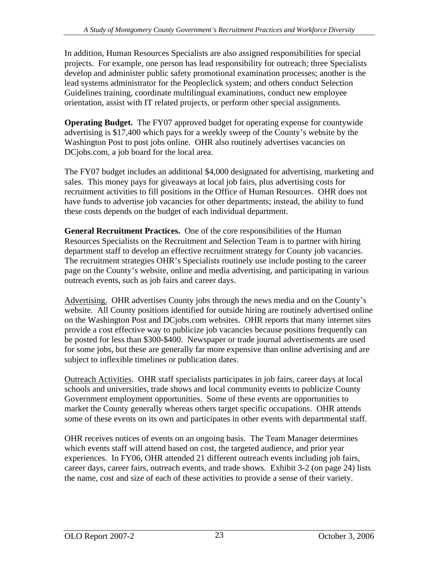In addition, Human Resources Specialists are also assigned responsibilities for special projects. For example, one person has lead responsibility for outreach; three Specialists develop and administer public safety promotional examination processes; another is the lead systems administrator for the Peopleclick system; and others conduct Selection Guidelines training, coordinate multilingual examinations, conduct new employee orientation, assist with IT related projects, or perform other special assignments.

**Operating Budget.** The FY07 approved budget for operating expense for countywide advertising is \$17,400 which pays for a weekly sweep of the County's website by the Washington Post to post jobs online. OHR also routinely advertises vacancies on DCjobs.com, a job board for the local area.

The FY07 budget includes an additional \$4,000 designated for advertising, marketing and sales. This money pays for giveaways at local job fairs, plus advertising costs for recruitment activities to fill positions in the Office of Human Resources. OHR does not have funds to advertise job vacancies for other departments; instead, the ability to fund these costs depends on the budget of each individual department.

**General Recruitment Practices.** One of the core responsibilities of the Human Resources Specialists on the Recruitment and Selection Team is to partner with hiring department staff to develop an effective recruitment strategy for County job vacancies. The recruitment strategies OHR's Specialists routinely use include posting to the career page on the County's website, online and media advertising, and participating in various outreach events, such as job fairs and career days.

Advertising. OHR advertises County jobs through the news media and on the County's website. All County positions identified for outside hiring are routinely advertised online on the Washington Post and DCjobs.com websites. OHR reports that many internet sites provide a cost effective way to publicize job vacancies because positions frequently can be posted for less than \$300-\$400. Newspaper or trade journal advertisements are used for some jobs, but these are generally far more expensive than online advertising and are subject to inflexible timelines or publication dates.

Outreach Activities. OHR staff specialists participates in job fairs, career days at local schools and universities, trade shows and local community events to publicize County Government employment opportunities. Some of these events are opportunities to market the County generally whereas others target specific occupations. OHR attends some of these events on its own and participates in other events with departmental staff.

OHR receives notices of events on an ongoing basis. The Team Manager determines which events staff will attend based on cost, the targeted audience, and prior year experiences. In FY06, OHR attended 21 different outreach events including job fairs, career days, career fairs, outreach events, and trade shows. Exhibit 3-2 (on page 24) lists the name, cost and size of each of these activities to provide a sense of their variety.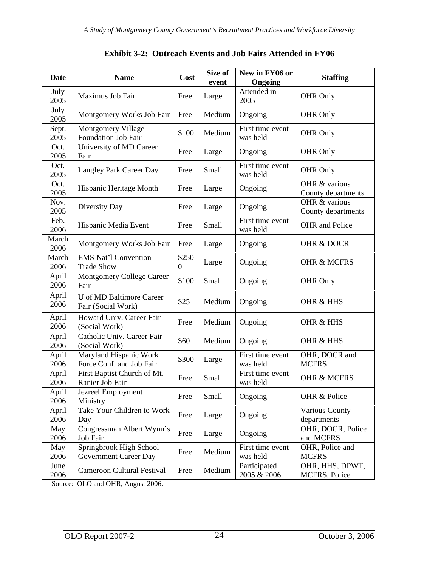| <b>Date</b>          | <b>Name</b>                                                 | Cost           | Size of<br>event | New in FY06 or<br>Ongoing            | <b>Staffing</b>                     |
|----------------------|-------------------------------------------------------------|----------------|------------------|--------------------------------------|-------------------------------------|
| July<br>2005         | Maximus Job Fair                                            | Free Large     |                  | Attended in<br>2005                  | OHR Only                            |
| July<br>2005         | Montgomery Works Job Fair   Free                            |                | Medium           | Ongoing                              | OHR Only                            |
| Sept.<br>2005        | <b>Montgomery Village</b><br>Foundation Job Fair            |                | \$100 Medium     | First time event<br>was held         | OHR Only                            |
| Oct.<br>2005         | University of MD Career<br>Fair                             | Free Large     |                  | Ongoing                              | OHR Only                            |
| Oct.<br>2005         | Langley Park Career Day                                     | Free           | Small            | First time event<br>was held         | OHR Only                            |
| Oct.<br>2005         | Hispanic Heritage Month                                     | Free           | Large            | Ongoing                              | OHR & various<br>County departments |
| Nov.<br>2005         | Diversity Day                                               | Free Large     |                  | Ongoing                              | OHR & various<br>County departments |
| Feb.<br>2006         | Hispanic Media Event                                        | Free Small     |                  | First time event<br>was held         | OHR and Police                      |
| March<br>2006        | Montgomery Works Job Fair   Free                            |                | Large            | Ongoing                              | OHR & DOCR                          |
| 2006                 | March   EMS Nat'l Convention<br><b>Trade Show</b>           | \$250          | Large            | Ongoing                              | OHR & MCFRS                         |
| April<br>$2006$ Fair | Montgomery College Career                                   | $$100$ Small   |                  | Ongoing                              | OHR Only                            |
|                      | April   U of MD Baltimore Career                            | \$25           |                  | Medium   Ongoing                     | OHR & HHS                           |
| 2006                 | Fair (Social Work)<br>April   Howard Univ. Career Fair      |                |                  |                                      |                                     |
| 2006<br>April        | (Social Work)<br>Catholic Univ. Career Fair                 |                |                  | Free   Medium   Ongoing              | OHR & HHS                           |
| 2006                 | (Social Work)<br>  Maryland Hispanic Work                   | \$60           |                  | Medium   Ongoing<br>First time event | OHR & HHS<br>OHR, DOCR and          |
| April<br>2006        | Force Conf. and Job Fair                                    |                | $$300$ Large     | was held                             | <b>MCFRS</b>                        |
|                      | April First Baptist Church of Mt.<br>2006   Ranier Job Fair | Free           | Small            | First time event<br>was held         | OHR & MCFRS                         |
|                      | April Jezreel Employment<br>2006 Ministry                   | Free Small     |                  | Ongoing                              | OHR & Police                        |
| April<br>2006        | Take Your Children to Work<br>Day                           | I Free         | Large            | Ongoing                              | Various County<br>departments       |
|                      | May   Congressman Albert Wynn's  <br>2006 Job Fair          | Free           | Large            | Ongoing                              | OHR, DOCR, Police<br>and MCFRS      |
| May<br>2006          | Springbrook High School<br>Government Career Day            |                | Free   Medium    | First time event<br>was held         | OHR, Police and<br><b>MCFRS</b>     |
| June<br>2006         | <b>Cameroon Cultural Festival</b>                           | $\cdot$   Free | Medium           | Participated<br>2005 & 2006          | OHR, HHS, DPWT,<br>MCFRS, Police    |

#### **Exhibit 3-2: Outreach Events and Job Fairs Attended in FY06**

Source: OLO and OHR, August 2006.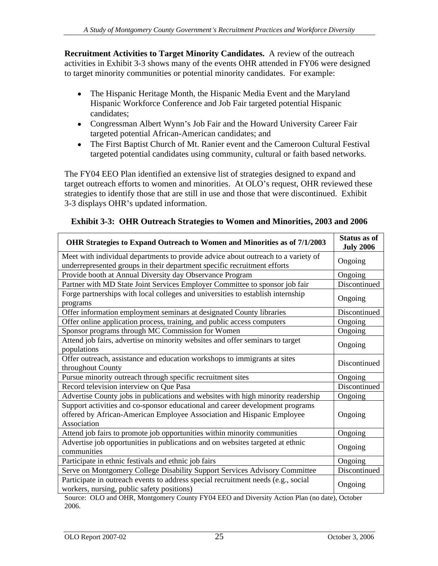**Recruitment Activities to Target Minority Candidates.** A review of the outreach activities in Exhibit 3-3 shows many of the events OHR attended in FY06 were designed to target minority communities or potential minority candidates. For example:

- $\bullet$ The Hispanic Heritage Month, the Hispanic Media Event and the Maryland Hispanic Workforce Conference and Job Fair targeted potential Hispanic candidates;
- Congressman Albert Wynn's Job Fair and the Howard University Career Fair targeted potential African-American candidates; and
- The First Baptist Church of Mt. Ranier event and the Cameroon Cultural Festival targeted potential candidates using community, cultural or faith based networks.

The FY04 EEO Plan identified an extensive list of strategies designed to expand and target outreach efforts to women and minorities. At OLO's request, OHR reviewed these strategies to identify those that are still in use and those that were discontinued. Exhibit 3-3 displays OHR's updated information.

| OHR Strategies to Expand Outreach to Women and Minorities as of 7/1/2003                                                                                               | <b>Status as of</b>     |
|------------------------------------------------------------------------------------------------------------------------------------------------------------------------|-------------------------|
|                                                                                                                                                                        | <b>July 2006</b>        |
| Meet with individual departments to provide advice about outreach to a variety of<br>underrepresented groups in their department specific recruitment efforts          | Ongoing                 |
| Provide booth at Annual Diversity day Observance Program                                                                                                               | Ongoing                 |
| Partner with MD State Joint Services Employer Committee to sponsor job fair                                                                                            | Discontinued            |
| Forge partnerships with local colleges and universities to establish internship<br>programs                                                                            | Ongoing                 |
| Offer information employment seminars at designated County libraries                                                                                                   | Discontinued            |
| Offer online application process, training, and public access computers                                                                                                | Ongoing                 |
| Sponsor programs through MC Commission for Women                                                                                                                       | Ongoing                 |
| Attend job fairs, advertise on minority websites and offer seminars to target<br>populations                                                                           | Ongoing                 |
| Offer outreach, assistance and education workshops to immigrants at sites<br>throughout County                                                                         | Discontinued            |
| Pursue minority outreach through specific recruitment sites                                                                                                            | Ongoing                 |
| Record television interview on Que Pasa                                                                                                                                | Discontinued            |
| Advertise County jobs in publications and websites with high minority readership                                                                                       | Ongoing                 |
| Support activities and co-sponsor educational and career development programs<br>offered by African-American Employee Association and Hispanic Employee<br>Association | Ongoing                 |
| Attend job fairs to promote job opportunities within minority communities                                                                                              | Ongoing                 |
| Advertise job opportunities in publications and on websites targeted at ethnic<br>communities                                                                          | Ongoing                 |
|                                                                                                                                                                        |                         |
| Participate in ethnic festivals and ethnic job fairs                                                                                                                   |                         |
| Serve on Montgomery College Disability Support Services Advisory Committee                                                                                             | Ongoing<br>Discontinued |

| Exhibit 3-3: OHR Outreach Strategies to Women and Minorities, 2003 and 2006 |  |  |
|-----------------------------------------------------------------------------|--|--|
|                                                                             |  |  |

Source: OLO and OHR, Montgomery County FY04 EEO and Diversity Action Plan (no date), October 2006.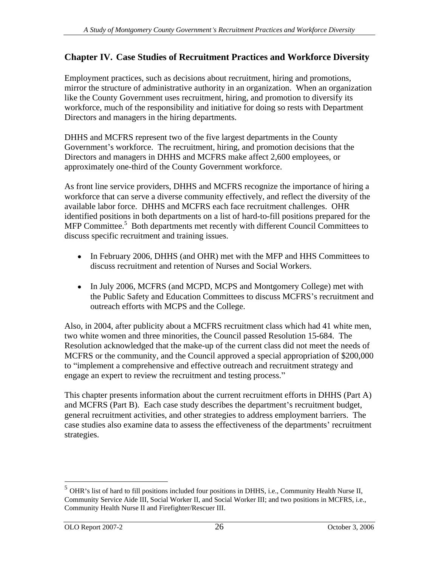# **Chapter IV. Case Studies of Recruitment Practices and Workforce Diversity**

Employment practices, such as decisions about recruitment, hiring and promotions, mirror the structure of administrative authority in an organization. When an organization like the County Government uses recruitment, hiring, and promotion to diversify its workforce, much of the responsibility and initiative for doing so rests with Department Directors and managers in the hiring departments.

DHHS and MCFRS represent two of the five largest departments in the County Government's workforce. The recruitment, hiring, and promotion decisions that the Directors and managers in DHHS and MCFRS make affect 2,600 employees, or approximately one-third of the County Government workforce.

As front line service providers, DHHS and MCFRS recognize the importance of hiring a workforce that can serve a diverse community effectively, and reflect the diversity of the available labor force. DHHS and MCFRS each face recruitment challenges. OHR identified positions in both departments on a list of hard-to-fill positions prepared for the MFP Committee.<sup>5</sup> Both departments met recently with different Council Committees to discuss specific recruitment and training issues.

- In February 2006, DHHS (and OHR) met with the MFP and HHS Committees to discuss recruitment and retention of Nurses and Social Workers.
- In July 2006, MCFRS (and MCPD, MCPS and Montgomery College) met with the Public Safety and Education Committees to discuss MCFRS's recruitment and outreach efforts with MCPS and the College.

Also, in 2004, after publicity about a MCFRS recruitment class which had 41 white men, two white women and three minorities, the Council passed Resolution 15-684. The Resolution acknowledged that the make-up of the current class did not meet the needs of MCFRS or the community, and the Council approved a special appropriation of \$200,000 to "implement a comprehensive and effective outreach and recruitment strategy and engage an expert to review the recruitment and testing process."

This chapter presents information about the current recruitment efforts in DHHS (Part A) and MCFRS (Part B). Each case study describes the department's recruitment budget, general recruitment activities, and other strategies to address employment barriers. The case studies also examine data to assess the effectiveness of the departments recruitment strategies.

 $<sup>5</sup>$  OHR's list of hard to fill positions included four positions in DHHS, i.e., Community Health Nurse II,</sup> Community Service Aide III, Social Worker II, and Social Worker III; and two positions in MCFRS, i.e., Community Health Nurse II and Firefighter/Rescuer III.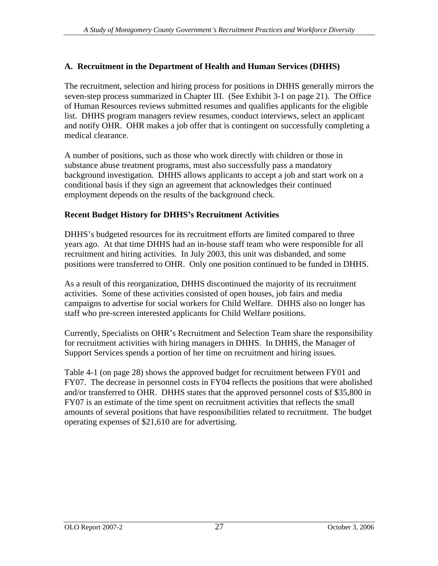# **A. Recruitment in the Department of Health and Human Services (DHHS)**

The recruitment, selection and hiring process for positions in DHHS generally mirrors the seven-step process summarized in Chapter III. (See Exhibit 3-1 on page 21). The Office of Human Resources reviews submitted resumes and qualifies applicants for the eligible list. DHHS program managers review resumes, conduct interviews, select an applicant and notify OHR. OHR makes a job offer that is contingent on successfully completing a medical clearance.

A number of positions, such as those who work directly with children or those in substance abuse treatment programs, must also successfully pass a mandatory background investigation. DHHS allows applicants to accept a job and start work on a conditional basis if they sign an agreement that acknowledges their continued employment depends on the results of the background check.

# **Recent Budget History for DHHS s Recruitment Activities**

DHHS's budgeted resources for its recruitment efforts are limited compared to three years ago. At that time DHHS had an in-house staff team who were responsible for all recruitment and hiring activities. In July 2003, this unit was disbanded, and some positions were transferred to OHR. Only one position continued to be funded in DHHS.

As a result of this reorganization, DHHS discontinued the majority of its recruitment activities. Some of these activities consisted of open houses, job fairs and media campaigns to advertise for social workers for Child Welfare. DHHS also no longer has staff who pre-screen interested applicants for Child Welfare positions.

Currently, Specialists on OHR's Recruitment and Selection Team share the responsibility for recruitment activities with hiring managers in DHHS. In DHHS, the Manager of Support Services spends a portion of her time on recruitment and hiring issues.

Table 4-1 (on page 28) shows the approved budget for recruitment between FY01 and FY07. The decrease in personnel costs in FY04 reflects the positions that were abolished and/or transferred to OHR. DHHS states that the approved personnel costs of \$35,800 in FY07 is an estimate of the time spent on recruitment activities that reflects the small amounts of several positions that have responsibilities related to recruitment. The budget operating expenses of \$21,610 are for advertising.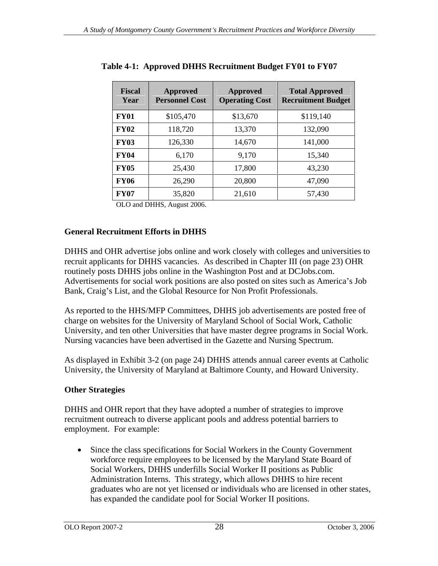| Fiscal<br>Year | <b>Approved</b><br><b>Personnel Cost</b> | <b>Approved</b> | <b>Total Approved</b><br>Operating Cost   Recruitment Budget |
|----------------|------------------------------------------|-----------------|--------------------------------------------------------------|
| <b>FY01</b>    | \$105,470                                | \$13,670        | \$119,140                                                    |
| <b>FY02</b>    | 118,720                                  | 13,370          | 132,090                                                      |
| <b>FY03</b>    | 126,330                                  | 14,670          | 141,000                                                      |
| <b>FY04</b>    | 6,170                                    | 9,170           | 15,340                                                       |
| <b>FY05</b>    | 25,430                                   | 17,800          | 43,230                                                       |
| <b>FY06</b>    | 26,290                                   | 20,800          | 47,090                                                       |
| <b>FY07</b>    | 35,820                                   | 21,610          | 57,430                                                       |

**Table 4-1: Approved DHHS Recruitment Budget FY01 to FY07**

OLO and DHHS, August 2006.

# **General Recruitment Efforts in DHHS**

DHHS and OHR advertise jobs online and work closely with colleges and universities to recruit applicants for DHHS vacancies. As described in Chapter III (on page 23) OHR routinely posts DHHS jobs online in the Washington Post and at DCJobs.com. Advertisements for social work positions are also posted on sites such as America's Job Bank, Craig's List, and the Global Resource for Non Profit Professionals.

As reported to the HHS/MFP Committees, DHHS job advertisements are posted free of charge on websites for the University of Maryland School of Social Work, Catholic University, and ten other Universities that have master degree programs in Social Work. Nursing vacancies have been advertised in the Gazette and Nursing Spectrum.

As displayed in Exhibit 3-2 (on page 24) DHHS attends annual career events at Catholic University, the University of Maryland at Baltimore County, and Howard University.

# **Other Strategies**

DHHS and OHR report that they have adopted a number of strategies to improve recruitment outreach to diverse applicant pools and address potential barriers to employment. For example:

Since the class specifications for Social Workers in the County Government workforce require employees to be licensed by the Maryland State Board of Social Workers, DHHS underfills Social Worker II positions as Public Administration Interns. This strategy, which allows DHHS to hire recent graduates who are not yet licensed or individuals who are licensed in other states, has expanded the candidate pool for Social Worker II positions.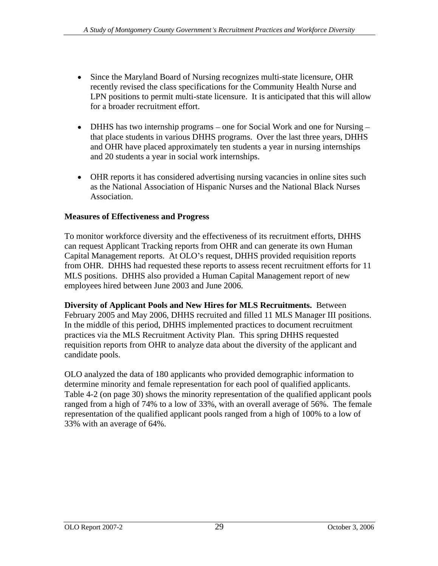- Since the Maryland Board of Nursing recognizes multi-state licensure, OHR recently revised the class specifications for the Community Health Nurse and LPN positions to permit multi-state licensure. It is anticipated that this will allow for a broader recruitment effort.
- DHHS has two internship programs one for Social Work and one for Nursing that place students in various DHHS programs. Over the last three years, DHHS and OHR have placed approximately ten students a year in nursing internships and 20 students a year in social work internships.
- OHR reports it has considered advertising nursing vacancies in online sites such as the National Association of Hispanic Nurses and the National Black Nurses Association.

# **Measures of Effectiveness and Progress**

To monitor workforce diversity and the effectiveness of its recruitment efforts, DHHS can request Applicant Tracking reports from OHR and can generate its own Human Capital Management reports. At OLO's request, DHHS provided requisition reports from OHR. DHHS had requested these reports to assess recent recruitment efforts for 11 MLS positions. DHHS also provided a Human Capital Management report of new employees hired between June 2003 and June 2006.

**Diversity of Applicant Pools and New Hires for MLS Recruitments.** Between February 2005 and May 2006, DHHS recruited and filled 11 MLS Manager III positions. In the middle of this period, DHHS implemented practices to document recruitment practices via the MLS Recruitment Activity Plan. This spring DHHS requested requisition reports from OHR to analyze data about the diversity of the applicant and candidate pools.

OLO analyzed the data of 180 applicants who provided demographic information to determine minority and female representation for each pool of qualified applicants. Table 4-2 (on page 30) shows the minority representation of the qualified applicant pools ranged from a high of 74% to a low of 33%, with an overall average of 56%. The female representation of the qualified applicant pools ranged from a high of 100% to a low of 33% with an average of 64%.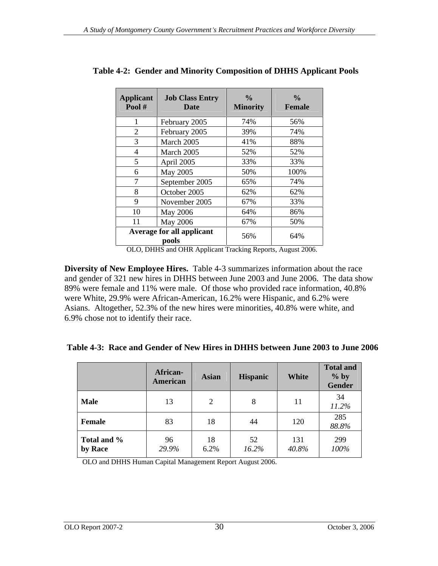|                | Applicant   Job Class Entry      |          |               |
|----------------|----------------------------------|----------|---------------|
| Pool # $\vert$ | <b>Date</b>                      | Minority | <b>Female</b> |
|                |                                  |          |               |
|                | February 2005                    | 74%      | 56%           |
|                | February 2005                    | 39%      | 74%           |
|                | March 2005                       | 41%      | 88%           |
|                |                                  |          |               |
|                | March 2005                       | 52%      | 52%           |
|                | April 2005                       | 33%      | 33%           |
|                | May 2005                         | 50%      | 100%          |
|                | September 2005                   | 65%      | 74%           |
|                | October 2005                     | 62%      | 62%           |
|                |                                  |          |               |
|                | November 2005                    | 67%      | 33%           |
|                | May 2006                         | 64%      | 86%           |
|                | <b>May 2006</b>                  | 67%      | 50%           |
|                | <b>Average for all applicant</b> |          |               |
|                | pools                            | 56%      | 64%           |

**Table 4-2: Gender and Minority Composition of DHHS Applicant Pools**

OLO, DHHS and OHR Applicant Tracking Reports, August 2006.

**Diversity of New Employee Hires.** Table 4-3 summarizes information about the race and gender of 321 new hires in DHHS between June 2003 and June 2006. The data show 89% were female and 11% were male. Of those who provided race information, 40.8% were White, 29.9% were African-American, 16.2% were Hispanic, and 6.2% were Asians. Altogether, 52.3% of the new hires were minorities, 40.8% were white, and 6.9% chose not to identify their race.

|                        | African-<br>American | Asian | Hispanic       | <b>White</b> | <b>Total and</b><br>$\%$ by<br>Gender |
|------------------------|----------------------|-------|----------------|--------------|---------------------------------------|
| <b>Male</b>            |                      |       |                |              | 11.2%                                 |
| Female                 | 83                   |       | 44             | 120          | 285<br>88.8%                          |
| Total and %<br>by Race | $\frac{96}{29.9\%}$  | 6.2%  | ັ້<br>$16.2\%$ | $40.8\%$     | 299<br>100%                           |

OLO and DHHS Human Capital Management Report August 2006.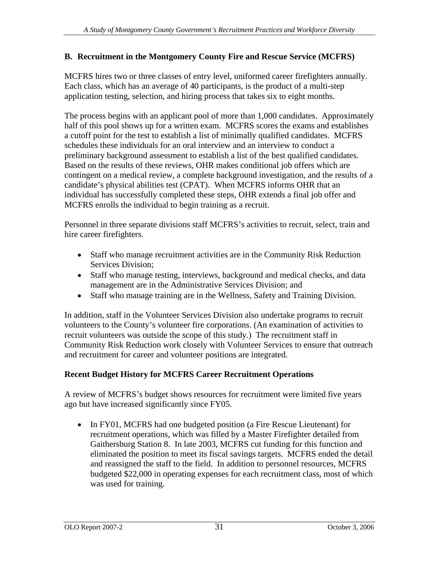# **B. Recruitment in the Montgomery County Fire and Rescue Service (MCFRS)**

MCFRS hires two or three classes of entry level, uniformed career firefighters annually. Each class, which has an average of 40 participants, is the product of a multi-step application testing, selection, and hiring process that takes six to eight months.

The process begins with an applicant pool of more than 1,000 candidates. Approximately half of this pool shows up for a written exam. MCFRS scores the exams and establishes a cutoff point for the test to establish a list of minimally qualified candidates. MCFRS schedules these individuals for an oral interview and an interview to conduct a preliminary background assessment to establish a list of the best qualified candidates. Based on the results of these reviews, OHR makes conditional job offers which are contingent on a medical review, a complete background investigation, and the results of a candidate's physical abilities test (CPAT). When MCFRS informs OHR that an individual has successfully completed these steps, OHR extends a final job offer and MCFRS enrolls the individual to begin training as a recruit.

Personnel in three separate divisions staff MCFRS's activities to recruit, select, train and hire career firefighters.

- Staff who manage recruitment activities are in the Community Risk Reduction Services Division;
- Staff who manage testing, interviews, background and medical checks, and data management are in the Administrative Services Division; and
- Staff who manage training are in the Wellness, Safety and Training Division.

In addition, staff in the Volunteer Services Division also undertake programs to recruit volunteers to the County's volunteer fire corporations. (An examination of activities to recruit volunteers was outside the scope of this study.) The recruitment staff in Community Risk Reduction work closely with Volunteer Services to ensure that outreach and recruitment for career and volunteer positions are integrated.

# **Recent Budget History for MCFRS Career Recruitment Operations**

A review of MCFRS's budget shows resources for recruitment were limited five years ago but have increased significantly since FY05.

• In FY01, MCFRS had one budgeted position (a Fire Rescue Lieutenant) for recruitment operations, which was filled by a Master Firefighter detailed from Gaithersburg Station 8. In late 2003, MCFRS cut funding for this function and eliminated the position to meet its fiscal savings targets. MCFRS ended the detail and reassigned the staff to the field. In addition to personnel resources, MCFRS budgeted \$22,000 in operating expenses for each recruitment class, most of which was used for training.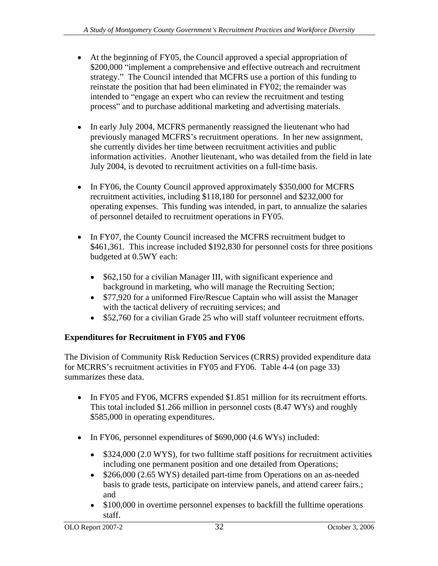- At the beginning of FY05, the Council approved a special appropriation of \$200,000 "implement a comprehensive and effective outreach and recruitment strategy." The Council intended that MCFRS use a portion of this funding to reinstate the position that had been eliminated in FY02; the remainder was intended to "engage an expert who can review the recruitment and testing process" and to purchase additional marketing and advertising materials.
- In early July 2004, MCFRS permanently reassigned the lieutenant who had previously managed MCFRS's recruitment operations. In her new assignment, she currently divides her time between recruitment activities and public information activities. Another lieutenant, who was detailed from the field in late July 2004, is devoted to recruitment activities on a full-time basis.
- In FY06, the County Council approved approximately \$350,000 for MCFRS recruitment activities, including \$118,180 for personnel and \$232,000 for operating expenses. This funding was intended, in part, to annualize the salaries of personnel detailed to recruitment operations in FY05.
- In FY07, the County Council increased the MCFRS recruitment budget to \$461,361. This increase included \$192,830 for personnel costs for three positions budgeted at 0.5WY each:
	- $\bullet$ \$62,150 for a civilian Manager III, with significant experience and background in marketing, who will manage the Recruiting Section;
	- \$77,920 for a uniformed Fire/Rescue Captain who will assist the Manager with the tactical delivery of recruiting services; and
	- \$52,760 for a civilian Grade 25 who will staff volunteer recruitment efforts.  $\bullet$

# **Expenditures for Recruitment in FY05 and FY06**

The Division of Community Risk Reduction Services (CRRS) provided expenditure data for MCRRS's recruitment activities in FY05 and FY06. Table 4-4 (on page 33) summarizes these data.

- In FY05 and FY06, MCFRS expended \$1.851 million for its recruitment efforts. This total included \$1.266 million in personnel costs (8.47 WYs) and roughly \$585,000 in operating expenditures.
- In FY06, personnel expenditures of \$690,000 (4.6 WYs) included:
	- \$324,000 (2.0 WYS), for two fulltime staff positions for recruitment activities including one permanent position and one detailed from Operations;
	- \$266,000 (2.65 WYS) detailed part-time from Operations on an as-needed  $\bullet$ basis to grade tests, participate on interview panels, and attend career fairs.; and
	- \$100,000 in overtime personnel expenses to backfill the fulltime operations  $\bullet$ staff.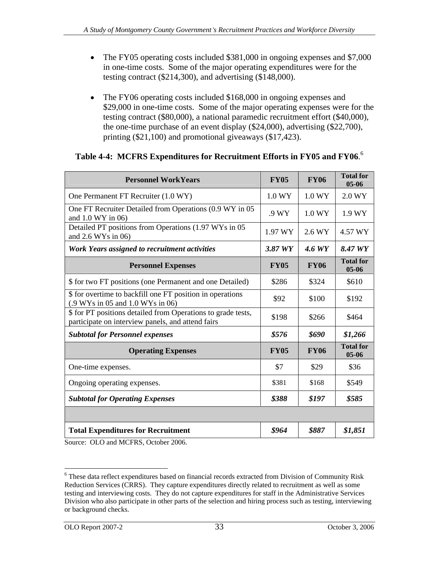- The FY05 operating costs included \$381,000 in ongoing expenses and \$7,000  $\bullet$ in one-time costs. Some of the major operating expenditures were for the testing contract (\$214,300), and advertising (\$148,000).
- The FY06 operating costs included \$168,000 in ongoing expenses and  $\bullet$ \$29,000 in one-time costs. Some of the major operating expenses were for the testing contract (\$80,000), a national paramedic recruitment effort (\$40,000), the one-time purchase of an event display (\$24,000), advertising (\$22,700), printing (\$21,100) and promotional giveaways (\$17,423).

## **Table 4-4: MCFRS Expenditures for Recruitment Efforts in FY05 and FY06**.<sup>6</sup>

| <b>Personnel WorkYears</b>                                                                                        | <b>FY05</b> | <b>FY06</b> | <b>Total for</b><br>05-06        |
|-------------------------------------------------------------------------------------------------------------------|-------------|-------------|----------------------------------|
| One Permanent FT Recruiter (1.0 WY)                                                                               | 1.0 WY      | 1.0 WY      | 2.0 WY                           |
| One FT Recruiter Detailed from Operations (0.9 WY in 05<br>and $1.0 WY$ in 06)                                    | .9 WY       | 1.0 WY      | 1.9 WY                           |
| Detailed PT positions from Operations (1.97 WYs in 05<br>and $2.6$ WYs in 06)                                     |             |             | $1.97 \text{ WY}$ 2.6 WY 4.57 WY |
| Work Years assigned to recruitment activities                                                                     | 3.87 WY     |             | 4.6 WY $\big  8.47 WY \big $     |
| <b>Personnel Expenses</b>                                                                                         | <b>FY05</b> | <b>FY06</b> | <b>Total for</b><br>05-06        |
| \$ for two FT positions (one Permanent and one Detailed)                                                          | \$286       | \$324       | \$610                            |
| \$ for overtime to backfill one FT position in operations<br>(0.9 WYs in 05 and 1.0 WYs in 06)                    | \$92        | \$100       | \$192                            |
| \$ for PT positions detailed from Operations to grade tests,<br>participate on interview panels, and attend fairs | \$198       | \$266       | \$464                            |
| <b>Subtotal for Personnel expenses</b>                                                                            | \$576       | \$690       | \$1,266                          |
| <b>Operating Expenses</b>                                                                                         | <b>FY05</b> | <b>FY06</b> | <b>Total for</b><br>05-06        |
| One-time expenses.                                                                                                | $\Im$       | \$29        | \$36                             |
| Ongoing operating expenses.                                                                                       | \$381       | \$168       | \$549                            |
| <b>Subtotal for Operating Expenses</b>                                                                            | \$388       | \$197       | \$585                            |
|                                                                                                                   |             |             |                                  |
| <b>Total Expenditures for Recruitment</b>                                                                         | \$964       | \$887       | \$1,851                          |
| $\mathcal{M} \cap \mathcal{M}$ and $\mathcal{M}$ and $\mathcal{M}$ and $\mathcal{M}$                              |             |             |                                  |

Source: OLO and MCFRS, October 2006.

 <sup>6</sup> These data reflect expenditures based on financial records extracted from Division of Community Risk Reduction Services (CRRS). They capture expenditures directly related to recruitment as well as some testing and interviewing costs. They do not capture expenditures for staff in the Administrative Services Division who also participate in other parts of the selection and hiring process such as testing, interviewing or background checks.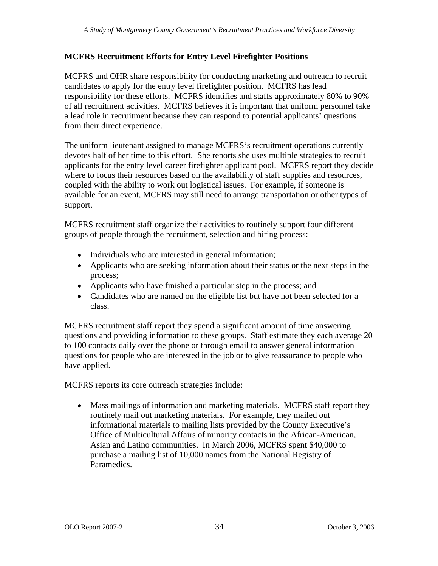# **MCFRS Recruitment Efforts for Entry Level Firefighter Positions**

MCFRS and OHR share responsibility for conducting marketing and outreach to recruit candidates to apply for the entry level firefighter position. MCFRS has lead responsibility for these efforts. MCFRS identifies and staffs approximately 80% to 90% of all recruitment activities. MCFRS believes it is important that uniform personnel take a lead role in recruitment because they can respond to potential applicants' questions from their direct experience.

The uniform lieutenant assigned to manage MCFRS's recruitment operations currently devotes half of her time to this effort. She reports she uses multiple strategies to recruit applicants for the entry level career firefighter applicant pool. MCFRS report they decide where to focus their resources based on the availability of staff supplies and resources, coupled with the ability to work out logistical issues. For example, if someone is available for an event, MCFRS may still need to arrange transportation or other types of support.

MCFRS recruitment staff organize their activities to routinely support four different groups of people through the recruitment, selection and hiring process:

- Individuals who are interested in general information;
- Applicants who are seeking information about their status or the next steps in the process;
- Applicants who have finished a particular step in the process; and
- Candidates who are named on the eligible list but have not been selected for a class.

MCFRS recruitment staff report they spend a significant amount of time answering questions and providing information to these groups. Staff estimate they each average 20 to 100 contacts daily over the phone or through email to answer general information questions for people who are interested in the job or to give reassurance to people who have applied.

MCFRS reports its core outreach strategies include:

• Mass mailings of information and marketing materials. MCFRS staff report they routinely mail out marketing materials. For example, they mailed out informational materials to mailing lists provided by the County Executive's Office of Multicultural Affairs of minority contacts in the African-American, Asian and Latino communities. In March 2006, MCFRS spent \$40,000 to purchase a mailing list of 10,000 names from the National Registry of Paramedics.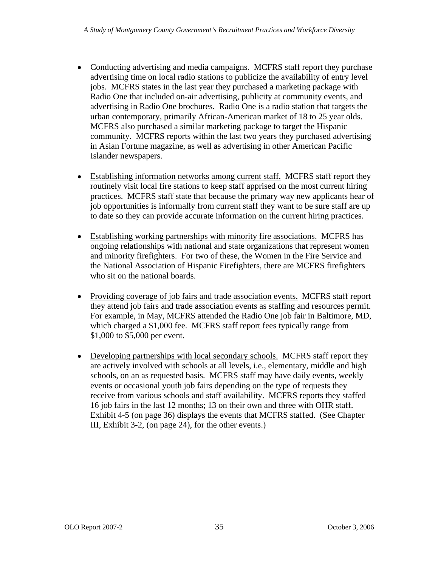- Conducting advertising and media campaigns. MCFRS staff report they purchase advertising time on local radio stations to publicize the availability of entry level jobs. MCFRS states in the last year they purchased a marketing package with Radio One that included on-air advertising, publicity at community events, and advertising in Radio One brochures. Radio One is a radio station that targets the urban contemporary, primarily African-American market of 18 to 25 year olds. MCFRS also purchased a similar marketing package to target the Hispanic community. MCFRS reports within the last two years they purchased advertising in Asian Fortune magazine, as well as advertising in other American Pacific Islander newspapers.
- Establishing information networks among current staff. MCFRS staff report they routinely visit local fire stations to keep staff apprised on the most current hiring practices. MCFRS staff state that because the primary way new applicants hear of job opportunities is informally from current staff they want to be sure staff are up to date so they can provide accurate information on the current hiring practices.
- Establishing working partnerships with minority fire associations. MCFRS has ongoing relationships with national and state organizations that represent women and minority firefighters. For two of these, the Women in the Fire Service and the National Association of Hispanic Firefighters, there are MCFRS firefighters who sit on the national boards.
- Providing coverage of job fairs and trade association events. MCFRS staff report they attend job fairs and trade association events as staffing and resources permit. For example, in May, MCFRS attended the Radio One job fair in Baltimore, MD, which charged a \$1,000 fee. MCFRS staff report fees typically range from \$1,000 to \$5,000 per event.
- Developing partnerships with local secondary schools. MCFRS staff report they are actively involved with schools at all levels, i.e., elementary, middle and high schools, on an as requested basis. MCFRS staff may have daily events, weekly events or occasional youth job fairs depending on the type of requests they receive from various schools and staff availability. MCFRS reports they staffed 16 job fairs in the last 12 months; 13 on their own and three with OHR staff. Exhibit 4-5 (on page 36) displays the events that MCFRS staffed. (See Chapter III, Exhibit 3-2, (on page 24), for the other events.)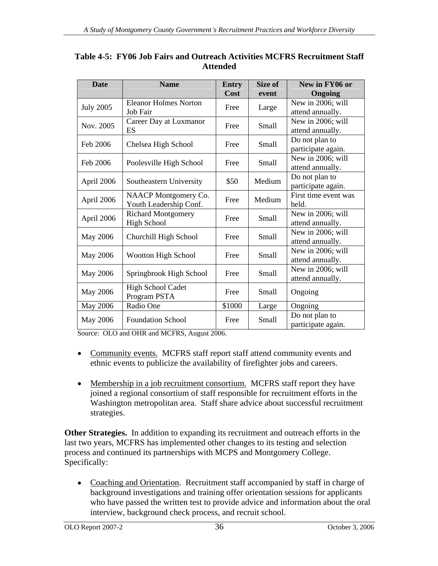| <b>Date</b>      | <b>Name</b>                        | Entry  | Size of                                                       | New in FY06 or                        |
|------------------|------------------------------------|--------|---------------------------------------------------------------|---------------------------------------|
|                  |                                    | Cost   | event                                                         | Ongoing                               |
| <b>July 2005</b> | <b>Eleanor Holmes Norton</b>       | Free   |                                                               | New in 2006; will                     |
|                  | Job Fair                           |        |                                                               | attend annually.                      |
| Nov. 2005        | Career Day at Luxmanor<br>ES       | Free   | Small                                                         | New in 2006; will<br>attend annually. |
|                  |                                    |        |                                                               | Do not plan to                        |
| Feb 2006         | Chelsea High School                | Free   |                                                               | participate again.                    |
|                  |                                    |        | Large<br>Small<br>Small<br>Medium<br>Medium<br>Small<br>Small | New in 2006; will                     |
| Feb 2006         | Poolesville High School            | Free   |                                                               | attend annually.                      |
|                  |                                    | \$50   |                                                               | Do not plan to                        |
| April 2006       | Southeastern University            |        |                                                               | participate again.                    |
| April 2006       | NAACP Montgomery Co.               | Free   |                                                               | First time event was                  |
|                  | Youth Leadership Conf.             |        |                                                               | held.                                 |
| April 2006       | <b>Richard Montgomery</b>          | Free   |                                                               | New in 2006; will                     |
|                  | <b>High School</b>                 |        |                                                               | attend annually.                      |
|                  | May 2006   Churchill High School   | Free   |                                                               | New in 2006; will                     |
|                  |                                    |        |                                                               | attend annually.<br>New in 2006; will |
|                  | May 2006   Wootton High School     | Free   | Small                                                         | attend annually.                      |
|                  |                                    |        |                                                               | New in 2006; will                     |
|                  | May 2006   Springbrook High School | Free   | Small                                                         | attend annually.                      |
|                  | High School Cadet                  |        |                                                               |                                       |
| May 2006         | Program PSTA                       | Free   | Small                                                         | Ongoing                               |
| May 2006         | Radio One                          | \$1000 | Large                                                         | Ongoing                               |
|                  | May 2006   Foundation School       | Free   | Small                                                         | Do not plan to                        |
|                  |                                    |        |                                                               | participate again.                    |

## **Table 4-5: FY06 Job Fairs and Outreach Activities MCFRS Recruitment Staff Attended**

Source: OLO and OHR and MCFRS, August 2006.

- Community events. MCFRS staff report staff attend community events and ethnic events to publicize the availability of firefighter jobs and careers.
- Membership in a job recruitment consortium. MCFRS staff report they have joined a regional consortium of staff responsible for recruitment efforts in the Washington metropolitan area. Staff share advice about successful recruitment strategies.

**Other Strategies.** In addition to expanding its recruitment and outreach efforts in the last two years, MCFRS has implemented other changes to its testing and selection process and continued its partnerships with MCPS and Montgomery College. Specifically:

• Coaching and Orientation. Recruitment staff accompanied by staff in charge of background investigations and training offer orientation sessions for applicants who have passed the written test to provide advice and information about the oral interview, background check process, and recruit school.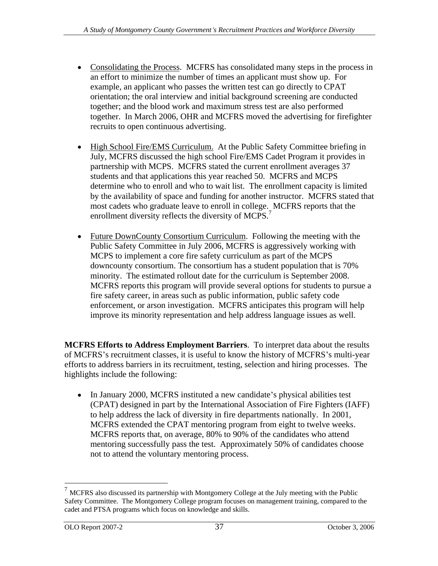- Consolidating the Process. MCFRS has consolidated many steps in the process in an effort to minimize the number of times an applicant must show up. For example, an applicant who passes the written test can go directly to CPAT orientation; the oral interview and initial background screening are conducted together; and the blood work and maximum stress test are also performed together. In March 2006, OHR and MCFRS moved the advertising for firefighter recruits to open continuous advertising.
- High School Fire/EMS Curriculum. At the Public Safety Committee briefing in July, MCFRS discussed the high school Fire/EMS Cadet Program it provides in partnership with MCPS. MCFRS stated the current enrollment averages 37 students and that applications this year reached 50. MCFRS and MCPS determine who to enroll and who to wait list. The enrollment capacity is limited by the availability of space and funding for another instructor. MCFRS stated that most cadets who graduate leave to enroll in college. MCFRS reports that the enrollment diversity reflects the diversity of MCPS.<sup>7</sup>
- Future DownCounty Consortium Curriculum. Following the meeting with the Public Safety Committee in July 2006, MCFRS is aggressively working with MCPS to implement a core fire safety curriculum as part of the MCPS downcounty consortium. The consortium has a student population that is 70% minority. The estimated rollout date for the curriculum is September 2008. MCFRS reports this program will provide several options for students to pursue a fire safety career, in areas such as public information, public safety code enforcement, or arson investigation. MCFRS anticipates this program will help improve its minority representation and help address language issues as well.

**MCFRS Efforts to Address Employment Barriers**. To interpret data about the results of MCFRS's recruitment classes, it is useful to know the history of MCFRS's multi-year efforts to address barriers in its recruitment, testing, selection and hiring processes. The highlights include the following:

 $\bullet$  In January 2000, MCFRS instituted a new candidate's physical abilities test (CPAT) designed in part by the International Association of Fire Fighters (IAFF) to help address the lack of diversity in fire departments nationally. In 2001, MCFRS extended the CPAT mentoring program from eight to twelve weeks. MCFRS reports that, on average, 80% to 90% of the candidates who attend mentoring successfully pass the test. Approximately 50% of candidates choose not to attend the voluntary mentoring process.

 $7$  MCFRS also discussed its partnership with Montgomery College at the July meeting with the Public Safety Committee. The Montgomery College program focuses on management training, compared to the cadet and PTSA programs which focus on knowledge and skills.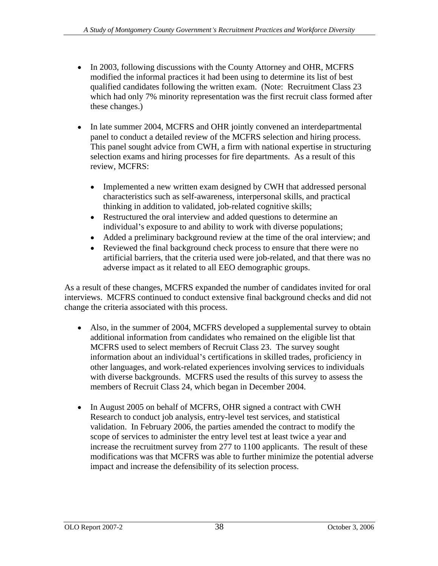- In 2003, following discussions with the County Attorney and OHR, MCFRS modified the informal practices it had been using to determine its list of best qualified candidates following the written exam. (Note: Recruitment Class 23 which had only 7% minority representation was the first recruit class formed after these changes.)
- In late summer 2004, MCFRS and OHR jointly convened an interdepartmental panel to conduct a detailed review of the MCFRS selection and hiring process. This panel sought advice from CWH, a firm with national expertise in structuring selection exams and hiring processes for fire departments. As a result of this review, MCFRS:
	- Implemented a new written exam designed by CWH that addressed personal  $\bullet$ characteristics such as self-awareness, interpersonal skills, and practical thinking in addition to validated, job-related cognitive skills;
	- Restructured the oral interview and added questions to determine an  $\bullet$ individual's exposure to and ability to work with diverse populations;
	- Added a preliminary background review at the time of the oral interview; and  $\bullet$
	- $\bullet$ Reviewed the final background check process to ensure that there were no artificial barriers, that the criteria used were job-related, and that there was no adverse impact as it related to all EEO demographic groups.

As a result of these changes, MCFRS expanded the number of candidates invited for oral interviews. MCFRS continued to conduct extensive final background checks and did not change the criteria associated with this process.

- Also, in the summer of 2004, MCFRS developed a supplemental survey to obtain additional information from candidates who remained on the eligible list that MCFRS used to select members of Recruit Class 23. The survey sought information about an individual's certifications in skilled trades, proficiency in other languages, and work-related experiences involving services to individuals with diverse backgrounds. MCFRS used the results of this survey to assess the members of Recruit Class 24, which began in December 2004.
- In August 2005 on behalf of MCFRS, OHR signed a contract with CWH Research to conduct job analysis, entry-level test services, and statistical validation. In February 2006, the parties amended the contract to modify the scope of services to administer the entry level test at least twice a year and increase the recruitment survey from 277 to 1100 applicants. The result of these modifications was that MCFRS was able to further minimize the potential adverse impact and increase the defensibility of its selection process.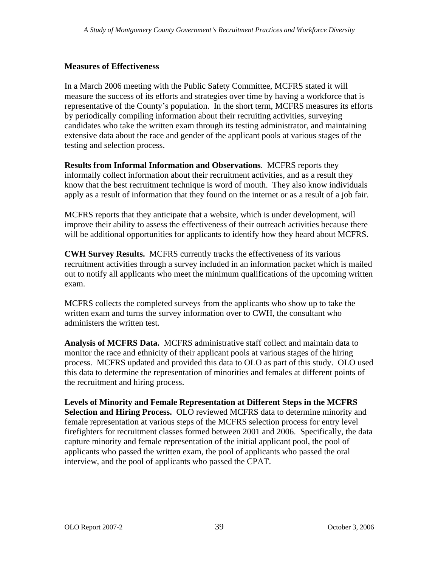## **Measures of Effectiveness**

In a March 2006 meeting with the Public Safety Committee, MCFRS stated it will measure the success of its efforts and strategies over time by having a workforce that is representative of the County s population. In the short term, MCFRS measures its efforts by periodically compiling information about their recruiting activities, surveying candidates who take the written exam through its testing administrator, and maintaining extensive data about the race and gender of the applicant pools at various stages of the testing and selection process.

**Results from Informal Information and Observations**. MCFRS reports they informally collect information about their recruitment activities, and as a result they know that the best recruitment technique is word of mouth. They also know individuals apply as a result of information that they found on the internet or as a result of a job fair.

MCFRS reports that they anticipate that a website, which is under development, will improve their ability to assess the effectiveness of their outreach activities because there will be additional opportunities for applicants to identify how they heard about MCFRS.

**CWH Survey Results.** MCFRS currently tracks the effectiveness of its various recruitment activities through a survey included in an information packet which is mailed out to notify all applicants who meet the minimum qualifications of the upcoming written exam.

MCFRS collects the completed surveys from the applicants who show up to take the written exam and turns the survey information over to CWH, the consultant who administers the written test.

**Analysis of MCFRS Data.** MCFRS administrative staff collect and maintain data to monitor the race and ethnicity of their applicant pools at various stages of the hiring process. MCFRS updated and provided this data to OLO as part of this study. OLO used this data to determine the representation of minorities and females at different points of the recruitment and hiring process.

**Levels of Minority and Female Representation at Different Steps in the MCFRS Selection and Hiring Process.** OLO reviewed MCFRS data to determine minority and female representation at various steps of the MCFRS selection process for entry level firefighters for recruitment classes formed between 2001 and 2006. Specifically, the data capture minority and female representation of the initial applicant pool, the pool of applicants who passed the written exam, the pool of applicants who passed the oral interview, and the pool of applicants who passed the CPAT.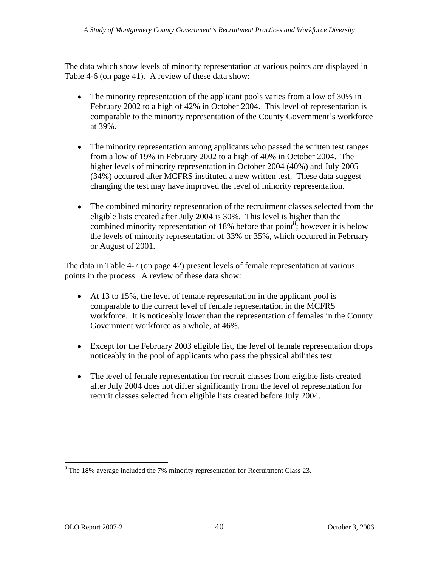The data which show levels of minority representation at various points are displayed in Table 4-6 (on page 41). A review of these data show:

- $\bullet$ The minority representation of the applicant pools varies from a low of 30% in February 2002 to a high of 42% in October 2004. This level of representation is comparable to the minority representation of the County Government's workforce at 39%.
- The minority representation among applicants who passed the written test ranges from a low of 19% in February 2002 to a high of 40% in October 2004. The higher levels of minority representation in October 2004 (40%) and July 2005 (34%) occurred after MCFRS instituted a new written test. These data suggest changing the test may have improved the level of minority representation.
- The combined minority representation of the recruitment classes selected from the eligible lists created after July 2004 is 30%. This level is higher than the combined minority representation of 18% before that point<sup>8</sup>; however it is below the levels of minority representation of 33% or 35%, which occurred in February or August of 2001.

The data in Table 4-7 (on page 42) present levels of female representation at various points in the process. A review of these data show:

- At 13 to 15%, the level of female representation in the applicant pool is comparable to the current level of female representation in the MCFRS workforce. It is noticeably lower than the representation of females in the County Government workforce as a whole, at 46%.
- Except for the February 2003 eligible list, the level of female representation drops noticeably in the pool of applicants who pass the physical abilities test
- $\bullet$ The level of female representation for recruit classes from eligible lists created after July 2004 does not differ significantly from the level of representation for recruit classes selected from eligible lists created before July 2004.

<sup>&</sup>lt;sup>8</sup> The 18% average included the 7% minority representation for Recruitment Class 23.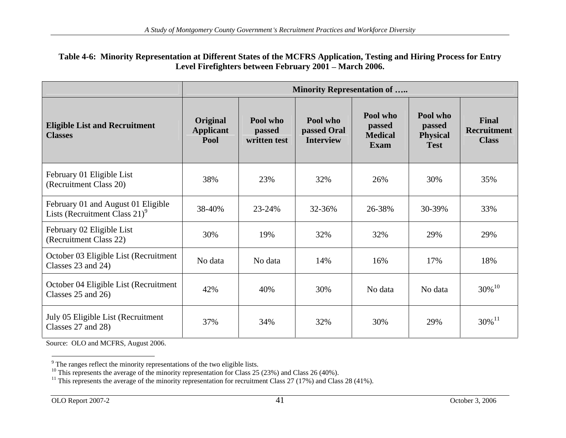#### **Table 4-6: Minority Representation at Different States of the MCFRS Application, Testing and Hiring Process for Entry**  Level Firefighters between February 2001 – March 2006.

|                                                                                 |                                      |                                    | <b>Minority Representation of </b>   |                                       |                                               |                                             |
|---------------------------------------------------------------------------------|--------------------------------------|------------------------------------|--------------------------------------|---------------------------------------|-----------------------------------------------|---------------------------------------------|
| <b>Eligible List and Recruitment</b><br><b>Classes</b>                          | Original<br><b>Applicant</b><br>Pool | Pool who<br>passed<br>written test | Pool who<br>passed Oral<br>Interview | Pool who<br>passed<br>Medical<br>Exam | Pool who<br>passed<br>Physical<br><b>Test</b> | Final<br><b>Recruitment</b><br><b>Class</b> |
| February 01 Eligible List<br>(Recruitment Class 20)                             | 38%                                  | 23%                                | 32%                                  | 26%                                   | 30%                                           | 35%                                         |
| February 01 and August 01 Eligible<br>Lists (Recruitment Class 21) <sup>9</sup> | 38-40%                               | 23-24%                             | 32-36%                               | 26-38%                                | 30-39%                                        | 33%                                         |
| February 02 Eligible List<br>(Recruitment Class 22)                             | 30%                                  | 19%                                | 32%                                  | 32%                                   | 29%                                           | 29%                                         |
| October 03 Eligible List (Recruitment<br>Classes 23 and 24)                     | No data                              | No data                            | 14%                                  | 16%                                   | 17%                                           | 18%                                         |
| October 04 Eligible List (Recruitment<br>Classes 25 and 26)                     | 42%                                  | 40%                                | 30%                                  | No data                               | No data                                       | $30\%$ $^{10}$                              |
| July 05 Eligible List (Recruitment<br>Classes 27 and 28)                        | 37%                                  | 34%                                | 32%                                  | 30%                                   | 29%                                           | $30\%^{11}$                                 |

Source: OLO and MCFRS, August 2006.

 $\frac{9}{2}$  The representation of the two eligible lists

The ranges reflect the minority representations of the two eligible lists.<br><sup>10</sup> This represents the average of the minority representation for Class 25 (23%) and Class 26 (40%).<br><sup>11</sup> This represents the average of the min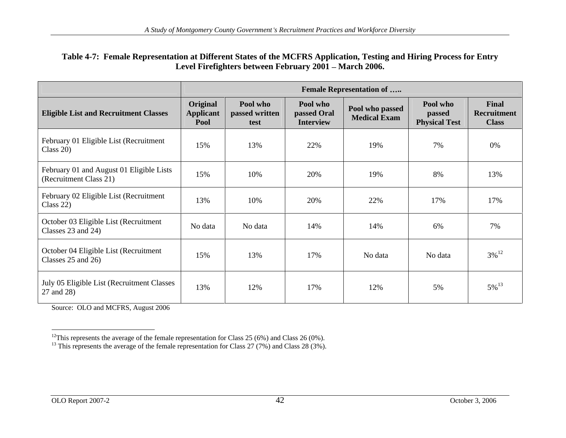#### **Table 4-7: Female Representation at Different States of the MCFRS Application, Testing and Hiring Process for Entry**  Level Firefighters between February 2001 – March 2006.

|                                                                    |                                      |                                    |                                             | <b>Female Representation of </b>       |                                                   |                                      |
|--------------------------------------------------------------------|--------------------------------------|------------------------------------|---------------------------------------------|----------------------------------------|---------------------------------------------------|--------------------------------------|
| <b>Eligible List and Recruitment Classes</b>                       | Original<br><b>Applicant</b><br>Pool | Pool who<br>passed written<br>test | Pool who<br>passed Oral<br><b>Interview</b> | Pool who passed<br><b>Medical Exam</b> | Pool who<br><b>Passed</b><br><b>Physical Test</b> | Final<br>Recruitment<br><b>Class</b> |
| February 01 Eligible List (Recruitment<br>Class $20$ )             | 15%                                  | 13%                                | 22%                                         | 19%                                    | 7%                                                | $0\%$                                |
| February 01 and August 01 Eligible Lists<br>(Recruitment Class 21) | 15%                                  | 10%                                | 20%                                         | 19%                                    | 8%                                                | 13%                                  |
| February 02 Eligible List (Recruitment<br>Class $22$ )             | 13%                                  | 10%                                | 20%                                         | 22%                                    | 17%                                               | 17%                                  |
| October 03 Eligible List (Recruitment<br>Classes $23$ and $24$ )   | No data                              | No data                            | 14%                                         | 14%                                    | 6%                                                | 7%                                   |
| October 04 Eligible List (Recruitment<br>Classes $25$ and $26$ )   | 15%                                  | 13%                                | 17%                                         | No data                                | No data                                           | $3\%$ <sup>12</sup>                  |
| July 05 Eligible List (Recruitment Classes<br>27 and 28)           | 13%                                  | 12%                                | 17%                                         | 12%                                    | 5%                                                | $5\%$ <sup>13</sup>                  |

Source: OLO and MCFRS, August 2006

<sup>&</sup>lt;sup>12</sup>This represents the average of the female representation for Class 25 (6%) and Class 26 (0%).<br><sup>13</sup> This represents the average of the female representation for Class 27 (7%) and Class 28 (3%).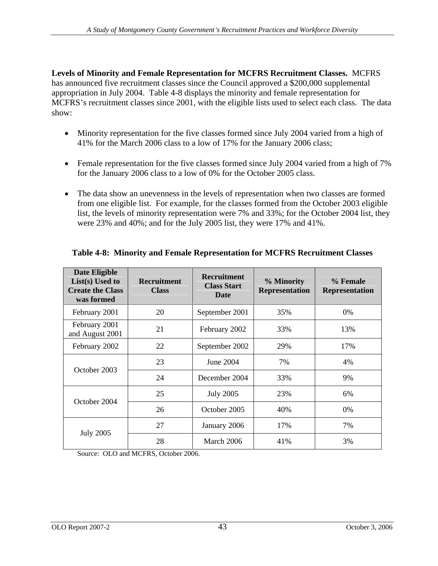**Levels of Minority and Female Representation for MCFRS Recruitment Classes.** MCFRS has announced five recruitment classes since the Council approved a \$200,000 supplemental appropriation in July 2004. Table 4-8 displays the minority and female representation for MCFRS's recruitment classes since 2001, with the eligible lists used to select each class. The data show:

- Minority representation for the five classes formed since July 2004 varied from a high of 41% for the March 2006 class to a low of 17% for the January 2006 class;
- Female representation for the five classes formed since July 2004 varied from a high of 7% for the January 2006 class to a low of 0% for the October 2005 class.
- The data show an unevenness in the levels of representation when two classes are formed from one eligible list. For example, for the classes formed from the October 2003 eligible list, the levels of minority representation were 7% and 33%; for the October 2004 list, they were 23% and 40%; and for the July 2005 list, they were 17% and 41%.

| Date Eligible<br>List(s) Used to<br><b>Create the Class</b><br>was formed | Recruitment<br><b>Class</b>     | Recruitment<br><b>Class Start</b><br>Date | % Minority | % Female<br>Representation Representation |
|---------------------------------------------------------------------------|---------------------------------|-------------------------------------------|------------|-------------------------------------------|
| February 2001                                                             | 20                              | September 2001                            | 35%        | 0%                                        |
| February 2001<br>and August 2001                                          | $\bigcap_{i=1}^n$<br>$\angle 1$ | February 2002                             | 33%        | 13%                                       |
| February 2002                                                             | 22                              | September 2002                            | 29%        | 17%                                       |
|                                                                           | 23                              | June 2004                                 | 7%         | 4%                                        |
| October 2003                                                              | 24                              | December 2004                             | 33%        | 9%                                        |
|                                                                           | 25                              | <b>July 2005</b>                          | 23%        | 6%                                        |
| October 2004                                                              | 26                              | October 2005                              | 40%        | $0\%$                                     |
|                                                                           | 27                              | January 2006                              | 17%        | 7%                                        |
| <b>July 2005</b>                                                          | 28                              | March 2006                                | 41%        | 3%                                        |

## **Table 4-8: Minority and Female Representation for MCFRS Recruitment Classes**

Source: OLO and MCFRS, October 2006.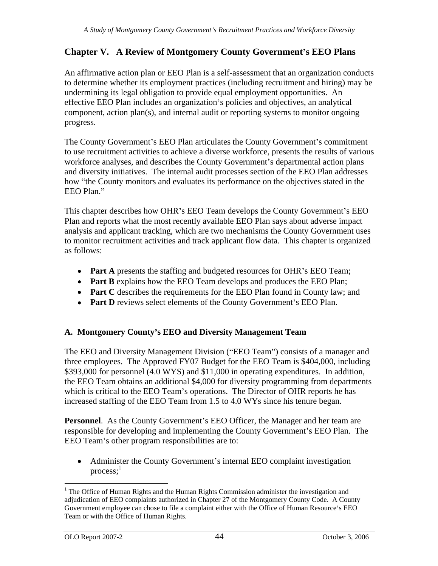# **Chapter V. A Review of Montgomery County Government s EEO Plans**

An affirmative action plan or EEO Plan is a self-assessment that an organization conducts to determine whether its employment practices (including recruitment and hiring) may be undermining its legal obligation to provide equal employment opportunities. An effective EEO Plan includes an organization's policies and objectives, an analytical component, action plan(s), and internal audit or reporting systems to monitor ongoing progress.

The County Government's EEO Plan articulates the County Government's commitment to use recruitment activities to achieve a diverse workforce, presents the results of various workforce analyses, and describes the County Government's departmental action plans and diversity initiatives. The internal audit processes section of the EEO Plan addresses how "the County monitors and evaluates its performance on the objectives stated in the EEO Plan.

This chapter describes how OHR's EEO Team develops the County Government's EEO Plan and reports what the most recently available EEO Plan says about adverse impact analysis and applicant tracking, which are two mechanisms the County Government uses to monitor recruitment activities and track applicant flow data. This chapter is organized as follows:

- Part A presents the staffing and budgeted resources for OHR's EEO Team;
- **Part B** explains how the EEO Team develops and produces the EEO Plan;
- Part C describes the requirements for the EEO Plan found in County law; and
- Part D reviews select elements of the County Government's EEO Plan.

## **A. Montgomery County s EEO and Diversity Management Team**

The EEO and Diversity Management Division ("EEO Team") consists of a manager and three employees. The Approved FY07 Budget for the EEO Team is \$404,000, including \$393,000 for personnel (4.0 WYS) and \$11,000 in operating expenditures. In addition, the EEO Team obtains an additional \$4,000 for diversity programming from departments which is critical to the EEO Team's operations. The Director of OHR reports he has increased staffing of the EEO Team from 1.5 to 4.0 WYs since his tenure began.

**Personnel.** As the County Government's EEO Officer, the Manager and her team are responsible for developing and implementing the County Government's EEO Plan. The EEO Team's other program responsibilities are to:

• Administer the County Government's internal EEO complaint investigation process;<sup>1</sup>  $1 \quad \bullet$ 

<sup>&</sup>lt;sup>1</sup> The Office of Human Rights and the Human Rights Commission administer the investigation and adjudication of EEO complaints authorized in Chapter 27 of the Montgomery County Code. A County Government employee can chose to file a complaint either with the Office of Human Resource's EEO Team or with the Office of Human Rights.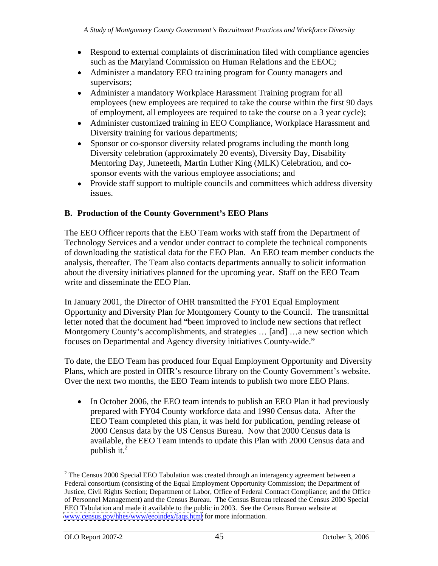- Respond to external complaints of discrimination filed with compliance agencies such as the Maryland Commission on Human Relations and the EEOC;
- Administer a mandatory EEO training program for County managers and supervisors;
- Administer a mandatory Workplace Harassment Training program for all employees (new employees are required to take the course within the first 90 days of employment, all employees are required to take the course on a 3 year cycle);
- Administer customized training in EEO Compliance, Workplace Harassment and Diversity training for various departments;
- Sponsor or co-sponsor diversity related programs including the month long Diversity celebration (approximately 20 events), Diversity Day, Disability Mentoring Day, Juneteeth, Martin Luther King (MLK) Celebration, and co sponsor events with the various employee associations; and
- Provide staff support to multiple councils and committees which address diversity issues.

# **B. Production of the County Government s EEO Plans**

The EEO Officer reports that the EEO Team works with staff from the Department of Technology Services and a vendor under contract to complete the technical components of downloading the statistical data for the EEO Plan. An EEO team member conducts the analysis, thereafter. The Team also contacts departments annually to solicit information about the diversity initiatives planned for the upcoming year. Staff on the EEO Team write and disseminate the EEO Plan.

In January 2001, the Director of OHR transmitted the FY01 Equal Employment Opportunity and Diversity Plan for Montgomery County to the Council. The transmittal letter noted that the document had "been improved to include new sections that reflect Montgomery County's accomplishments, and strategies ... [and] ...a new section which focuses on Departmental and Agency diversity initiatives County-wide.

To date, the EEO Team has produced four Equal Employment Opportunity and Diversity Plans, which are posted in OHR's resource library on the County Government's website. Over the next two months, the EEO Team intends to publish two more EEO Plans.

• In October 2006, the EEO team intends to publish an EEO Plan it had previously prepared with FY04 County workforce data and 1990 Census data. After the EEO Team completed this plan, it was held for publication, pending release of 2000 Census data by the US Census Bureau. Now that 2000 Census data is available, the EEO Team intends to update this Plan with 2000 Census data and publish it.<sup>2</sup> and  $\frac{1}{2}$  and  $\frac{1}{2}$  and  $\frac{1}{2}$  and  $\frac{1}{2}$  and  $\frac{1}{2}$  and  $\frac{1}{2}$  and  $\frac{1}{2}$  and  $\frac{1}{2}$  and  $\frac{1}{2}$  and  $\frac{1}{2}$  and  $\frac{1}{2}$  and  $\frac{1}{2}$  and  $\frac{1}{2}$  and  $\frac{1}{2}$  and  $\frac{1}{$ 

 $2$  The Census 2000 Special EEO Tabulation was created through an interagency agreement between a Federal consortium (consisting of the Equal Employment Opportunity Commission; the Department of Justice, Civil Rights Section; Department of Labor, Office of Federal Contract Compliance; and the Office of Personnel Management) and the Census Bureau. The Census Bureau released the Census 2000 Special EEO Tabulation and made it available to the public in 2003. See the Census Bureau website at [www.census.gov/hhes/www/eeoindex/faqs.html](http://www.census.gov/hhes/www/eeoindex/faqs.html) for more information.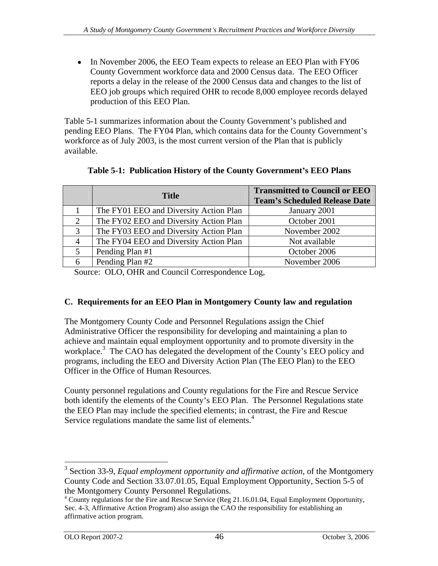• In November 2006, the EEO Team expects to release an EEO Plan with FY06 County Government workforce data and 2000 Census data. The EEO Officer reports a delay in the release of the 2000 Census data and changes to the list of EEO job groups which required OHR to recode 8,000 employee records delayed production of this EEO Plan.

Table 5-1 summarizes information about the County Government's published and pending EEO Plans. The FY04 Plan, which contains data for the County Government's workforce as of July 2003, is the most current version of the Plan that is publicly available.

| <b>Title</b>                           | <b>Transmitted to Council or EEO</b><br>Team's Scheduled Release Date |
|----------------------------------------|-----------------------------------------------------------------------|
| The FY01 EEO and Diversity Action Plan | January 2001                                                          |
| The FY02 EEO and Diversity Action Plan | October 2001                                                          |
| The FY03 EEO and Diversity Action Plan | November 2002                                                         |
| The FY04 EEO and Diversity Action Plan | Not available                                                         |
| Pending Plan #1                        | October 2006                                                          |
| Pending Plan #2                        | November 2006                                                         |

## **Table 5-1: Publication History of the County Government s EEO Plans**

Source: OLO, OHR and Council Correspondence Log,

## **C. Requirements for an EEO Plan in Montgomery County law and regulation**

The Montgomery County Code and Personnel Regulations assign the Chief Administrative Officer the responsibility for developing and maintaining a plan to achieve and maintain equal employment opportunity and to promote diversity in the workplace.<sup>3</sup> The CAO has delegated the development of the County's EEO policy and programs, including the EEO and Diversity Action Plan (The EEO Plan) to the EEO Officer in the Office of Human Resources.

County personnel regulations and County regulations for the Fire and Rescue Service both identify the elements of the County's EEO Plan. The Personnel Regulations state the EEO Plan may include the specified elements; in contrast, the Fire and Rescue Service regulations mandate the same list of elements.<sup>4</sup>

<sup>&</sup>lt;sup>3</sup> Section 33-9, *Equal employment opportunity and affirmative action*, of the Montgomery County Code and Section 33.07.01.05, Equal Employment Opportunity, Section 5-5 of the Montgomery County Personnel Regulations.<br><sup>4</sup> County regulations for the Fire and Rescue Service (Reg 21.16.01.04, Equal Employment Opportunity,

Sec. 4-3, Affirmative Action Program) also assign the CAO the responsibility for establishing an affirmative action program.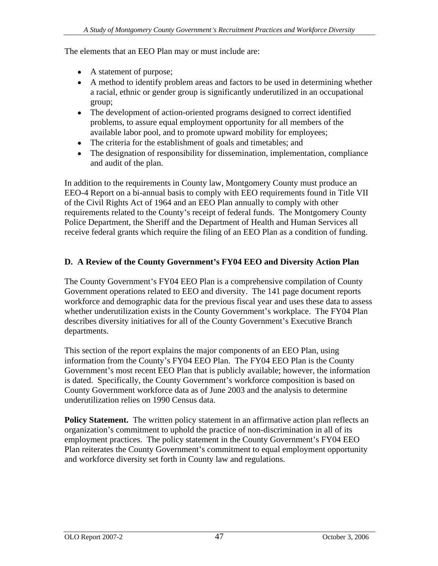The elements that an EEO Plan may or must include are:

- A statement of purpose;
- A method to identify problem areas and factors to be used in determining whether a racial, ethnic or gender group is significantly underutilized in an occupational group;
- The development of action-oriented programs designed to correct identified problems, to assure equal employment opportunity for all members of the available labor pool, and to promote upward mobility for employees;
- The criteria for the establishment of goals and timetables; and
- The designation of responsibility for dissemination, implementation, compliance and audit of the plan.

In addition to the requirements in County law, Montgomery County must produce an EEO-4 Report on a bi-annual basis to comply with EEO requirements found in Title VII of the Civil Rights Act of 1964 and an EEO Plan annually to comply with other requirements related to the County's receipt of federal funds. The Montgomery County Police Department, the Sheriff and the Department of Health and Human Services all receive federal grants which require the filing of an EEO Plan as a condition of funding.

## **D. A Review of the County Government s FY04 EEO and Diversity Action Plan**

The County Government's FY04 EEO Plan is a comprehensive compilation of County Government operations related to EEO and diversity. The 141 page document reports workforce and demographic data for the previous fiscal year and uses these data to assess whether underutilization exists in the County Government's workplace. The FY04 Plan describes diversity initiatives for all of the County Government's Executive Branch departments.

This section of the report explains the major components of an EEO Plan, using information from the County's FY04 EEO Plan. The FY04 EEO Plan is the County Government's most recent EEO Plan that is publicly available; however, the information is dated. Specifically, the County Government's workforce composition is based on County Government workforce data as of June 2003 and the analysis to determine underutilization relies on 1990 Census data.

**Policy Statement.** The written policy statement in an affirmative action plan reflects an organization's commitment to uphold the practice of non-discrimination in all of its employment practices. The policy statement in the County Government's FY04 EEO Plan reiterates the County Government's commitment to equal employment opportunity and workforce diversity set forth in County law and regulations.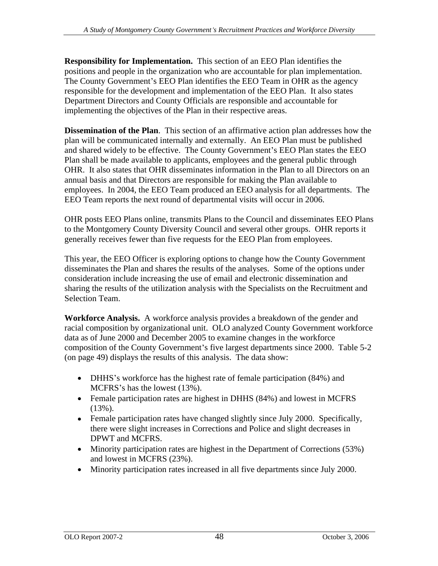**Responsibility for Implementation.** This section of an EEO Plan identifies the positions and people in the organization who are accountable for plan implementation. The County Government's EEO Plan identifies the EEO Team in OHR as the agency responsible for the development and implementation of the EEO Plan. It also states Department Directors and County Officials are responsible and accountable for implementing the objectives of the Plan in their respective areas.

**Dissemination of the Plan**. This section of an affirmative action plan addresses how the plan will be communicated internally and externally. An EEO Plan must be published and shared widely to be effective. The County Government's EEO Plan states the EEO Plan shall be made available to applicants, employees and the general public through OHR. It also states that OHR disseminates information in the Plan to all Directors on an annual basis and that Directors are responsible for making the Plan available to employees. In 2004, the EEO Team produced an EEO analysis for all departments. The EEO Team reports the next round of departmental visits will occur in 2006.

OHR posts EEO Plans online, transmits Plans to the Council and disseminates EEO Plans to the Montgomery County Diversity Council and several other groups. OHR reports it generally receives fewer than five requests for the EEO Plan from employees.

This year, the EEO Officer is exploring options to change how the County Government disseminates the Plan and shares the results of the analyses. Some of the options under consideration include increasing the use of email and electronic dissemination and sharing the results of the utilization analysis with the Specialists on the Recruitment and Selection Team.

**Workforce Analysis.** A workforce analysis provides a breakdown of the gender and racial composition by organizational unit. OLO analyzed County Government workforce data as of June 2000 and December 2005 to examine changes in the workforce composition of the County Government's five largest departments since 2000. Table 5-2 (on page 49) displays the results of this analysis. The data show:

- DHHS's workforce has the highest rate of female participation (84%) and MCFRS's has the lowest  $(13%)$ .
- Female participation rates are highest in DHHS (84%) and lowest in MCFRS (13%).
- Female participation rates have changed slightly since July 2000. Specifically, there were slight increases in Corrections and Police and slight decreases in DPWT and MCFRS.
- Minority participation rates are highest in the Department of Corrections (53%) and lowest in MCFRS (23%).
- Minority participation rates increased in all five departments since July 2000. $\bullet$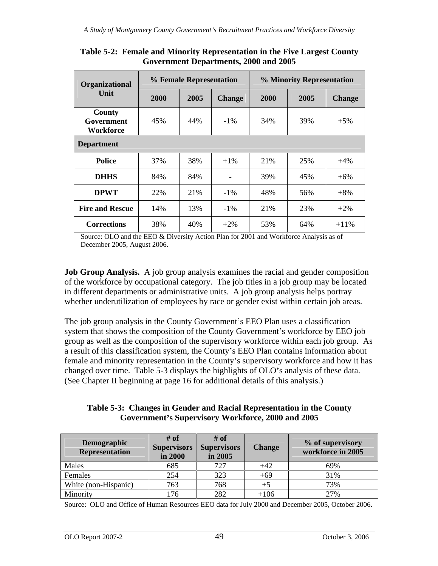| Organizational                           | % Female Representation |     |             | % Minority Representation |      |        |  |  |
|------------------------------------------|-------------------------|-----|-------------|---------------------------|------|--------|--|--|
| Unit                                     | 2000                    |     | 2005 Change | 2000                      | 2005 | Change |  |  |
| <b>County</b><br>Government<br>Workforce | 45%                     | 44% | $-1\%$      | 34%                       | 39%  | $+5%$  |  |  |
| <b>Department</b>                        |                         |     |             |                           |      |        |  |  |
| Police                                   | 37%                     | 38% | $+1\%$      | 21%                       | 25%  | $+4%$  |  |  |
| <b>DHHS</b>                              | 84%                     | 84% | $\sim$ $-$  | 39%                       | 45%  | $+6%$  |  |  |
| <b>DPWT</b>                              | 22%                     | 21% | $-1\%$      | 48%                       | 56%  | $+8%$  |  |  |
| Fire and Rescue                          | 14%                     | 13% | $-1\%$      | 21%                       | 23%  | $+2%$  |  |  |
| <b>Corrections</b>                       | 38%                     | 40% | $+2\%$      | 53%                       | 64%  | $+11%$ |  |  |

**Table 5-2: Female and Minority Representation in the Five Largest County Government Departments, 2000 and 2005**

Source: OLO and the EEO & Diversity Action Plan for 2001 and Workforce Analysis as of December 2005, August 2006.

**Job Group Analysis.** A job group analysis examines the racial and gender composition of the workforce by occupational category. The job titles in a job group may be located in different departments or administrative units. A job group analysis helps portray whether underutilization of employees by race or gender exist within certain job areas.

The job group analysis in the County Government's EEO Plan uses a classification system that shows the composition of the County Government's workforce by EEO job group as well as the composition of the supervisory workforce within each job group. As a result of this classification system, the County's EEO Plan contains information about female and minority representation in the County's supervisory workforce and how it has changed over time. Table 5-3 displays the highlights of OLO's analysis of these data. (See Chapter II beginning at page 16 for additional details of this analysis.)

**Table 5-3: Changes in Gender and Racial Representation in the County Government s Supervisory Workforce, 2000 and 2005**

|                      | $#$ of              | # of                     |              |                                       |
|----------------------|---------------------|--------------------------|--------------|---------------------------------------|
| Demographic          |                     | $\rightarrow$ apervisors | 'hanga       | % of supervisory<br>workforce in 2005 |
| Representation       | in 2000             | $\ln 2005$               |              |                                       |
| Males                | $\angle$ O $\angle$ | 707                      |              |                                       |
| Female               |                     |                          | ⊥60          |                                       |
| White (non-Hispanic) |                     |                          |              |                                       |
| Minority             | 176<br>110          | 202                      | 10<<br>100 - | 270'<br>2/70                          |

Source: OLO and Office of Human Resources EEO data for July 2000 and December 2005, October 2006.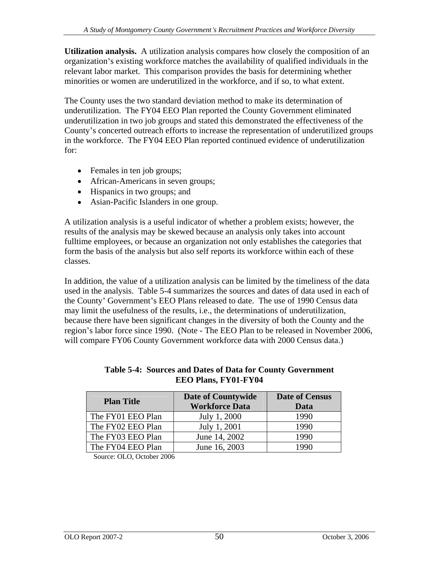**Utilization analysis.** A utilization analysis compares how closely the composition of an organization's existing workforce matches the availability of qualified individuals in the relevant labor market. This comparison provides the basis for determining whether minorities or women are underutilized in the workforce, and if so, to what extent.

The County uses the two standard deviation method to make its determination of underutilization. The FY04 EEO Plan reported the County Government eliminated underutilization in two job groups and stated this demonstrated the effectiveness of the County's concerted outreach efforts to increase the representation of underutilized groups in the workforce. The FY04 EEO Plan reported continued evidence of underutilization for:

- Females in ten job groups;
- African-Americans in seven groups;
- Hispanics in two groups; and
- Asian-Pacific Islanders in one group.

A utilization analysis is a useful indicator of whether a problem exists; however, the results of the analysis may be skewed because an analysis only takes into account fulltime employees, or because an organization not only establishes the categories that form the basis of the analysis but also self reports its workforce within each of these classes.

In addition, the value of a utilization analysis can be limited by the timeliness of the data used in the analysis. Table 5-4 summarizes the sources and dates of data used in each of the County' Government's EEO Plans released to date. The use of 1990 Census data may limit the usefulness of the results, i.e., the determinations of underutilization, because there have been significant changes in the diversity of both the County and the region's labor force since 1990. (Note - The EEO Plan to be released in November 2006, will compare FY06 County Government workforce data with 2000 Census data.)

| <b>Plan Title</b> | <b>Date of Countywide</b> | Date of Census |
|-------------------|---------------------------|----------------|
|                   | <b>Workforce Data</b>     | <b>Data</b>    |
| The FY01 EEO Plan | July 1, 2000              | 1990           |
| The FY02 EEO Plan | July 1, 2001              | 1990           |
| The FY03 EEO Plan | June 14, 2002             | 1990           |
| The FY04 EEO Plan | June 16, 2003             | 1990           |

### **Table 5-4: Sources and Dates of Data for County Government EEO Plans, FY01-FY04**

Source: OLO, October 2006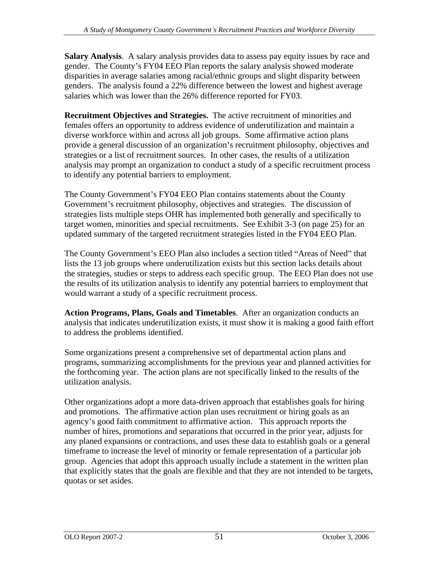**Salary Analysis**. A salary analysis provides data to assess pay equity issues by race and gender. The County's FY04 EEO Plan reports the salary analysis showed moderate disparities in average salaries among racial/ethnic groups and slight disparity between genders. The analysis found a 22% difference between the lowest and highest average salaries which was lower than the 26% difference reported for FY03.

**Recruitment Objectives and Strategies.** The active recruitment of minorities and females offers an opportunity to address evidence of underutilization and maintain a diverse workforce within and across all job groups. Some affirmative action plans provide a general discussion of an organization's recruitment philosophy, objectives and strategies or a list of recruitment sources. In other cases, the results of a utilization analysis may prompt an organization to conduct a study of a specific recruitment process to identify any potential barriers to employment.

The County Government's FY04 EEO Plan contains statements about the County Government's recruitment philosophy, objectives and strategies. The discussion of strategies lists multiple steps OHR has implemented both generally and specifically to target women, minorities and special recruitments. See Exhibit 3-3 (on page 25) for an updated summary of the targeted recruitment strategies listed in the FY04 EEO Plan.

The County Government's EEO Plan also includes a section titled "Areas of Need" that lists the 13 job groups where underutilization exists but this section lacks details about the strategies, studies or steps to address each specific group. The EEO Plan does not use the results of its utilization analysis to identify any potential barriers to employment that would warrant a study of a specific recruitment process.

**Action Programs, Plans, Goals and Timetables**. After an organization conducts an analysis that indicates underutilization exists, it must show it is making a good faith effort to address the problems identified.

Some organizations present a comprehensive set of departmental action plans and programs, summarizing accomplishments for the previous year and planned activities for the forthcoming year. The action plans are not specifically linked to the results of the utilization analysis.

Other organizations adopt a more data-driven approach that establishes goals for hiring and promotions. The affirmative action plan uses recruitment or hiring goals as an agency's good faith commitment to affirmative action. This approach reports the number of hires, promotions and separations that occurred in the prior year, adjusts for any planed expansions or contractions, and uses these data to establish goals or a general timeframe to increase the level of minority or female representation of a particular job group. Agencies that adopt this approach usually include a statement in the written plan that explicitly states that the goals are flexible and that they are not intended to be targets, quotas or set asides.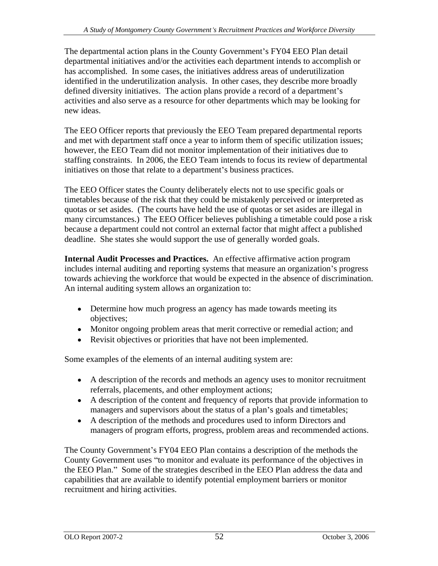The departmental action plans in the County Government's FY04 EEO Plan detail departmental initiatives and/or the activities each department intends to accomplish or has accomplished. In some cases, the initiatives address areas of underutilization identified in the underutilization analysis. In other cases, they describe more broadly defined diversity initiatives. The action plans provide a record of a department's activities and also serve as a resource for other departments which may be looking for new ideas.

The EEO Officer reports that previously the EEO Team prepared departmental reports and met with department staff once a year to inform them of specific utilization issues; however, the EEO Team did not monitor implementation of their initiatives due to staffing constraints. In 2006, the EEO Team intends to focus its review of departmental initiatives on those that relate to a department's business practices.

The EEO Officer states the County deliberately elects not to use specific goals or timetables because of the risk that they could be mistakenly perceived or interpreted as quotas or set asides. (The courts have held the use of quotas or set asides are illegal in many circumstances.) The EEO Officer believes publishing a timetable could pose a risk because a department could not control an external factor that might affect a published deadline. She states she would support the use of generally worded goals.

**Internal Audit Processes and Practices.** An effective affirmative action program includes internal auditing and reporting systems that measure an organization's progress towards achieving the workforce that would be expected in the absence of discrimination. An internal auditing system allows an organization to:

- Determine how much progress an agency has made towards meeting its objectives;
- Monitor ongoing problem areas that merit corrective or remedial action; and
- Revisit objectives or priorities that have not been implemented.

Some examples of the elements of an internal auditing system are:

- A description of the records and methods an agency uses to monitor recruitment referrals, placements, and other employment actions;
- A description of the content and frequency of reports that provide information to managers and supervisors about the status of a plan's goals and timetables;
- A description of the methods and procedures used to inform Directors and managers of program efforts, progress, problem areas and recommended actions.

The County Government's FY04 EEO Plan contains a description of the methods the County Government uses "to monitor and evaluate its performance of the objectives in the EEO Plan." Some of the strategies described in the EEO Plan address the data and capabilities that are available to identify potential employment barriers or monitor recruitment and hiring activities.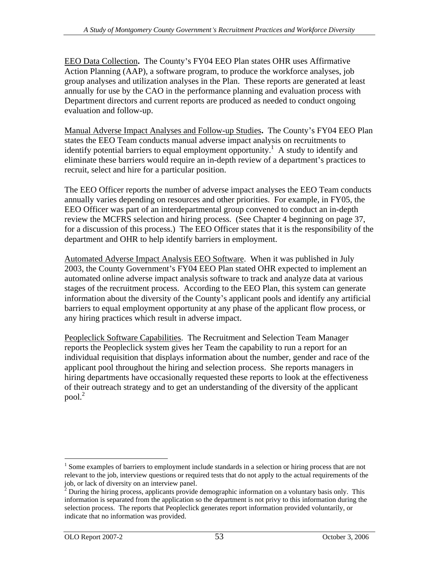EEO Data Collection**.** The County s FY04 EEO Plan states OHR uses Affirmative Action Planning (AAP), a software program, to produce the workforce analyses, job group analyses and utilization analyses in the Plan. These reports are generated at least annually for use by the CAO in the performance planning and evaluation process with Department directors and current reports are produced as needed to conduct ongoing evaluation and follow-up.

Manual Adverse Impact Analyses and Follow-up Studies**.** The County s FY04 EEO Plan states the EEO Team conducts manual adverse impact analysis on recruitments to identify potential barriers to equal employment opportunity.<sup>1</sup> A study to identify and eliminate these barriers would require an in-depth review of a department's practices to recruit, select and hire for a particular position.

The EEO Officer reports the number of adverse impact analyses the EEO Team conducts annually varies depending on resources and other priorities. For example, in FY05, the EEO Officer was part of an interdepartmental group convened to conduct an in-depth review the MCFRS selection and hiring process. (See Chapter 4 beginning on page 37, for a discussion of this process.) The EEO Officer states that it is the responsibility of the department and OHR to help identify barriers in employment.

Automated Adverse Impact Analysis EEO Software. When it was published in July 2003, the County Government's FY04 EEO Plan stated OHR expected to implement an automated online adverse impact analysis software to track and analyze data at various stages of the recruitment process. According to the EEO Plan, this system can generate information about the diversity of the County's applicant pools and identify any artificial barriers to equal employment opportunity at any phase of the applicant flow process, or any hiring practices which result in adverse impact.

Peopleclick Software Capabilities. The Recruitment and Selection Team Manager reports the Peopleclick system gives her Team the capability to run a report for an individual requisition that displays information about the number, gender and race of the applicant pool throughout the hiring and selection process. She reports managers in hiring departments have occasionally requested these reports to look at the effectiveness of their outreach strategy and to get an understanding of the diversity of the applicant  $pool.<sup>2</sup>$ 

<sup>&</sup>lt;sup>1</sup> Some examples of barriers to employment include standards in a selection or hiring process that are not relevant to the job, interview questions or required tests that do not apply to the actual requirements of the job, or lack of diversity on an interview panel.

job, or lack of diversity on an interview panel.<br><sup>2</sup> During the hiring process, applicants provide demographic information on a voluntary basis only. This information is separated from the application so the department is not privy to this information during the selection process. The reports that Peopleclick generates report information provided voluntarily, or indicate that no information was provided.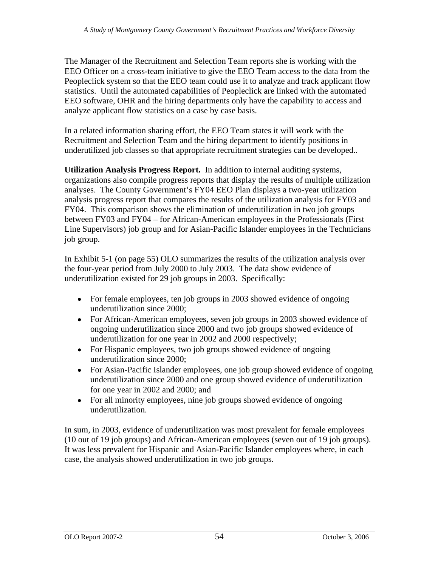The Manager of the Recruitment and Selection Team reports she is working with the EEO Officer on a cross-team initiative to give the EEO Team access to the data from the Peopleclick system so that the EEO team could use it to analyze and track applicant flow statistics. Until the automated capabilities of Peopleclick are linked with the automated EEO software, OHR and the hiring departments only have the capability to access and analyze applicant flow statistics on a case by case basis.

In a related information sharing effort, the EEO Team states it will work with the Recruitment and Selection Team and the hiring department to identify positions in underutilized job classes so that appropriate recruitment strategies can be developed..

**Utilization Analysis Progress Report.** In addition to internal auditing systems, organizations also compile progress reports that display the results of multiple utilization analyses. The County Government's FY04 EEO Plan displays a two-year utilization analysis progress report that compares the results of the utilization analysis for FY03 and FY04. This comparison shows the elimination of underutilization in two job groups between FY03 and FY04  $-$  for African-American employees in the Professionals (First Line Supervisors) job group and for Asian-Pacific Islander employees in the Technicians job group.

In Exhibit 5-1 (on page 55) OLO summarizes the results of the utilization analysis over the four-year period from July 2000 to July 2003. The data show evidence of underutilization existed for 29 job groups in 2003. Specifically:

- For female employees, ten job groups in 2003 showed evidence of ongoing underutilization since 2000;
- For African-American employees, seven job groups in 2003 showed evidence of ongoing underutilization since 2000 and two job groups showed evidence of underutilization for one year in 2002 and 2000 respectively;
- For Hispanic employees, two job groups showed evidence of ongoing underutilization since 2000;
- For Asian-Pacific Islander employees, one job group showed evidence of ongoing underutilization since 2000 and one group showed evidence of underutilization for one year in 2002 and 2000; and
- For all minority employees, nine job groups showed evidence of ongoing underutilization.

In sum, in 2003, evidence of underutilization was most prevalent for female employees (10 out of 19 job groups) and African-American employees (seven out of 19 job groups). It was less prevalent for Hispanic and Asian-Pacific Islander employees where, in each case, the analysis showed underutilization in two job groups.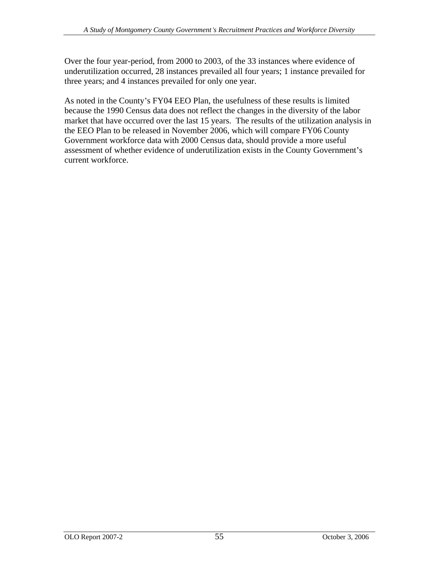Over the four year-period, from 2000 to 2003, of the 33 instances where evidence of underutilization occurred, 28 instances prevailed all four years; 1 instance prevailed for three years; and 4 instances prevailed for only one year.

As noted in the County's FY04 EEO Plan, the usefulness of these results is limited because the 1990 Census data does not reflect the changes in the diversity of the labor market that have occurred over the last 15 years. The results of the utilization analysis in the EEO Plan to be released in November 2006, which will compare FY06 County Government workforce data with 2000 Census data, should provide a more useful assessment of whether evidence of underutilization exists in the County Government's current workforce.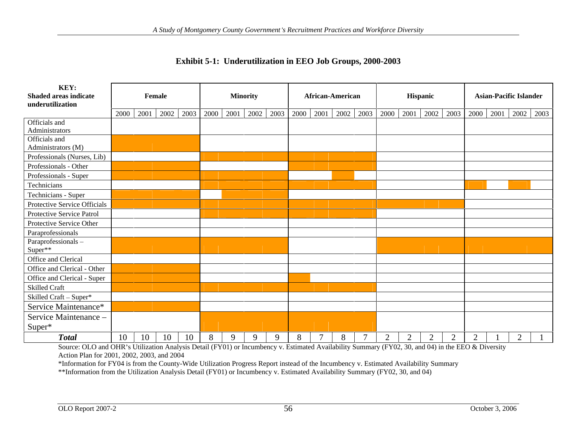| KEY:                                                 |                              |                                        |                                                                                                     |                 |                               |  |
|------------------------------------------------------|------------------------------|----------------------------------------|-----------------------------------------------------------------------------------------------------|-----------------|-------------------------------|--|
| <b>Shaded areas indicate</b>                         | Female                       | <b>Minority</b>                        | <b>African-American</b>                                                                             | <b>Hispanic</b> | <b>Asian-Pacific Islander</b> |  |
| underutilization                                     |                              |                                        | 2000 2001 2002 2003 2000 2001 2002 2003 2000 2001 2002 2003 2000 2001 2002 2003 2000 2001 2002 2003 |                 |                               |  |
| Officials and                                        |                              |                                        |                                                                                                     |                 |                               |  |
| Administrators                                       |                              |                                        |                                                                                                     |                 |                               |  |
| Officials and                                        |                              |                                        |                                                                                                     |                 |                               |  |
| Administrators (M)                                   |                              |                                        |                                                                                                     |                 |                               |  |
| Professionals (Nurses, Lib)<br>Professionals - Other |                              |                                        |                                                                                                     |                 |                               |  |
| Professionals - Super                                |                              |                                        |                                                                                                     |                 |                               |  |
| Technicians                                          |                              |                                        |                                                                                                     |                 |                               |  |
| Technicians - Super                                  |                              |                                        |                                                                                                     |                 |                               |  |
| Protective Service Officials                         |                              |                                        |                                                                                                     |                 |                               |  |
| Protective Service Patrol                            |                              |                                        |                                                                                                     |                 |                               |  |
| Protective Service Other                             |                              |                                        |                                                                                                     |                 |                               |  |
| Paraprofessionals                                    |                              |                                        |                                                                                                     |                 |                               |  |
| Paraprofessionals-                                   |                              |                                        |                                                                                                     |                 |                               |  |
| $Super**$                                            |                              |                                        |                                                                                                     |                 |                               |  |
| Office and Clerical                                  |                              |                                        |                                                                                                     |                 |                               |  |
| Office and Clerical - Other                          |                              |                                        |                                                                                                     |                 |                               |  |
| Office and Clerical - Super                          |                              |                                        |                                                                                                     |                 |                               |  |
| Skilled Craft                                        |                              |                                        |                                                                                                     |                 |                               |  |
| Skilled Craft - Super*                               |                              |                                        |                                                                                                     |                 |                               |  |
| Service Maintenance*                                 |                              |                                        |                                                                                                     |                 |                               |  |
| Service Maintenance -                                |                              |                                        |                                                                                                     |                 |                               |  |
| Super*                                               |                              |                                        |                                                                                                     |                 |                               |  |
| <b>Total</b>                                         | $10 \mid 10 \mid 10 \mid 10$ | 8 <sup>1</sup><br>-9<br>$\overline{Q}$ | $7\phantom{.0}\phantom{.0}7$<br>8<br>8                                                              | $\gamma$        |                               |  |

### **Exhibit 5-1: Underutilization in EEO Job Groups, 2000-2003**

Source: OLO and OHR's Utilization Analysis Detail (FY01) or Incumbency v. Estimated Availability Summary (FY02, 30, and 04) in the EEO & Diversity Action Plan for 2001, 2002, 2003, and 2004

\*Information for FY04 is from the County-Wide Utilization Progress Report instead of the Incumbency v. Estimated Availability Summary

\*\*Information from the Utilization Analysis Detail (FY01) or Incumbency v. Estimated Availability Summary (FY02, 30, and 04)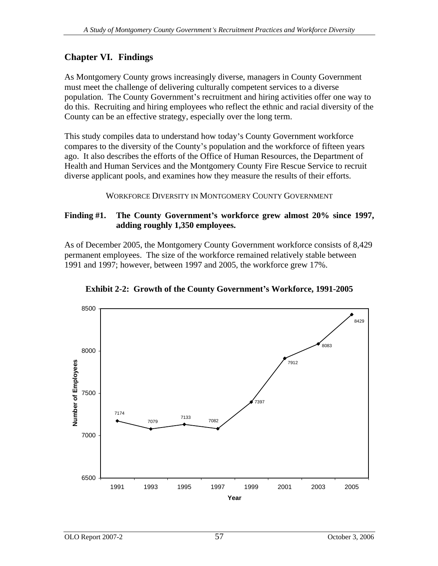# **Chapter VI. Findings**

As Montgomery County grows increasingly diverse, managers in County Government must meet the challenge of delivering culturally competent services to a diverse population. The County Government's recruitment and hiring activities offer one way to do this. Recruiting and hiring employees who reflect the ethnic and racial diversity of the County can be an effective strategy, especially over the long term.

This study compiles data to understand how today's County Government workforce compares to the diversity of the County's population and the workforce of fifteen years ago. It also describes the efforts of the Office of Human Resources, the Department of Health and Human Services and the Montgomery County Fire Rescue Service to recruit diverse applicant pools, and examines how they measure the results of their efforts.

WORKFORCE DIVERSITY IN MONTGOMERY COUNTY GOVERNMENT

#### **Finding #1. The County Government s workforce grew almost 20% since 1997, adding roughly 1,350 employees.**

As of December 2005, the Montgomery County Government workforce consists of 8,429 permanent employees. The size of the workforce remained relatively stable between 1991 and 1997; however, between 1997 and 2005, the workforce grew 17%.



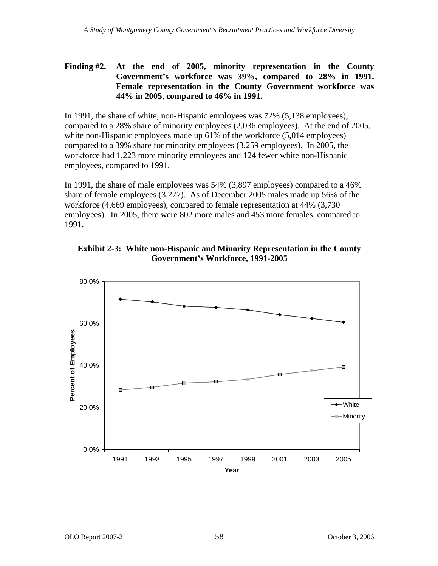## **Finding #2. At the end of 2005, minority representation in the County Government s workforce was 39%, compared to 28% in 1991. Female representation in the County Government workforce was 44% in 2005, compared to 46% in 1991.**

In 1991, the share of white, non-Hispanic employees was 72% (5,138 employees), compared to a 28% share of minority employees (2,036 employees). At the end of 2005, white non-Hispanic employees made up 61% of the workforce (5,014 employees) compared to a 39% share for minority employees (3,259 employees). In 2005, the workforce had 1,223 more minority employees and 124 fewer white non-Hispanic employees, compared to 1991.

In 1991, the share of male employees was 54% (3,897 employees) compared to a 46% share of female employees (3,277). As of December 2005 males made up 56% of the workforce (4,669 employees), compared to female representation at 44% (3,730 employees). In 2005, there were 802 more males and 453 more females, compared to 1991.



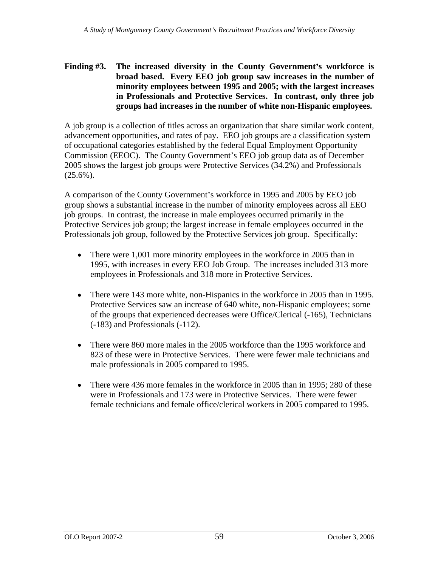### **Finding #3. The increased diversity in the County Government s workforce is broad based. Every EEO job group saw increases in the number of minority employees between 1995 and 2005; with the largest increases in Professionals and Protective Services. In contrast, only three job groups had increases in the number of white non-Hispanic employees.**

A job group is a collection of titles across an organization that share similar work content, advancement opportunities, and rates of pay. EEO job groups are a classification system of occupational categories established by the federal Equal Employment Opportunity Commission (EEOC). The County Government's EEO job group data as of December 2005 shows the largest job groups were Protective Services (34.2%) and Professionals  $(25.6\%)$ .

A comparison of the County Government's workforce in 1995 and 2005 by EEO job group shows a substantial increase in the number of minority employees across all EEO job groups. In contrast, the increase in male employees occurred primarily in the Protective Services job group; the largest increase in female employees occurred in the Professionals job group, followed by the Protective Services job group. Specifically:

- $\bullet$ There were 1,001 more minority employees in the workforce in 2005 than in 1995, with increases in every EEO Job Group. The increases included 313 more employees in Professionals and 318 more in Protective Services.
- There were 143 more white, non-Hispanics in the workforce in 2005 than in 1995. Protective Services saw an increase of 640 white, non-Hispanic employees; some of the groups that experienced decreases were Office/Clerical (-165), Technicians (-183) and Professionals (-112).
- There were 860 more males in the 2005 workforce than the 1995 workforce and 823 of these were in Protective Services. There were fewer male technicians and male professionals in 2005 compared to 1995.
- $\bullet$ There were 436 more females in the workforce in 2005 than in 1995; 280 of these were in Professionals and 173 were in Protective Services. There were fewer female technicians and female office/clerical workers in 2005 compared to 1995.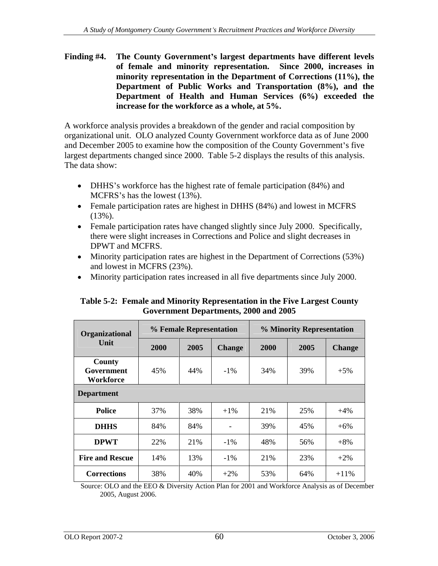**Finding #4. The County Government s largest departments have different levels of female and minority representation. Since 2000, increases in minority representation in the Department of Corrections (11%), the Department of Public Works and Transportation (8%), and the Department of Health and Human Services (6%) exceeded the increase for the workforce as a whole, at 5%.**

A workforce analysis provides a breakdown of the gender and racial composition by organizational unit. OLO analyzed County Government workforce data as of June 2000 and December 2005 to examine how the composition of the County Government's five largest departments changed since 2000. Table 5-2 displays the results of this analysis. The data show:

- DHHS's workforce has the highest rate of female participation (84%) and MCFRS's has the lowest  $(13%)$ .
- Female participation rates are highest in DHHS (84%) and lowest in MCFRS (13%).
- Female participation rates have changed slightly since July 2000. Specifically, there were slight increases in Corrections and Police and slight decreases in DPWT and MCFRS.
- Minority participation rates are highest in the Department of Corrections (53%) and lowest in MCFRS (23%).
- Minority participation rates increased in all five departments since July 2000.

| Organizational                           |      |     | % Minority Representation<br>% Female Representation |      |      |                |  |  |
|------------------------------------------|------|-----|------------------------------------------------------|------|------|----------------|--|--|
| Unit                                     | 2000 |     | $2005$ Change                                        | 2000 | 2005 | $\vert$ Change |  |  |
| <b>County</b><br>Government<br>Workforce | 45%  | 44% | $-1\%$                                               | 34%  | 39%  | $+5%$          |  |  |
| <b>Department</b>                        |      |     |                                                      |      |      |                |  |  |
| Police                                   | 37%  | 38% | $+1\%$                                               | 21%  | 25%  | $+4%$          |  |  |
| <b>DHHS</b>                              | 84%  | 84% |                                                      | 39%  | 45%  | $+6%$          |  |  |
| <b>DPWT</b>                              | 22%  | 21% | $-1\%$                                               | 48%  | 56%  | $+8%$          |  |  |
| <b>Fire and Rescue</b>                   | 14%  | 13% | $-1\%$                                               | 21%  | 23%  | $+2\%$         |  |  |
| <b>Corrections</b>                       | 38%  | 40% | $+2\%$                                               | 53%  | 64%  | $+11%$         |  |  |

## **Table 5-2: Female and Minority Representation in the Five Largest County Government Departments, 2000 and 2005**

Source: OLO and the EEO & Diversity Action Plan for 2001 and Workforce Analysis as of December 2005, August 2006.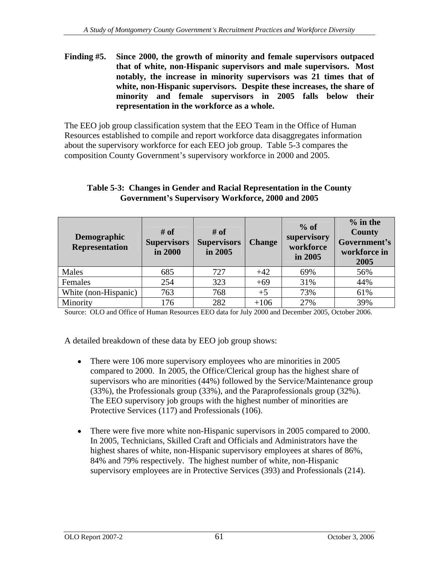**Finding #5. Since 2000, the growth of minority and female supervisors outpaced that of white, non-Hispanic supervisors and male supervisors. Most notably, the increase in minority supervisors was 21 times that of white, non-Hispanic supervisors. Despite these increases, the share of minority and female supervisors in 2005 falls below their representation in the workforce as a whole.**

The EEO job group classification system that the EEO Team in the Office of Human Resources established to compile and report workforce data disaggregates information about the supervisory workforce for each EEO job group. Table 5-3 compares the composition County Government's supervisory workforce in 2000 and 2005.

#### **Table 5-3: Changes in Gender and Racial Representation in the County Government s Supervisory Workforce, 2000 and 2005**

Source: OLO and Office of Human Resources EEO data for July 2000 and December 2005, October 2006.

A detailed breakdown of these data by EEO job group shows:

- There were 106 more supervisory employees who are minorities in 2005  $\bullet$ compared to 2000. In 2005, the Office/Clerical group has the highest share of supervisors who are minorities (44%) followed by the Service/Maintenance group (33%), the Professionals group (33%), and the Paraprofessionals group (32%). The EEO supervisory job groups with the highest number of minorities are Protective Services (117) and Professionals (106).
- There were five more white non-Hispanic supervisors in 2005 compared to 2000. In 2005, Technicians, Skilled Craft and Officials and Administrators have the highest shares of white, non-Hispanic supervisory employees at shares of 86%, 84% and 79% respectively. The highest number of white, non-Hispanic supervisory employees are in Protective Services (393) and Professionals (214).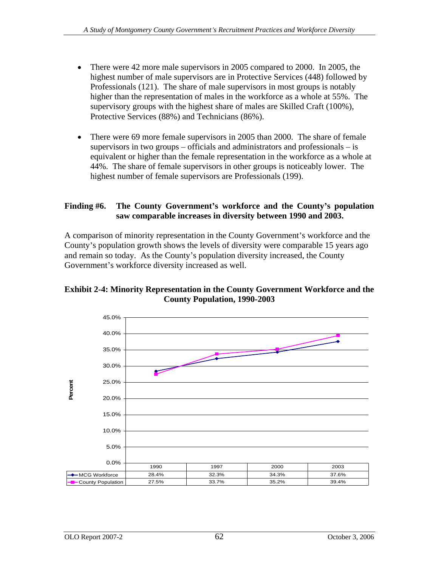- There were 42 more male supervisors in 2005 compared to 2000. In 2005, the  $\bullet$ highest number of male supervisors are in Protective Services (448) followed by Professionals (121). The share of male supervisors in most groups is notably higher than the representation of males in the workforce as a whole at 55%. The supervisory groups with the highest share of males are Skilled Craft (100%), Protective Services (88%) and Technicians (86%).
- There were 69 more female supervisors in 2005 than 2000. The share of female  $\bullet$ supervisors in two groups  $-$  officials and administrators and professionals  $-$  is equivalent or higher than the female representation in the workforce as a whole at 44%. The share of female supervisors in other groups is noticeably lower. The highest number of female supervisors are Professionals (199).

## **Finding #6. The County Government s workforce and the County s population saw comparable increases in diversity between 1990 and 2003.**

A comparison of minority representation in the County Government s workforce and the County's population growth shows the levels of diversity were comparable 15 years ago and remain so today. As the County's population diversity increased, the County Government's workforce diversity increased as well.



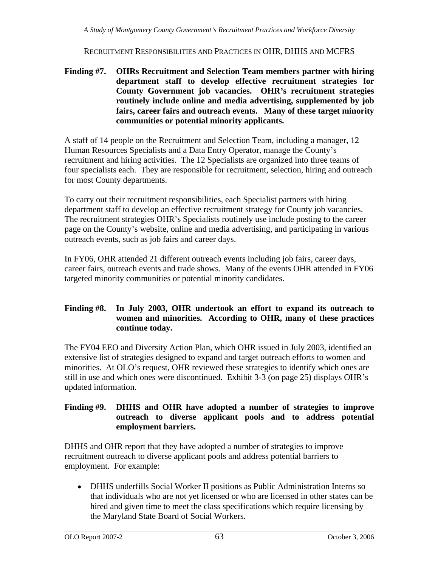#### RECRUITMENT RESPONSIBILITIES AND PRACTICES IN OHR, DHHS AND MCFRS

**Finding #7. OHRs Recruitment and Selection Team members partner with hiring department staff to develop effective recruitment strategiesfor County Government job vacancies. OHR s recruitment strategies routinely include online and media advertising, supplemented by job fairs, career fairs and outreach events. Many of these target minority communities or potential minority applicants.**

A staff of 14 people on the Recruitment and Selection Team, including a manager, 12 Human Resources Specialists and a Data Entry Operator, manage the County's recruitment and hiring activities. The 12 Specialists are organized into three teams of four specialists each. They are responsible for recruitment, selection, hiring and outreach for most County departments.

To carry out their recruitment responsibilities, each Specialist partners with hiring department staff to develop an effective recruitment strategy for County job vacancies. The recruitment strategies OHR's Specialists routinely use include posting to the career page on the County's website, online and media advertising, and participating in various outreach events, such as job fairs and career days.

In FY06, OHR attended 21 different outreach events including job fairs, career days, career fairs, outreach events and trade shows. Many of the events OHR attended in FY06 targeted minority communities or potential minority candidates.

#### **Finding #8. In July 2003, OHR undertook an effort to expand its outreach to women and minorities. According to OHR, many of these practices continue today.**

The FY04 EEO and Diversity Action Plan, which OHR issued in July 2003, identified an extensive list of strategies designed to expand and target outreach efforts to women and minorities. At OLO's request, OHR reviewed these strategies to identify which ones are still in use and which ones were discontinued. Exhibit 3-3 (on page 25) displays OHR's updated information.

#### **Finding #9. DHHS and OHR have adopted a number of strategies to improve outreach to diverse applicant pools and to address potential employment barriers.**

DHHS and OHR report that they have adopted a number of strategies to improve recruitment outreach to diverse applicant pools and address potential barriers to employment. For example:

DHHS underfills Social Worker II positions as Public Administration Interns so that individuals who are not yet licensed or who are licensed in other states can be hired and given time to meet the class specifications which require licensing by the Maryland State Board of Social Workers.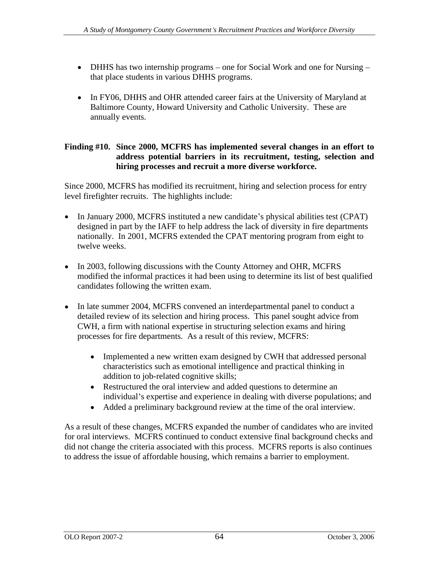- DHHS has two internship programs one for Social Work and one for Nursing that place students in various DHHS programs.
- In FY06, DHHS and OHR attended career fairs at the University of Maryland at Baltimore County, Howard University and Catholic University. These are annually events.

### **Finding #10. Since 2000, MCFRS has implemented several changes in an effort to address potential barriers in its recruitment, testing, selection and hiring processes and recruit a more diverse workforce.**

Since 2000, MCFRS has modified its recruitment, hiring and selection process for entry level firefighter recruits. The highlights include:

- In January 2000, MCFRS instituted a new candidate's physical abilities test (CPAT) designed in part by the IAFF to help address the lack of diversity in fire departments nationally. In 2001, MCFRS extended the CPAT mentoring program from eight to twelve weeks.
- In 2003, following discussions with the County Attorney and OHR, MCFRS modified the informal practices it had been using to determine its list of best qualified candidates following the written exam.
- In late summer 2004, MCFRS convened an interdepartmental panel to conduct a detailed review of its selection and hiring process. This panel sought advice from CWH, a firm with national expertise in structuring selection exams and hiring processes for fire departments. As a result of this review, MCFRS:
	- Implemented a new written exam designed by CWH that addressed personal  $\bullet$ characteristics such as emotional intelligence and practical thinking in addition to job-related cognitive skills;
	- Restructured the oral interview and added questions to determine an individual's expertise and experience in dealing with diverse populations; and
	- Added a preliminary background review at the time of the oral interview.

As a result of these changes, MCFRS expanded the number of candidates who are invited for oral interviews. MCFRS continued to conduct extensive final background checks and did not change the criteria associated with this process. MCFRS reports is also continues to address the issue of affordable housing, which remains a barrier to employment.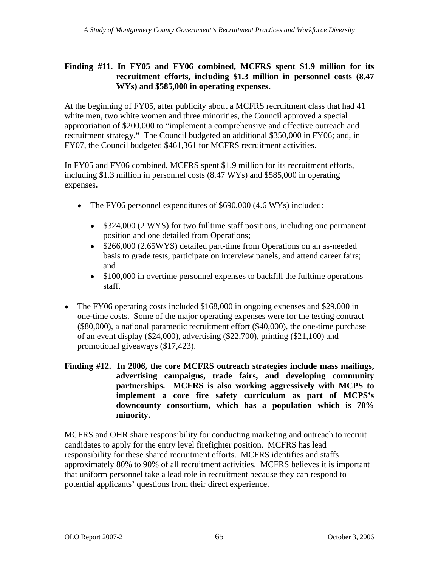#### **Finding #11. In FY05 and FY06 combined, MCFRS spent \$1.9 million for its recruitment efforts, including \$1.3 million in personnel costs (8.47 WYs) and \$585,000 in operating expenses.**

At the beginning of FY05, after publicity about a MCFRS recruitment class that had 41 white men, two white women and three minorities, the Council approved a special appropriation of \$200,000 to "implement a comprehensive and effective outreach and recruitment strategy." The Council budgeted an additional \$350,000 in FY06; and, in FY07, the Council budgeted \$461,361 for MCFRS recruitment activities.

In FY05 and FY06 combined, MCFRS spent \$1.9 million for its recruitment efforts, including \$1.3 million in personnel costs (8.47 WYs) and \$585,000 in operating expenses**.**

- The FY06 personnel expenditures of \$690,000 (4.6 WYs) included:
	- \$324,000 (2 WYS) for two fulltime staff positions, including one permanent  $\bullet$ position and one detailed from Operations;
	- \$266,000 (2.65WYS) detailed part-time from Operations on an as-needed basis to grade tests, participate on interview panels, and attend career fairs; and
	- \$100,000 in overtime personnel expenses to backfill the fulltime operations staff.
- The FY06 operating costs included \$168,000 in ongoing expenses and \$29,000 in  $\bullet$ one-time costs. Some of the major operating expenses were for the testing contract (\$80,000), a national paramedic recruitment effort (\$40,000), the one-time purchase of an event display (\$24,000), advertising (\$22,700), printing (\$21,100) and promotional giveaways (\$17,423).
- **Finding #12. In 2006, the core MCFRS outreach strategies include mass mailings, advertising campaigns, trade fairs, and developing community partnerships. MCFRS is also working aggressively with MCPS to implement a core fire safety curriculum as part of MCPS s downcounty consortium, which has a population which is 70% minority.**

MCFRS and OHR share responsibility for conducting marketing and outreach to recruit candidates to apply for the entry level firefighter position. MCFRS has lead responsibility for these shared recruitment efforts. MCFRS identifies and staffs approximately 80% to 90% of all recruitment activities. MCFRS believes it is important that uniform personnel take a lead role in recruitment because they can respond to potential applicants' questions from their direct experience.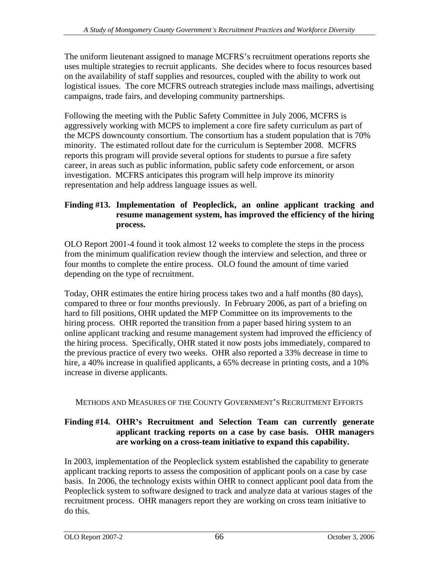The uniform lieutenant assigned to manage MCFRS's recruitment operations reports she uses multiple strategies to recruit applicants. She decides where to focus resources based on the availability of staff supplies and resources, coupled with the ability to work out logistical issues. The core MCFRS outreach strategies include mass mailings, advertising campaigns, trade fairs, and developing community partnerships.

Following the meeting with the Public Safety Committee in July 2006, MCFRS is aggressively working with MCPS to implement a core fire safety curriculum as part of the MCPS downcounty consortium. The consortium has a student population that is 70% minority. The estimated rollout date for the curriculum is September 2008. MCFRS reports this program will provide several options for students to pursue a fire safety career, in areas such as public information, public safety code enforcement, or arson investigation. MCFRS anticipates this program will help improve its minority representation and help address language issues as well.

## **Finding #13. Implementation of Peopleclick, an online applicant tracking and resume management system, has improved the efficiency of the hiring process.**

OLO Report 2001-4 found it took almost 12 weeks to complete the steps in the process from the minimum qualification review though the interview and selection, and three or four months to complete the entire process. OLO found the amount of time varied depending on the type of recruitment.

Today, OHR estimates the entire hiring process takes two and a half months (80 days), compared to three or four months previously. In February 2006, as part of a briefing on hard to fill positions, OHR updated the MFP Committee on its improvements to the hiring process. OHR reported the transition from a paper based hiring system to an online applicant tracking and resume management system had improved the efficiency of the hiring process. Specifically, OHR stated it now posts jobs immediately, compared to the previous practice of every two weeks. OHR also reported a 33% decrease in time to hire, a 40% increase in qualified applicants, a 65% decrease in printing costs, and a 10% increase in diverse applicants.

## METHODS AND MEASURES OF THE COUNTY GOVERNMENT S RECRUITMENT EFFORTS

## **Finding #14. OHR s Recruitment and Selection Team can currently generate applicant tracking reports on a case by case basis. OHR managers are working on a cross-team initiative to expand this capability.**

In 2003, implementation of the Peopleclick system established the capability to generate applicant tracking reports to assess the composition of applicant pools on a case by case basis. In 2006, the technology exists within OHR to connect applicant pool data from the Peopleclick system to software designed to track and analyze data at various stages of the recruitment process. OHR managers report they are working on cross team initiative to do this.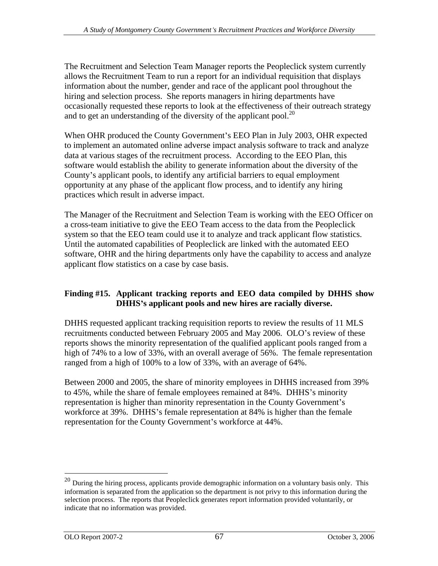The Recruitment and Selection Team Manager reports the Peopleclick system currently allows the Recruitment Team to run a report for an individual requisition that displays information about the number, gender and race of the applicant pool throughout the hiring and selection process. She reports managers in hiring departments have occasionally requested these reports to look at the effectiveness of their outreach strategy and to get an understanding of the diversity of the applicant pool.<sup>20</sup>

and to get an understanding of the diversity of the applicant pool. $^{20}$ <br>When OHR produced the County Government's EEO Plan in July 2003, OHR expected to implement an automated online adverse impact analysis software to track and analyze data at various stages of the recruitment process. According to the EEO Plan, this software would establish the ability to generate information about the diversity of the County's applicant pools, to identify any artificial barriers to equal employment opportunity at any phase of the applicant flow process, and to identify any hiring practices which result in adverse impact.

The Manager of the Recruitment and Selection Team is working with the EEO Officer on a cross-team initiative to give the EEO Team access to the data from the Peopleclick system so that the EEO team could use it to analyze and track applicant flow statistics. Until the automated capabilities of Peopleclick are linked with the automated EEO software, OHR and the hiring departments only have the capability to access and analyze applicant flow statistics on a case by case basis.

## **Finding #15. Applicant tracking reports and EEO data compiled by DHHS show DHHS s applicant pools and new hires are racially diverse.**

DHHS requested applicant tracking requisition reports to review the results of 11 MLS recruitments conducted between February 2005 and May 2006. OLO's review of these reports shows the minority representation of the qualified applicant pools ranged from a high of 74% to a low of 33%, with an overall average of 56%. The female representation ranged from a high of 100% to a low of 33%, with an average of 64%.

Between 2000 and 2005, the share of minority employees in DHHS increased from 39% to 45%, while the share of female employees remained at 84%. DHHS's minority representation is higher than minority representation in the County Government's workforce at 39%. DHHS's female representation at 84% is higher than the female representation for the County Government's workforce at 44%.

 $20$  During the hiring process, applicants provide demographic information on a voluntary basis only. This information is separated from the application so the department is not privy to this information during the selection process. The reports that Peopleclick generates report information provided voluntarily, or indicate that no information was provided.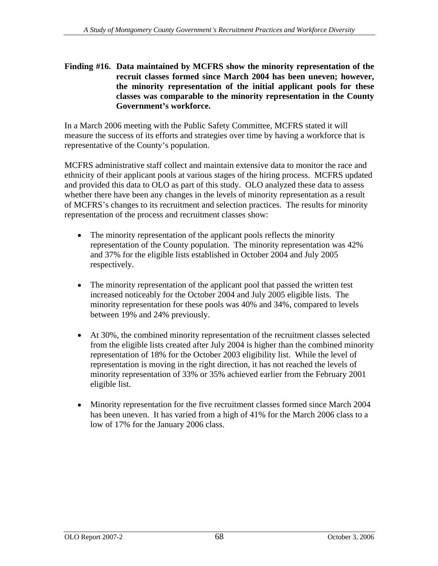# **Finding #16. Data maintained by MCFRS show the minority representation of the** recruit classes formed since March 2004 has been uneven; however, the minority representation of the initial applicant pools for these **classes was comparable to the minority representation in the County Government s workforce.**

In a March 2006 meeting with the Public Safety Committee, MCFRS stated it will measure the success of its efforts and strategies over time by having a workforce that is representative of the County's population.

MCFRS administrative staff collect and maintain extensive data to monitor the race and ethnicity of their applicant pools at various stages of the hiring process. MCFRS updated and provided this data to OLO as part of this study. OLO analyzed these data to assess whether there have been any changes in the levels of minority representation as a result of MCFRS's changes to its recruitment and selection practices. The results for minority representation of the process and recruitment classes show:

- The minority representation of the applicant pools reflects the minority representation of the County population. The minority representation was 42% and 37% for the eligible lists established in October 2004 and July 2005 respectively.
- The minority representation of the applicant pool that passed the written test  $\bullet$ increased noticeably for the October 2004 and July 2005 eligible lists. The minority representation for these pools was 40% and 34%, compared to levels between 19% and 24% previously.
- At 30%, the combined minority representation of the recruitment classes selected from the eligible lists created after July 2004 is higher than the combined minority representation of 18% for the October 2003 eligibility list. While the level of representation is moving in the right direction, it has not reached the levels of minority representation of 33% or 35% achieved earlier from the February 2001 eligible list.
- Minority representation for the five recruitment classes formed since March 2004 has been uneven. It has varied from a high of 41% for the March 2006 class to a low of 17% for the January 2006 class.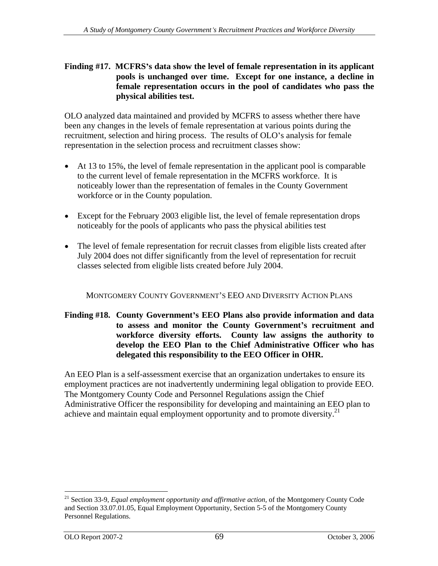### **Finding #17. MCFRS s data show the level of female representation in its applicant pools is unchanged over time. Except for one instance, a decline in female representation occurs in the pool of candidates who pass the physical abilities test.**

OLO analyzed data maintained and provided by MCFRS to assess whether there have been any changes in the levels of female representation at various points during the recruitment, selection and hiring process. The results of OLO's analysis for female representation in the selection process and recruitment classes show:

- At 13 to 15%, the level of female representation in the applicant pool is comparable to the current level of female representation in the MCFRS workforce. It is noticeably lower than the representation of females in the County Government workforce or in the County population.
- Except for the February 2003 eligible list, the level of female representation drops noticeably for the pools of applicants who pass the physical abilities test
- The level of female representation for recruit classes from eligible lists created after July 2004 does not differ significantly from the level of representation for recruit classes selected from eligible lists created before July 2004.

MONTGOMERY COUNTY GOVERNMENT S EEO AND DIVERSITY ACTION PLANS

### **Finding #18. County Government s EEO Plans also provide information and data to assess and monitor the County Government s recruitment and workforce diversity efforts. County law assigns the authority to develop the EEO Plan to the Chief Administrative Officer who has delegated this responsibility to the EEO Officer in OHR.**

An EEO Plan is a self-assessment exercise that an organization undertakes to ensure its employment practices are not inadvertently undermining legal obligation to provide EEO. The Montgomery County Code and Personnel Regulations assign the Chief Administrative Officer the responsibility for developing and maintaining an EEO plan to achieve and maintain equal employment opportunity and to promote diversity.<sup>21</sup>

<sup>&</sup>lt;sup>21</sup> Section 33-9, *Equal employment opportunity and affirmative action*, of the Montgomery County Code and Section 33.07.01.05, Equal Employment Opportunity, Section 5-5 of the Montgomery County Personnel Regulations.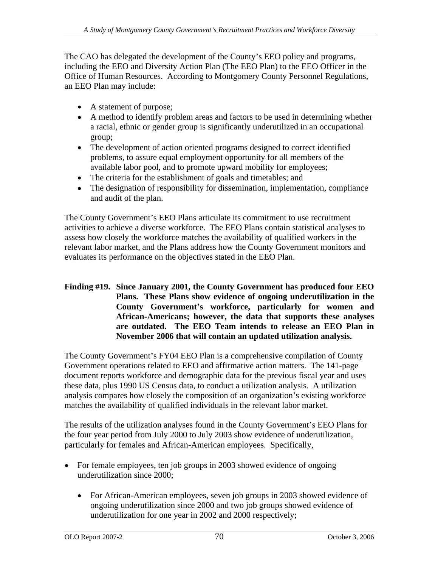The CAO has delegated the development of the County's EEO policy and programs, including the EEO and Diversity Action Plan (The EEO Plan) to the EEO Officer in the Office of Human Resources. According to Montgomery County Personnel Regulations, an EEO Plan may include:

- A statement of purpose;
- A method to identify problem areas and factors to be used in determining whether a racial, ethnic or gender group is significantly underutilized in an occupational group;
- The development of action oriented programs designed to correct identified problems, to assure equal employment opportunity for all members of the available labor pool, and to promote upward mobility for employees;
- The criteria for the establishment of goals and timetables; and
- The designation of responsibility for dissemination, implementation, compliance and audit of the plan.

The County Government's EEO Plans articulate its commitment to use recruitment activities to achieve a diverse workforce. The EEO Plans contain statistical analyses to assess how closely the workforce matches the availability of qualified workers in the relevant labor market, and the Plans address how the County Government monitors and evaluates its performance on the objectives stated in the EEO Plan.

#### **Finding #19. Since January 2001, the County Government has produced four EEO Plans. These Plans show evidence of ongoing underutilization in the County Government s workforce, particularly for women and African-Americans; however, the data that supports these analyses are outdated. The EEO Team intends to release an EEO Plan in November 2006 that will contain an updated utilization analysis.**

The County Government's FY04 EEO Plan is a comprehensive compilation of County Government operations related to EEO and affirmative action matters. The 141-page document reports workforce and demographic data for the previous fiscal year and uses these data, plus 1990 US Census data, to conduct a utilization analysis. A utilization analysis compares how closely the composition of an organization's existing workforce matches the availability of qualified individuals in the relevant labor market.

The results of the utilization analyses found in the County Government's EEO Plans for the four year period from July 2000 to July 2003 show evidence of underutilization, particularly for females and African-American employees. Specifically,

- For female employees, ten job groups in 2003 showed evidence of ongoing underutilization since 2000;
	- $\bullet$ For African-American employees, seven job groups in 2003 showed evidence of ongoing underutilization since 2000 and two job groups showed evidence of underutilization for one year in 2002 and 2000 respectively;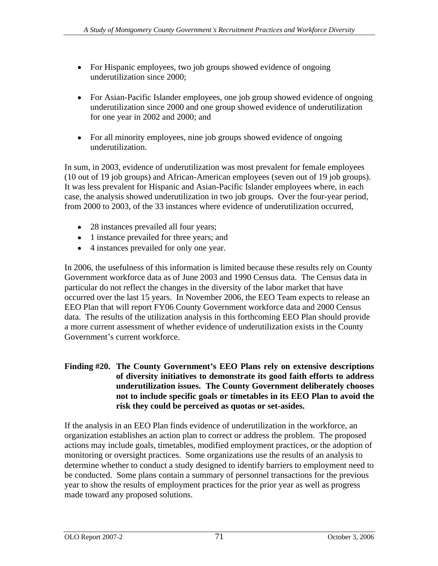- For Hispanic employees, two job groups showed evidence of ongoing underutilization since 2000;
- For Asian-Pacific Islander employees, one job group showed evidence of ongoing underutilization since 2000 and one group showed evidence of underutilization for one year in 2002 and 2000; and
- For all minority employees, nine job groups showed evidence of ongoing underutilization.

In sum, in 2003, evidence of underutilization was most prevalent for female employees (10 out of 19 job groups) and African-American employees (seven out of 19 job groups). It was less prevalent for Hispanic and Asian-Pacific Islander employees where, in each case, the analysis showed underutilization in two job groups. Over the four-year period, from 2000 to 2003, of the 33 instances where evidence of underutilization occurred,

- 28 instances prevailed all four years;
- 1 instance prevailed for three years; and
- 4 instances prevailed for only one year.

In 2006, the usefulness of this information is limited because these results rely on County Government workforce data as of June 2003 and 1990 Census data. The Census data in particular do not reflect the changes in the diversity of the labor market that have occurred over the last 15 years. In November 2006, the EEO Team expects to release an EEO Plan that will report FY06 County Government workforce data and 2000 Census data. The results of the utilization analysis in this forthcoming EEO Plan should provide a more current assessment of whether evidence of underutilization exists in the County Government's current workforce.

### **Finding #20. The County Government s EEO Plans rely on extensive descriptions of diversity initiatives to demonstrate its good faith efforts to address underutilization issues. The County Government deliberately chooses not to include specific goals or timetables in its EEO Plan to avoid the risk they could be perceived as quotas or set-asides.**

If the analysis in an EEO Plan finds evidence of underutilization in the workforce, an organization establishes an action plan to correct or address the problem. The proposed actions may include goals, timetables, modified employment practices, or the adoption of monitoring or oversight practices. Some organizations use the results of an analysis to determine whether to conduct a study designed to identify barriers to employment need to be conducted. Some plans contain a summary of personnel transactions for the previous year to show the results of employment practices for the prior year as well as progress made toward any proposed solutions.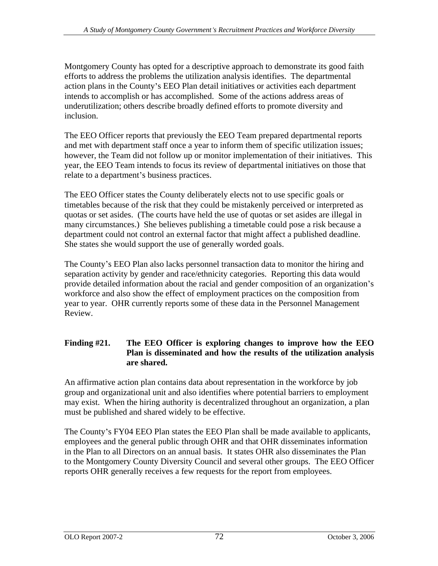Montgomery County has opted for a descriptive approach to demonstrate its good faith efforts to address the problems the utilization analysis identifies. The departmental action plans in the County's EEO Plan detail initiatives or activities each department intends to accomplish or has accomplished. Some of the actions address areas of underutilization; others describe broadly defined efforts to promote diversity and inclusion.

The EEO Officer reports that previously the EEO Team prepared departmental reports and met with department staff once a year to inform them of specific utilization issues; however, the Team did not follow up or monitor implementation of their initiatives. This year, the EEO Team intends to focus its review of departmental initiatives on those that relate to a department's business practices.

The EEO Officer states the County deliberately elects not to use specific goals or timetables because of the risk that they could be mistakenly perceived or interpreted as quotas or set asides. (The courts have held the use of quotas or set asides are illegal in many circumstances.) She believes publishing a timetable could pose a risk because a department could not control an external factor that might affect a published deadline. She states she would support the use of generally worded goals.

The County's EEO Plan also lacks personnel transaction data to monitor the hiring and separation activity by gender and race/ethnicity categories. Reporting this data would provide detailed information about the racial and gender composition of an organization's workforce and also show the effect of employment practices on the composition from year to year. OHR currently reports some of these data in the Personnel Management Review.

### **Finding #21. The EEO Officer is exploring changesto improve how the EEO Plan is disseminated and how the results of the utilization analysis are shared.**

An affirmative action plan contains data about representation in the workforce by job group and organizational unit and also identifies where potential barriers to employment may exist. When the hiring authority is decentralized throughout an organization, a plan must be published and shared widely to be effective.

The County's FY04 EEO Plan states the EEO Plan shall be made available to applicants, employees and the general public through OHR and that OHR disseminates information in the Plan to all Directors on an annual basis. It states OHR also disseminates the Plan to the Montgomery County Diversity Council and several other groups. The EEO Officer reports OHR generally receives a few requests for the report from employees.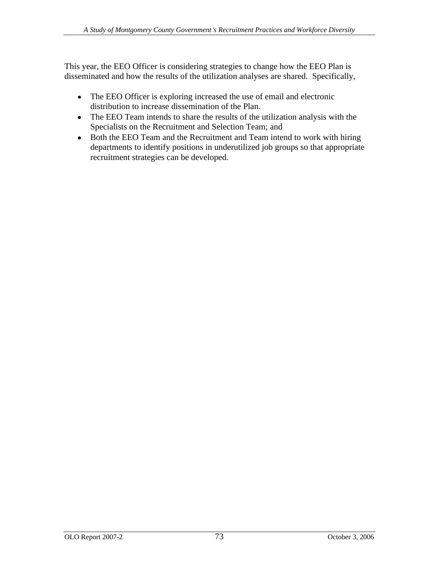This year, the EEO Officer is considering strategies to change how the EEO Plan is disseminated and how the results of the utilization analyses are shared. Specifically,

- $\bullet$ The EEO Officer is exploring increased the use of email and electronic distribution to increase dissemination of the Plan.
- The EEO Team intends to share the results of the utilization analysis with the Specialists on the Recruitment and Selection Team; and
- Both the EEO Team and the Recruitment and Team intend to work with hiring departments to identify positions in underutilized job groups so that appropriate recruitment strategies can be developed.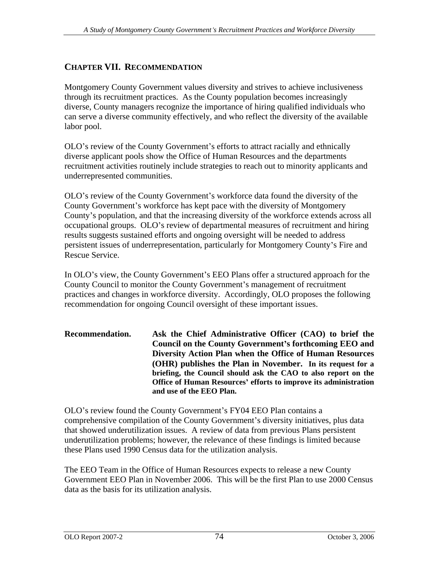## **CHAPTER VII. RECOMMENDATION**

Montgomery County Government values diversity and strives to achieve inclusiveness through its recruitment practices. As the County population becomes increasingly diverse, County managers recognize the importance of hiring qualified individuals who can serve a diverse community effectively, and who reflect the diversity of the available labor pool.

OLO's review of the County Government's efforts to attract racially and ethnically diverse applicant pools show the Office of Human Resources and the departments recruitment activities routinely include strategies to reach out to minority applicants and underrepresented communities.

OLO's review of the County Government's workforce data found the diversity of the County Government's workforce has kept pace with the diversity of Montgomery County's population, and that the increasing diversity of the workforce extends across all occupational groups. OLO's review of departmental measures of recruitment and hiring results suggests sustained efforts and ongoing oversight will be needed to address persistent issues of underrepresentation, particularly for Montgomery County's Fire and Rescue Service.

In OLO's view, the County Government's EEO Plans offer a structured approach for the County Council to monitor the County Government's management of recruitment practices and changes in workforce diversity. Accordingly, OLO proposes the following recommendation for ongoing Council oversight of these important issues.

**Recommendation. Ask the Chief Administrative Officer (CAO) to brief the Council on the County Government s forthcoming EEO and Diversity Action Plan when the Office of Human Resources (OHR) publishes the Plan in November. In its request for a briefing, the Council should ask the CAO to also report on the Office of Human Resources efforts to improve its administration and use of the EEO Plan.**

OLO's review found the County Government's FY04 EEO Plan contains a comprehensive compilation of the County Government's diversity initiatives, plus data that showed underutilization issues. A review of data from previous Plans persistent underutilization problems; however, the relevance of these findings is limited because these Plans used 1990 Census data for the utilization analysis.

The EEO Team in the Office of Human Resources expects to release a new County Government EEO Plan in November 2006. This will be the first Plan to use 2000 Census data as the basis for its utilization analysis.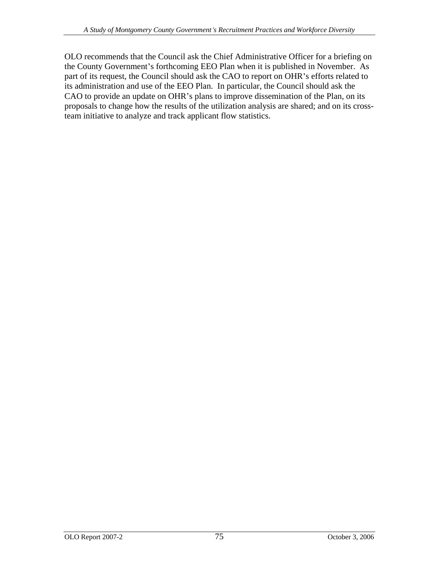OLO recommends that the Council ask the Chief Administrative Officer for a briefing on the County Government's forthcoming EEO Plan when it is published in November. As part of its request, the Council should ask the CAO to report on OHR's efforts related to its administration and use of the EEO Plan. In particular, the Council should ask the CAO to provide an update on OHR's plans to improve dissemination of the Plan, on its proposals to change how the results of the utilization analysis are shared; and on its crossteam initiative to analyze and track applicant flow statistics.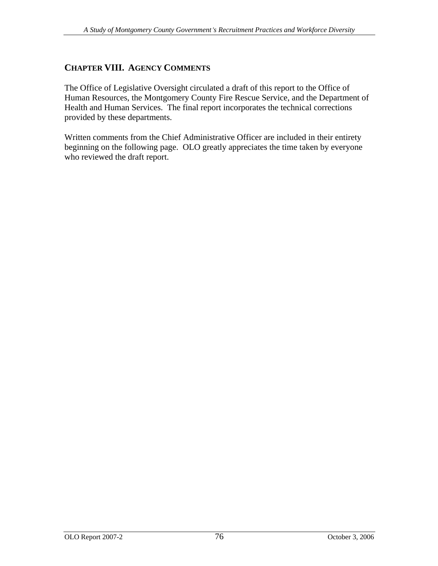### **CHAPTER VIII. AGENCY COMMENTS**

The Office of Legislative Oversight circulated a draft of this report to the Office of Human Resources, the Montgomery County Fire Rescue Service, and the Department of Health and Human Services. The final report incorporates the technical corrections provided by these departments.

Written comments from the Chief Administrative Officer are included in their entirety beginning on the following page. OLO greatly appreciates the time taken by everyone who reviewed the draft report.